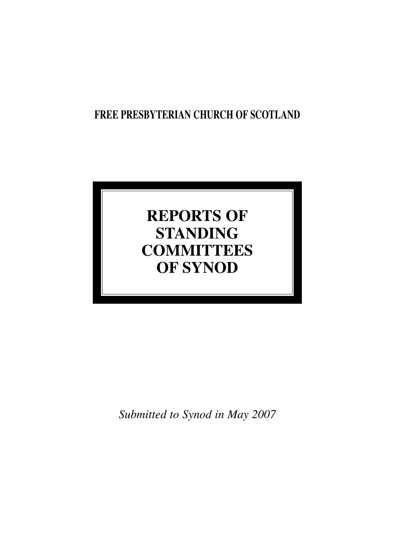## **FREE PRESBYTERIAN CHURCH OF SCOTLAND**

# **REPORTS OF STANDING COMMITTEES OF SYNOD**

*Submitted to Synod in May 2007*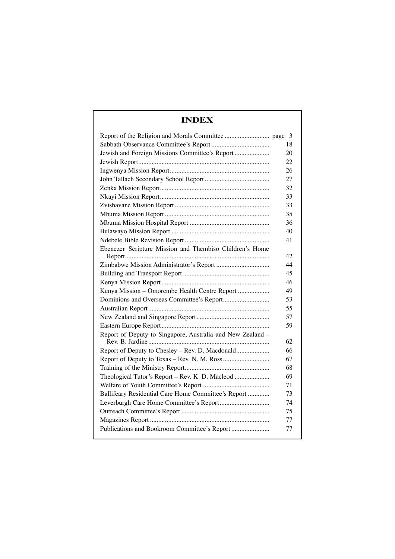## **INDEX**

|                                                            | 18 |
|------------------------------------------------------------|----|
| Jewish and Foreign Missions Committee's Report             | 20 |
|                                                            | 22 |
|                                                            | 26 |
|                                                            | 27 |
|                                                            | 32 |
|                                                            | 33 |
|                                                            | 33 |
|                                                            | 35 |
|                                                            | 36 |
|                                                            | 40 |
|                                                            | 41 |
| Ebenezer Scripture Mission and Thembiso Children's Home    |    |
|                                                            | 42 |
|                                                            | 44 |
|                                                            | 45 |
|                                                            | 46 |
| Kenya Mission – Omorembe Health Centre Report              | 49 |
|                                                            | 53 |
|                                                            | 55 |
|                                                            | 57 |
|                                                            | 59 |
| Report of Deputy to Singapore, Australia and New Zealand - |    |
|                                                            | 62 |
| Report of Deputy to Chesley - Rev. D. Macdonald            | 66 |
|                                                            | 67 |
|                                                            | 68 |
| Theological Tutor's Report - Rev. K. D. Macleod            | 69 |
|                                                            | 71 |
| Ballifeary Residential Care Home Committee's Report        | 73 |
|                                                            | 74 |
|                                                            | 75 |
|                                                            | 77 |
| Publications and Bookroom Committee's Report               | 77 |
|                                                            |    |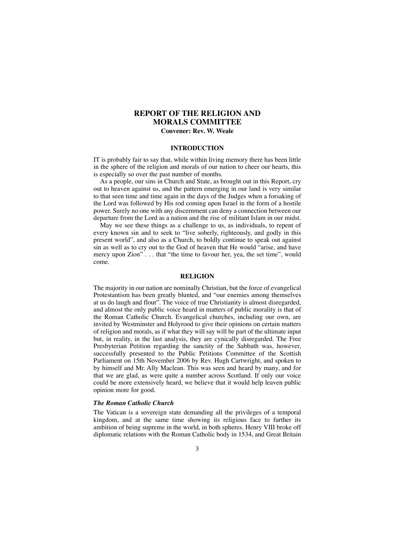## **REPORT OF THE RELIGION AND MORALS COMMITTEE**

## **Convener: Rev. W. Weale**

#### **INTRODUCTION**

IT is probably fair to say that, while within living memory there has been little in the sphere of the religion and morals of our nation to cheer our hearts, this is especially so over the past number of months.

As a people, our sins in Church and State, as brought out in this Report, cry out to heaven against us, and the pattern emerging in our land is very similar to that seen time and time again in the days of the Judges when a forsaking of the Lord was followed by His rod coming upon Israel in the form of a hostile power. Surely no one with any discernment can deny a connection between our departure from the Lord as a nation and the rise of militant Islam in our midst.

May we see these things as a challenge to us, as individuals, to repent of every known sin and to seek to "live soberly, righteously, and godly in this present world", and also as a Church, to boldly continue to speak out against sin as well as to cry out to the God of heaven that He would "arise, and have mercy upon Zion" . . . that "the time to favour her, yea, the set time", would come.

#### **RELIGION**

The majority in our nation are nominally Christian, but the force of evangelical Protestantism has been greatly blunted, and "our enemies among themselves at us do laugh and flout". The voice of true Christianity is almost disregarded, and almost the only public voice heard in matters of public morality is that of the Roman Catholic Church. Evangelical churches, including our own, are invited by Westminster and Holyrood to give their opinions on certain matters of religion and morals, as if what they will say will be part of the ultimate input but, in reality, in the last analysis, they are cynically disregarded. The Free Presbyterian Petition regarding the sanctity of the Sabbath was, however, successfully presented to the Public Petitions Committee of the Scottish Parliament on 15th November 2006 by Rev. Hugh Cartwright, and spoken to by himself and Mr. Ally Maclean. This was seen and heard by many, and for that we are glad, as were quite a number across Scotland. If only our voice could be more extensively heard, we believe that it would help leaven public opinion more for good.

#### *The Roman Catholic Church*

The Vatican is a sovereign state demanding all the privileges of a temporal kingdom, and at the same time showing its religious face to further its ambition of being supreme in the world, in both spheres. Henry VIII broke off diplomatic relations with the Roman Catholic body in 1534, and Great Britain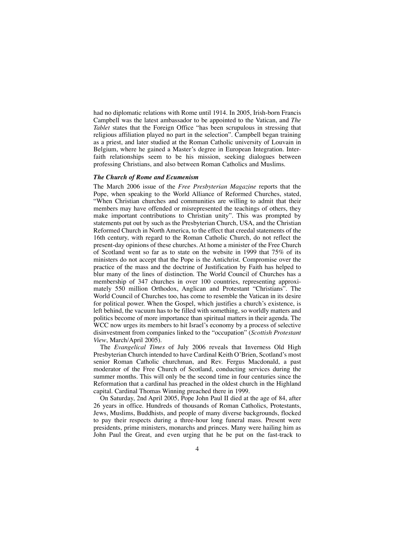had no diplomatic relations with Rome until 1914. In 2005, Irish-born Francis Campbell was the latest ambassador to be appointed to the Vatican, and *The Tablet* states that the Foreign Office "has been scrupulous in stressing that religious affiliation played no part in the selection". Campbell began training as a priest, and later studied at the Roman Catholic university of Louvain in Belgium, where he gained a Master's degree in European Integration. Interfaith relationships seem to be his mission, seeking dialogues between professing Christians, and also between Roman Catholics and Muslims.

#### *The Church of Rome and Ecumenism*

The March 2006 issue of the *Free Presbyterian Magazine* reports that the Pope, when speaking to the World Alliance of Reformed Churches, stated, "When Christian churches and communities are willing to admit that their members may have offended or misrepresented the teachings of others, they make important contributions to Christian unity". This was prompted by statements put out by such as the Presbyterian Church, USA, and the Christian Reformed Church in North America, to the effect that creedal statements of the 16th century, with regard to the Roman Catholic Church, do not reflect the present-day opinions of these churches. At home a minister of the Free Church of Scotland went so far as to state on the website in 1999 that 75% of its ministers do not accept that the Pope is the Antichrist. Compromise over the practice of the mass and the doctrine of Justification by Faith has helped to blur many of the lines of distinction. The World Council of Churches has a membership of 347 churches in over 100 countries, representing approximately 550 million Orthodox, Anglican and Protestant "Christians". The World Council of Churches too, has come to resemble the Vatican in its desire for political power. When the Gospel, which justifies a church's existence, is left behind, the vacuum has to be filled with something, so worldly matters and politics become of more importance than spiritual matters in their agenda. The WCC now urges its members to hit Israel's economy by a process of selective disinvestment from companies linked to the "occupation" (*Scottish Protestant View*, March/April 2005).

The *Evangelical Times* of July 2006 reveals that Inverness Old High Presbyterian Church intended to have Cardinal Keith O'Brien, Scotland's most senior Roman Catholic churchman, and Rev. Fergus Macdonald, a past moderator of the Free Church of Scotland, conducting services during the summer months. This will only be the second time in four centuries since the Reformation that a cardinal has preached in the oldest church in the Highland capital. Cardinal Thomas Winning preached there in 1999.

On Saturday, 2nd April 2005, Pope John Paul II died at the age of 84, after 26 years in office. Hundreds of thousands of Roman Catholics, Protestants, Jews, Muslims, Buddhists, and people of many diverse backgrounds, flocked to pay their respects during a three-hour long funeral mass. Present were presidents, prime ministers, monarchs and princes. Many were hailing him as John Paul the Great, and even urging that he be put on the fast-track to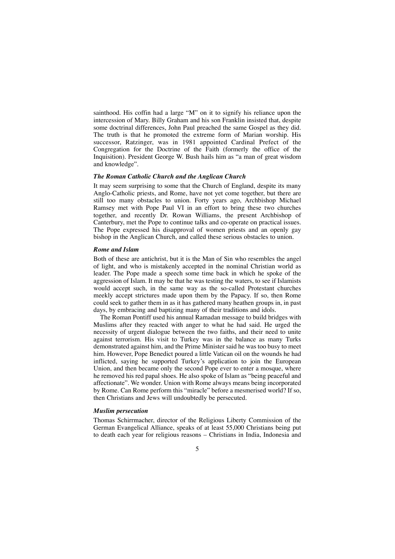sainthood. His coffin had a large "M" on it to signify his reliance upon the intercession of Mary. Billy Graham and his son Franklin insisted that, despite some doctrinal differences, John Paul preached the same Gospel as they did. The truth is that he promoted the extreme form of Marian worship. His successor, Ratzinger, was in 1981 appointed Cardinal Prefect of the Congregation for the Doctrine of the Faith (formerly the office of the Inquisition). President George W. Bush hails him as "a man of great wisdom and knowledge".

#### *The Roman Catholic Church and the Anglican Church*

It may seem surprising to some that the Church of England, despite its many Anglo-Catholic priests, and Rome, have not yet come together, but there are still too many obstacles to union. Forty years ago, Archbishop Michael Ramsey met with Pope Paul VI in an effort to bring these two churches together, and recently Dr. Rowan Williams, the present Archbishop of Canterbury, met the Pope to continue talks and co-operate on practical issues. The Pope expressed his disapproval of women priests and an openly gay bishop in the Anglican Church, and called these serious obstacles to union.

#### *Rome and Islam*

Both of these are antichrist, but it is the Man of Sin who resembles the angel of light, and who is mistakenly accepted in the nominal Christian world as leader. The Pope made a speech some time back in which he spoke of the aggression of Islam. It may be that he was testing the waters, to see if Islamists would accept such, in the same way as the so-called Protestant churches meekly accept strictures made upon them by the Papacy. If so, then Rome could seek to gather them in as it has gathered many heathen groups in, in past days, by embracing and baptizing many of their traditions and idols.

The Roman Pontiff used his annual Ramadan message to build bridges with Muslims after they reacted with anger to what he had said. He urged the necessity of urgent dialogue between the two faiths, and their need to unite against terrorism. His visit to Turkey was in the balance as many Turks demonstrated against him, and the Prime Minister said he was too busy to meet him. However, Pope Benedict poured a little Vatican oil on the wounds he had inflicted, saying he supported Turkey's application to join the European Union, and then became only the second Pope ever to enter a mosque, where he removed his red papal shoes. He also spoke of Islam as "being peaceful and affectionate". We wonder. Union with Rome always means being incorporated by Rome. Can Rome perform this "miracle" before a mesmerised world? If so, then Christians and Jews will undoubtedly be persecuted.

#### *Muslim persecution*

Thomas Schirrmacher, director of the Religious Liberty Commission of the German Evangelical Alliance, speaks of at least 55,000 Christians being put to death each year for religious reasons – Christians in India, Indonesia and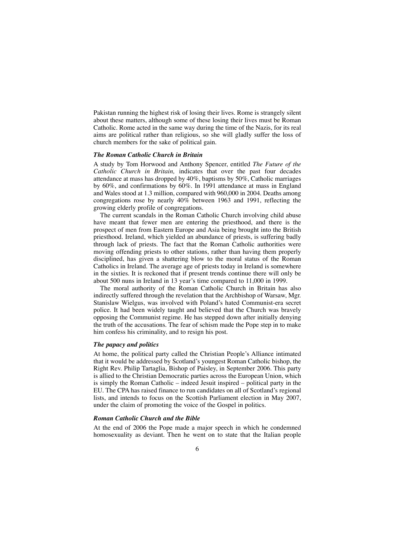Pakistan running the highest risk of losing their lives. Rome is strangely silent about these matters, although some of these losing their lives must be Roman Catholic. Rome acted in the same way during the time of the Nazis, for its real aims are political rather than religious, so she will gladly suffer the loss of church members for the sake of political gain.

#### *The Roman Catholic Church in Britain*

A study by Tom Horwood and Anthony Spencer, entitled *The Future of the Catholic Church in Britain,* indicates that over the past four decades attendance at mass has dropped by 40%, baptisms by 50%, Catholic marriages by 60%, and confirmations by 60%. In 1991 attendance at mass in England and Wales stood at 1.3 million, compared with 960,000 in 2004. Deaths among congregations rose by nearly 40% between 1963 and 1991, reflecting the growing elderly profile of congregations.

The current scandals in the Roman Catholic Church involving child abuse have meant that fewer men are entering the priesthood, and there is the prospect of men from Eastern Europe and Asia being brought into the British priesthood. Ireland, which yielded an abundance of priests, is suffering badly through lack of priests. The fact that the Roman Catholic authorities were moving offending priests to other stations, rather than having them properly disciplined, has given a shattering blow to the moral status of the Roman Catholics in Ireland. The average age of priests today in Ireland is somewhere in the sixties. It is reckoned that if present trends continue there will only be about 500 nuns in Ireland in 13 year's time compared to 11,000 in 1999.

The moral authority of the Roman Catholic Church in Britain has also indirectly suffered through the revelation that the Archbishop of Warsaw, Mgr. Stanislaw Wielgus, was involved with Poland's hated Communist-era secret police. It had been widely taught and believed that the Church was bravely opposing the Communist regime. He has stepped down after initially denying the truth of the accusations. The fear of schism made the Pope step in to make him confess his criminality, and to resign his post.

#### *The papacy and politics*

At home, the political party called the Christian People's Alliance intimated that it would be addressed by Scotland's youngest Roman Catholic bishop, the Right Rev. Philip Tartaglia, Bishop of Paisley, in September 2006. This party is allied to the Christian Democratic parties across the European Union, which is simply the Roman Catholic – indeed Jesuit inspired – political party in the EU. The CPA has raised finance to run candidates on all of Scotland's regional lists, and intends to focus on the Scottish Parliament election in May 2007, under the claim of promoting the voice of the Gospel in politics.

#### *Roman Catholic Church and the Bible*

At the end of 2006 the Pope made a major speech in which he condemned homosexuality as deviant. Then he went on to state that the Italian people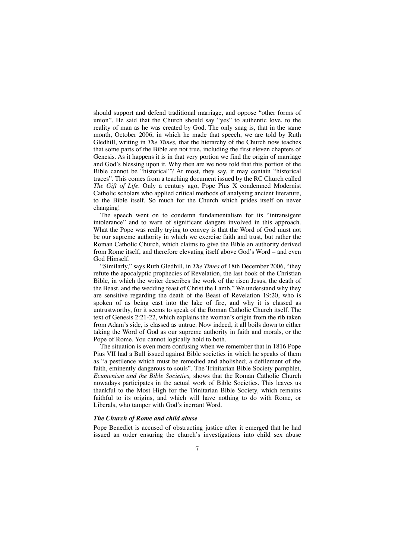should support and defend traditional marriage, and oppose "other forms of union". He said that the Church should say "yes" to authentic love, to the reality of man as he was created by God. The only snag is, that in the same month, October 2006, in which he made that speech, we are told by Ruth Gledhill, writing in *The Times,* that the hierarchy of the Church now teaches that some parts of the Bible are not true, including the first eleven chapters of Genesis. As it happens it is in that very portion we find the origin of marriage and God's blessing upon it. Why then are we now told that this portion of the Bible cannot be "historical"? At most, they say, it may contain "historical traces". This comes from a teaching document issued by the RC Church called *The Gift of Life.* Only a century ago, Pope Pius X condemned Modernist Catholic scholars who applied critical methods of analysing ancient literature, to the Bible itself. So much for the Church which prides itself on never changing!

The speech went on to condemn fundamentalism for its "intransigent intolerance" and to warn of significant dangers involved in this approach. What the Pope was really trying to convey is that the Word of God must not be our supreme authority in which we exercise faith and trust, but rather the Roman Catholic Church, which claims to give the Bible an authority derived from Rome itself, and therefore elevating itself above God's Word – and even God Himself.

"Similarly," says Ruth Gledhill, in *The Times* of 18th December 2006, "they refute the apocalyptic prophecies of Revelation, the last book of the Christian Bible, in which the writer describes the work of the risen Jesus, the death of the Beast, and the wedding feast of Christ the Lamb." We understand why they are sensitive regarding the death of the Beast of Revelation 19:20, who is spoken of as being cast into the lake of fire, and why it is classed as untrustworthy, for it seems to speak of the Roman Catholic Church itself. The text of Genesis 2:21-22, which explains the woman's origin from the rib taken from Adam's side, is classed as untrue. Now indeed, it all boils down to either taking the Word of God as our supreme authority in faith and morals, or the Pope of Rome. You cannot logically hold to both.

The situation is even more confusing when we remember that in 1816 Pope Pius VII had a Bull issued against Bible societies in which he speaks of them as "a pestilence which must be remedied and abolished; a defilement of the faith, eminently dangerous to souls". The Trinitarian Bible Society pamphlet, *Ecumenism and the Bible Societies,* shows that the Roman Catholic Church nowadays participates in the actual work of Bible Societies. This leaves us thankful to the Most High for the Trinitarian Bible Society, which remains faithful to its origins, and which will have nothing to do with Rome, or Liberals, who tamper with God's inerrant Word.

#### *The Church of Rome and child abuse*

Pope Benedict is accused of obstructing justice after it emerged that he had issued an order ensuring the church's investigations into child sex abuse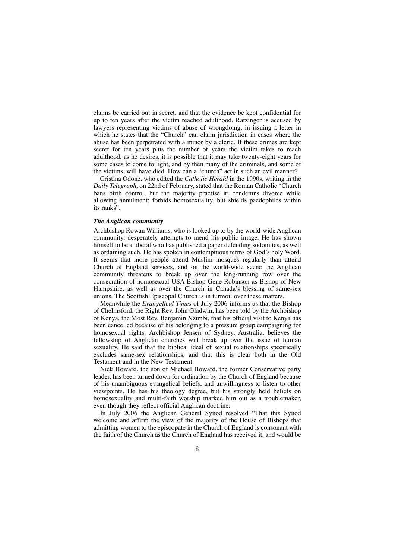claims be carried out in secret, and that the evidence be kept confidential for up to ten years after the victim reached adulthood. Ratzinger is accused by lawyers representing victims of abuse of wrongdoing, in issuing a letter in which he states that the "Church" can claim jurisdiction in cases where the abuse has been perpetrated with a minor by a cleric. If these crimes are kept secret for ten years plus the number of years the victim takes to reach adulthood, as he desires, it is possible that it may take twenty-eight years for some cases to come to light, and by then many of the criminals, and some of the victims, will have died. How can a "church" act in such an evil manner?

Cristina Odone, who edited the *Catholic Herald* in the 1990s, writing in the *Daily Telegraph,* on 22nd of February, stated that the Roman Catholic "Church bans birth control, but the majority practise it; condemns divorce while allowing annulment; forbids homosexuality, but shields paedophiles within its ranks".

#### *The Anglican community*

Archbishop Rowan Williams, who is looked up to by the world-wide Anglican community, desperately attempts to mend his public image. He has shown himself to be a liberal who has published a paper defending sodomites, as well as ordaining such. He has spoken in contemptuous terms of God's holy Word. It seems that more people attend Muslim mosques regularly than attend Church of England services, and on the world-wide scene the Anglican community threatens to break up over the long-running row over the consecration of homosexual USA Bishop Gene Robinson as Bishop of New Hampshire, as well as over the Church in Canada's blessing of same-sex unions. The Scottish Episcopal Church is in turmoil over these matters.

Meanwhile the *Evangelical Times* of July 2006 informs us that the Bishop of Chelmsford, the Right Rev. John Gladwin, has been told by the Archbishop of Kenya, the Most Rev. Benjamin Nzimbi, that his official visit to Kenya has been cancelled because of his belonging to a pressure group campaigning for homosexual rights. Archbishop Jensen of Sydney, Australia, believes the fellowship of Anglican churches will break up over the issue of human sexuality. He said that the biblical ideal of sexual relationships specifically excludes same-sex relationships, and that this is clear both in the Old Testament and in the New Testament.

Nick Howard, the son of Michael Howard, the former Conservative party leader, has been turned down for ordination by the Church of England because of his unambiguous evangelical beliefs, and unwillingness to listen to other viewpoints. He has his theology degree, but his strongly held beliefs on homosexuality and multi-faith worship marked him out as a troublemaker, even though they reflect official Anglican doctrine.

In July 2006 the Anglican General Synod resolved "That this Synod welcome and affirm the view of the majority of the House of Bishops that admitting women to the episcopate in the Church of England is consonant with the faith of the Church as the Church of England has received it, and would be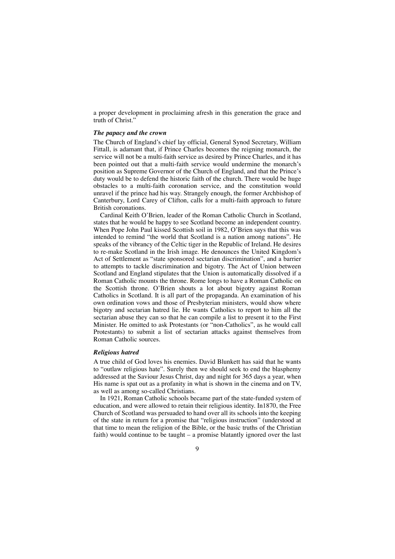a proper development in proclaiming afresh in this generation the grace and truth of Christ."

#### *The papacy and the crown*

The Church of England's chief lay official, General Synod Secretary, William Fittall, is adamant that, if Prince Charles becomes the reigning monarch, the service will not be a multi-faith service as desired by Prince Charles, and it has been pointed out that a multi-faith service would undermine the monarch's position as Supreme Governor of the Church of England, and that the Prince's duty would be to defend the historic faith of the church. There would be huge obstacles to a multi-faith coronation service, and the constitution would unravel if the prince had his way. Strangely enough, the former Archbishop of Canterbury, Lord Carey of Clifton, calls for a multi-faith approach to future British coronations.

Cardinal Keith O'Brien, leader of the Roman Catholic Church in Scotland, states that he would be happy to see Scotland become an independent country. When Pope John Paul kissed Scottish soil in 1982, O'Brien says that this was intended to remind "the world that Scotland is a nation among nations". He speaks of the vibrancy of the Celtic tiger in the Republic of Ireland. He desires to re-make Scotland in the Irish image. He denounces the United Kingdom's Act of Settlement as "state sponsored sectarian discrimination", and a barrier to attempts to tackle discrimination and bigotry. The Act of Union between Scotland and England stipulates that the Union is automatically dissolved if a Roman Catholic mounts the throne. Rome longs to have a Roman Catholic on the Scottish throne. O'Brien shouts a lot about bigotry against Roman Catholics in Scotland. It is all part of the propaganda. An examination of his own ordination vows and those of Presbyterian ministers, would show where bigotry and sectarian hatred lie. He wants Catholics to report to him all the sectarian abuse they can so that he can compile a list to present it to the First Minister. He omitted to ask Protestants (or "non-Catholics", as he would call Protestants) to submit a list of sectarian attacks against themselves from Roman Catholic sources.

#### *Religious hatred*

A true child of God loves his enemies. David Blunkett has said that he wants to "outlaw religious hate". Surely then we should seek to end the blasphemy addressed at the Saviour Jesus Christ, day and night for 365 days a year, when His name is spat out as a profanity in what is shown in the cinema and on TV, as well as among so-called Christians.

In 1921, Roman Catholic schools became part of the state-funded system of education, and were allowed to retain their religious identity. In1870, the Free Church of Scotland was persuaded to hand over all its schools into the keeping of the state in return for a promise that "religious instruction" (understood at that time to mean the religion of the Bible, or the basic truths of the Christian faith) would continue to be taught – a promise blatantly ignored over the last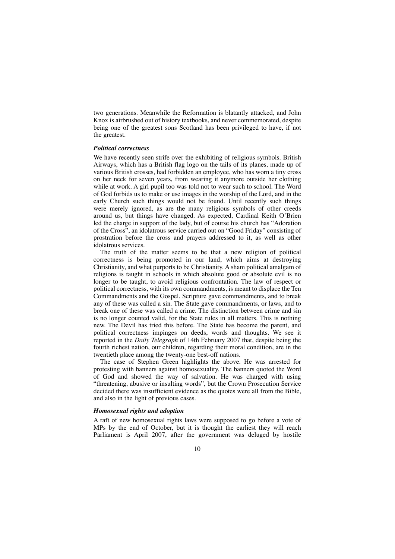two generations. Meanwhile the Reformation is blatantly attacked, and John Knox is airbrushed out of history textbooks, and never commemorated, despite being one of the greatest sons Scotland has been privileged to have, if not the greatest.

#### *Political correctness*

We have recently seen strife over the exhibiting of religious symbols. British Airways, which has a British flag logo on the tails of its planes, made up of various British crosses, had forbidden an employee, who has worn a tiny cross on her neck for seven years, from wearing it anymore outside her clothing while at work. A girl pupil too was told not to wear such to school. The Word of God forbids us to make or use images in the worship of the Lord, and in the early Church such things would not be found. Until recently such things were merely ignored, as are the many religious symbols of other creeds around us, but things have changed. As expected, Cardinal Keith O'Brien led the charge in support of the lady, but of course his church has "Adoration of the Cross", an idolatrous service carried out on "Good Friday" consisting of prostration before the cross and prayers addressed to it, as well as other idolatrous services.

The truth of the matter seems to be that a new religion of political correctness is being promoted in our land, which aims at destroying Christianity, and what purports to be Christianity. A sham political amalgam of religions is taught in schools in which absolute good or absolute evil is no longer to be taught, to avoid religious confrontation. The law of respect or political correctness, with its own commandments, is meant to displace the Ten Commandments and the Gospel. Scripture gave commandments, and to break any of these was called a sin. The State gave commandments, or laws, and to break one of these was called a crime. The distinction between crime and sin is no longer counted valid, for the State rules in all matters. This is nothing new. The Devil has tried this before. The State has become the parent, and political correctness impinges on deeds, words and thoughts. We see it reported in the *Daily Telegraph* of 14th February 2007 that, despite being the fourth richest nation, our children, regarding their moral condition, are in the twentieth place among the twenty-one best-off nations.

The case of Stephen Green highlights the above. He was arrested for protesting with banners against homosexuality. The banners quoted the Word of God and showed the way of salvation. He was charged with using "threatening, abusive or insulting words", but the Crown Prosecution Service decided there was insufficient evidence as the quotes were all from the Bible, and also in the light of previous cases.

#### *Homosexual rights and adoption*

A raft of new homosexual rights laws were supposed to go before a vote of MPs by the end of October, but it is thought the earliest they will reach Parliament is April 2007, after the government was deluged by hostile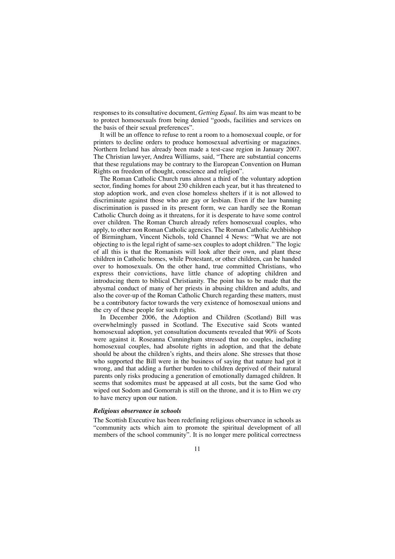responses to its consultative document, *Getting Equal.* Its aim was meant to be to protect homosexuals from being denied "goods, facilities and services on the basis of their sexual preferences".

It will be an offence to refuse to rent a room to a homosexual couple, or for printers to decline orders to produce homosexual advertising or magazines. Northern Ireland has already been made a test-case region in January 2007. The Christian lawyer, Andrea Williams, said, "There are substantial concerns that these regulations may be contrary to the European Convention on Human Rights on freedom of thought, conscience and religion".

The Roman Catholic Church runs almost a third of the voluntary adoption sector, finding homes for about 230 children each year, but it has threatened to stop adoption work, and even close homeless shelters if it is not allowed to discriminate against those who are gay or lesbian. Even if the law banning discrimination is passed in its present form, we can hardly see the Roman Catholic Church doing as it threatens, for it is desperate to have some control over children. The Roman Church already refers homosexual couples, who apply, to other non Roman Catholic agencies. The Roman Catholic Archbishop of Birmingham, Vincent Nichols, told Channel 4 News: "What we are not objecting to is the legal right of same-sex couples to adopt children." The logic of all this is that the Romanists will look after their own, and plant these children in Catholic homes, while Protestant, or other children, can be handed over to homosexuals. On the other hand, true committed Christians, who express their convictions, have little chance of adopting children and introducing them to biblical Christianity. The point has to be made that the abysmal conduct of many of her priests in abusing children and adults, and also the cover-up of the Roman Catholic Church regarding these matters, must be a contributory factor towards the very existence of homosexual unions and the cry of these people for such rights.

In December 2006, the Adoption and Children (Scotland) Bill was overwhelmingly passed in Scotland. The Executive said Scots wanted homosexual adoption, yet consultation documents revealed that 90% of Scots were against it. Roseanna Cunningham stressed that no couples, including homosexual couples, had absolute rights in adoption, and that the debate should be about the children's rights, and theirs alone. She stresses that those who supported the Bill were in the business of saying that nature had got it wrong, and that adding a further burden to children deprived of their natural parents only risks producing a generation of emotionally damaged children. It seems that sodomites must be appeased at all costs, but the same God who wiped out Sodom and Gomorrah is still on the throne, and it is to Him we cry to have mercy upon our nation.

#### *Religious observance in schools*

The Scottish Executive has been redefining religious observance in schools as "community acts which aim to promote the spiritual development of all members of the school community". It is no longer mere political correctness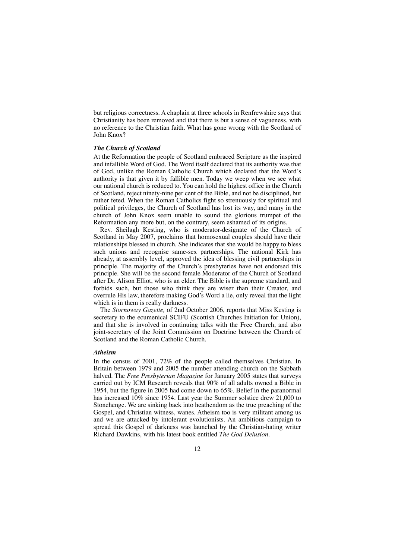but religious correctness. A chaplain at three schools in Renfrewshire says that Christianity has been removed and that there is but a sense of vagueness, with no reference to the Christian faith. What has gone wrong with the Scotland of John Knox?

#### *The Church of Scotland*

At the Reformation the people of Scotland embraced Scripture as the inspired and infallible Word of God. The Word itself declared that its authority was that of God, unlike the Roman Catholic Church which declared that the Word's authority is that given it by fallible men. Today we weep when we see what our national church is reduced to. You can hold the highest office in the Church of Scotland, reject ninety-nine per cent of the Bible, and not be disciplined, but rather feted. When the Roman Catholics fight so strenuously for spiritual and political privileges, the Church of Scotland has lost its way, and many in the church of John Knox seem unable to sound the glorious trumpet of the Reformation any more but, on the contrary, seem ashamed of its origins.

Rev. Sheilagh Kesting, who is moderator-designate of the Church of Scotland in May 2007, proclaims that homosexual couples should have their relationships blessed in church. She indicates that she would be happy to bless such unions and recognise same-sex partnerships. The national Kirk has already, at assembly level, approved the idea of blessing civil partnerships in principle. The majority of the Church's presbyteries have not endorsed this principle. She will be the second female Moderator of the Church of Scotland after Dr. Alison Elliot, who is an elder. The Bible is the supreme standard, and forbids such, but those who think they are wiser than their Creator, and overrule His law, therefore making God's Word a lie, only reveal that the light which is in them is really darkness.

The *Stornoway Gazette,* of 2nd October 2006, reports that Miss Kesting is secretary to the ecumenical SCIFU (Scottish Churches Initiation for Union), and that she is involved in continuing talks with the Free Church, and also joint-secretary of the Joint Commission on Doctrine between the Church of Scotland and the Roman Catholic Church.

#### *Atheism*

In the census of 2001, 72% of the people called themselves Christian. In Britain between 1979 and 2005 the number attending church on the Sabbath halved. The *Free Presbyterian Magazine* for January 2005 states that surveys carried out by ICM Research reveals that 90% of all adults owned a Bible in 1954, but the figure in 2005 had come down to 65%. Belief in the paranormal has increased 10% since 1954. Last year the Summer solstice drew 21,000 to Stonehenge. We are sinking back into heathendom as the true preaching of the Gospel, and Christian witness, wanes. Atheism too is very militant among us and we are attacked by intolerant evolutionists. An ambitious campaign to spread this Gospel of darkness was launched by the Christian-hating writer Richard Dawkins, with his latest book entitled *The God Delusion.*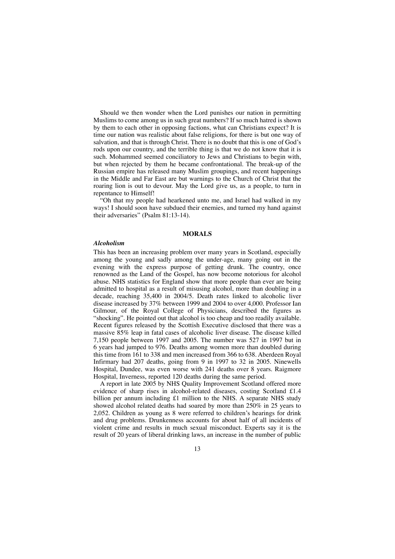Should we then wonder when the Lord punishes our nation in permitting Muslims to come among us in such great numbers? If so much hatred is shown by them to each other in opposing factions, what can Christians expect? It is time our nation was realistic about false religions, for there is but one way of salvation, and that is through Christ. There is no doubt that this is one of God's rods upon our country, and the terrible thing is that we do not know that it is such. Mohammed seemed conciliatory to Jews and Christians to begin with, but when rejected by them he became confrontational. The break-up of the Russian empire has released many Muslim groupings, and recent happenings in the Middle and Far East are but warnings to the Church of Christ that the roaring lion is out to devour. May the Lord give us, as a people, to turn in repentance to Himself!

"Oh that my people had hearkened unto me, and Israel had walked in my ways! I should soon have subdued their enemies, and turned my hand against their adversaries" (Psalm 81:13-14).

#### **MORALS**

#### *Alcoholism*

This has been an increasing problem over many years in Scotland, especially among the young and sadly among the under-age, many going out in the evening with the express purpose of getting drunk. The country, once renowned as the Land of the Gospel, has now become notorious for alcohol abuse. NHS statistics for England show that more people than ever are being admitted to hospital as a result of misusing alcohol, more than doubling in a decade, reaching 35,400 in 2004/5. Death rates linked to alcoholic liver disease increased by 37% between 1999 and 2004 to over 4,000. Professor Ian Gilmour, of the Royal College of Physicians, described the figures as "shocking". He pointed out that alcohol is too cheap and too readily available. Recent figures released by the Scottish Executive disclosed that there was a massive 85% leap in fatal cases of alcoholic liver disease. The disease killed 7,150 people between 1997 and 2005. The number was 527 in 1997 but in 6 years had jumped to 976. Deaths among women more than doubled during this time from 161 to 338 and men increased from 366 to 638. Aberdeen Royal Infirmary had 207 deaths, going from 9 in 1997 to 32 in 2005. Ninewells Hospital, Dundee, was even worse with 241 deaths over 8 years. Raigmore Hospital, Inverness, reported 120 deaths during the same period.

A report in late 2005 by NHS Quality Improvement Scotland offered more evidence of sharp rises in alcohol-related diseases, costing Scotland £1.4 billion per annum including £1 million to the NHS. A separate NHS study showed alcohol related deaths had soared by more than 250% in 25 years to 2,052. Children as young as 8 were referred to children's hearings for drink and drug problems. Drunkenness accounts for about half of all incidents of violent crime and results in much sexual misconduct. Experts say it is the result of 20 years of liberal drinking laws, an increase in the number of public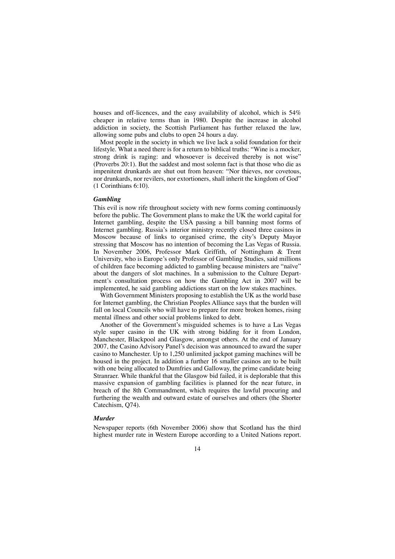houses and off-licences, and the easy availability of alcohol, which is 54% cheaper in relative terms than in 1980. Despite the increase in alcohol addiction in society, the Scottish Parliament has further relaxed the law, allowing some pubs and clubs to open 24 hours a day.

Most people in the society in which we live lack a solid foundation for their lifestyle. What a need there is for a return to biblical truths: "Wine is a mocker, strong drink is raging: and whosoever is deceived thereby is not wise" (Proverbs 20:1). But the saddest and most solemn fact is that those who die as impenitent drunkards are shut out from heaven: "Nor thieves, nor covetous, nor drunkards, nor revilers, nor extortioners, shall inherit the kingdom of God" (1 Corinthians 6:10).

#### *Gambling*

This evil is now rife throughout society with new forms coming continuously before the public. The Government plans to make the UK the world capital for Internet gambling, despite the USA passing a bill banning most forms of Internet gambling. Russia's interior ministry recently closed three casinos in Moscow because of links to organised crime, the city's Deputy Mayor stressing that Moscow has no intention of becoming the Las Vegas of Russia. In November 2006, Professor Mark Griffith, of Nottingham & Trent University, who is Europe's only Professor of Gambling Studies, said millions of children face becoming addicted to gambling because ministers are "naïve" about the dangers of slot machines. In a submission to the Culture Department's consultation process on how the Gambling Act in 2007 will be implemented, he said gambling addictions start on the low stakes machines.

With Government Ministers proposing to establish the UK as the world base for Internet gambling, the Christian Peoples Alliance says that the burden will fall on local Councils who will have to prepare for more broken homes, rising mental illness and other social problems linked to debt.

Another of the Government's misguided schemes is to have a Las Vegas style super casino in the UK with strong bidding for it from London, Manchester, Blackpool and Glasgow, amongst others. At the end of January 2007, the Casino Advisory Panel's decision was announced to award the super casino to Manchester. Up to 1,250 unlimited jackpot gaming machines will be housed in the project. In addition a further 16 smaller casinos are to be built with one being allocated to Dumfries and Galloway, the prime candidate being Stranraer. While thankful that the Glasgow bid failed, it is deplorable that this massive expansion of gambling facilities is planned for the near future, in breach of the 8th Commandment, which requires the lawful procuring and furthering the wealth and outward estate of ourselves and others (the Shorter Catechism, Q74).

#### *Murder*

Newspaper reports (6th November 2006) show that Scotland has the third highest murder rate in Western Europe according to a United Nations report.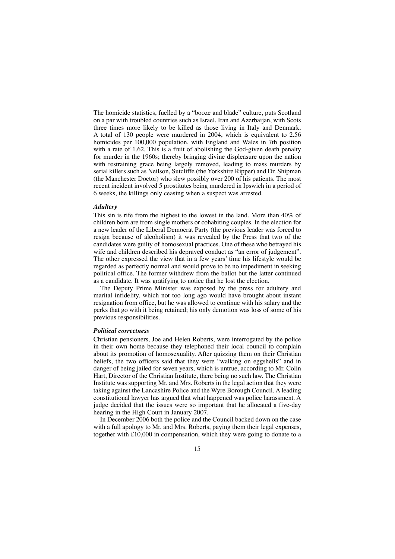The homicide statistics, fuelled by a "booze and blade" culture, puts Scotland on a par with troubled countries such as Israel, Iran and Azerbaijan, with Scots three times more likely to be killed as those living in Italy and Denmark. A total of 130 people were murdered in 2004, which is equivalent to 2.56 homicides per 100,000 population, with England and Wales in 7th position with a rate of 1.62. This is a fruit of abolishing the God-given death penalty for murder in the 1960s; thereby bringing divine displeasure upon the nation with restraining grace being largely removed, leading to mass murders by serial killers such as Neilson, Sutcliffe (the Yorkshire Ripper) and Dr. Shipman (the Manchester Doctor) who slew possibly over 200 of his patients. The most recent incident involved 5 prostitutes being murdered in Ipswich in a period of 6 weeks, the killings only ceasing when a suspect was arrested.

#### *Adultery*

This sin is rife from the highest to the lowest in the land. More than 40% of children born are from single mothers or cohabiting couples. In the election for a new leader of the Liberal Democrat Party (the previous leader was forced to resign because of alcoholism) it was revealed by the Press that two of the candidates were guilty of homosexual practices. One of these who betrayed his wife and children described his depraved conduct as "an error of judgement". The other expressed the view that in a few years' time his lifestyle would be regarded as perfectly normal and would prove to be no impediment in seeking political office. The former withdrew from the ballot but the latter continued as a candidate. It was gratifying to notice that he lost the election.

The Deputy Prime Minister was exposed by the press for adultery and marital infidelity, which not too long ago would have brought about instant resignation from office, but he was allowed to continue with his salary and the perks that go with it being retained; his only demotion was loss of some of his previous responsibilities.

#### *Political correctness*

Christian pensioners, Joe and Helen Roberts, were interrogated by the police in their own home because they telephoned their local council to complain about its promotion of homosexuality. After quizzing them on their Christian beliefs, the two officers said that they were "walking on eggshells" and in danger of being jailed for seven years, which is untrue, according to Mr. Colin Hart, Director of the Christian Institute, there being no such law. The Christian Institute was supporting Mr. and Mrs. Roberts in the legal action that they were taking against the Lancashire Police and the Wyre Borough Council. A leading constitutional lawyer has argued that what happened was police harassment. A judge decided that the issues were so important that he allocated a five-day hearing in the High Court in January 2007.

In December 2006 both the police and the Council backed down on the case with a full apology to Mr. and Mrs. Roberts, paying them their legal expenses, together with £10,000 in compensation, which they were going to donate to a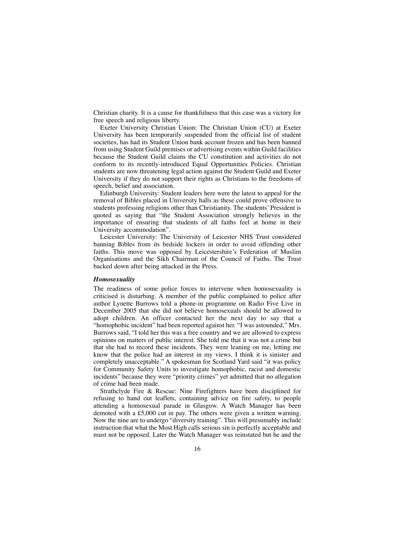Christian charity. It is a cause for thankfulness that this case was a victory for free speech and religious liberty.

Exeter University Christian Union: The Christian Union (CU) at Exeter University has been temporarily suspended from the official list of student societies, has had its Student Union bank account frozen and has been banned from using Student Guild premises or advertising events within Guild facilities because the Student Guild claims the CU constitution and activities do not conform to its recently-introduced Equal Opportunities Policies. Christian students are now threatening legal action against the Student Guild and Exeter University if they do not support their rights as Christians to the freedoms of speech, belief and association.

Edinburgh University: Student leaders here were the latest to appeal for the removal of Bibles placed in University halls as these could prove offensive to students professing religions other than Christianity. The students' President is quoted as saying that "the Student Association strongly believes in the importance of ensuring that students of all faiths feel at home in their University accommodation".

Leicester University: The University of Leicester NHS Trust considered banning Bibles from its bedside lockers in order to avoid offending other faiths. This move was opposed by Leicestershire's Federation of Muslim Organisations and the Sikh Chairman of the Council of Faiths. The Trust backed down after being attacked in the Press.

#### *Homosexuality*

The readiness of some police forces to intervene when homosexuality is criticised is disturbing. A member of the public complained to police after author Lynette Burrows told a phone-in programme on Radio Five Live in December 2005 that she did not believe homosexuals should be allowed to adopt children. An officer contacted her the next day to say that a "homophobic incident" had been reported against her. "I was astounded," Mrs. Burrows said, "I told her this was a free country and we are allowed to express opinions on matters of public interest. She told me that it was not a crime but that she had to record these incidents. They were leaning on me, letting me know that the police had an interest in my views. I think it is sinister and completely unacceptable." A spokesman for Scotland Yard said "it was policy for Community Safety Units to investigate homophobic, racist and domestic incidents" because they were "priority crimes" yet admitted that no allegation of crime had been made.

Strathclyde Fire & Rescue: Nine Firefighters have been disciplined for refusing to hand out leaflets, containing advice on fire safety, to people attending a homosexual parade in Glasgow. A Watch Manager has been demoted with a £5,000 cut in pay. The others were given a written warning. Now the nine are to undergo "diversity training". This will presumably include instruction that what the Most High calls serious sin is perfectly acceptable and must not be opposed. Later the Watch Manager was reinstated but he and the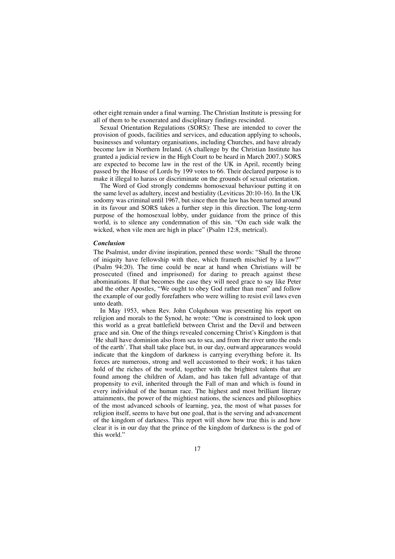other eight remain under a final warning. The Christian Institute is pressing for all of them to be exonerated and disciplinary findings rescinded.

Sexual Orientation Regulations (SORS): These are intended to cover the provision of goods, facilities and services, and education applying to schools, businesses and voluntary organisations, including Churches, and have already become law in Northern Ireland. (A challenge by the Christian Institute has granted a judicial review in the High Court to be heard in March 2007.) SORS are expected to become law in the rest of the UK in April, recently being passed by the House of Lords by 199 votes to 66. Their declared purpose is to make it illegal to harass or discriminate on the grounds of sexual orientation.

The Word of God strongly condemns homosexual behaviour putting it on the same level as adultery, incest and bestiality (Leviticus 20:10-16). In the UK sodomy was criminal until 1967, but since then the law has been turned around in its favour and SORS takes a further step in this direction. The long-term purpose of the homosexual lobby, under guidance from the prince of this world, is to silence any condemnation of this sin. "On each side walk the wicked, when vile men are high in place" (Psalm 12:8, metrical).

#### *Conclusion*

The Psalmist, under divine inspiration, penned these words: "Shall the throne of iniquity have fellowship with thee, which frameth mischief by a law?" (Psalm 94:20). The time could be near at hand when Christians will be prosecuted (fined and imprisoned) for daring to preach against these abominations. If that becomes the case they will need grace to say like Peter and the other Apostles, "We ought to obey God rather than men" and follow the example of our godly forefathers who were willing to resist evil laws even unto death.

In May 1953, when Rev. John Colquhoun was presenting his report on religion and morals to the Synod, he wrote: "One is constrained to look upon this world as a great battlefield between Christ and the Devil and between grace and sin. One of the things revealed concerning Christ's Kingdom is that 'He shall have dominion also from sea to sea, and from the river unto the ends of the earth'. That shall take place but, in our day, outward appearances would indicate that the kingdom of darkness is carrying everything before it. Its forces are numerous, strong and well accustomed to their work; it has taken hold of the riches of the world, together with the brightest talents that are found among the children of Adam, and has taken full advantage of that propensity to evil, inherited through the Fall of man and which is found in every individual of the human race. The highest and most brilliant literary attainments, the power of the mightiest nations, the sciences and philosophies of the most advanced schools of learning, yea, the most of what passes for religion itself, seems to have but one goal, that is the serving and advancement of the kingdom of darkness. This report will show how true this is and how clear it is in our day that the prince of the kingdom of darkness is the god of this world."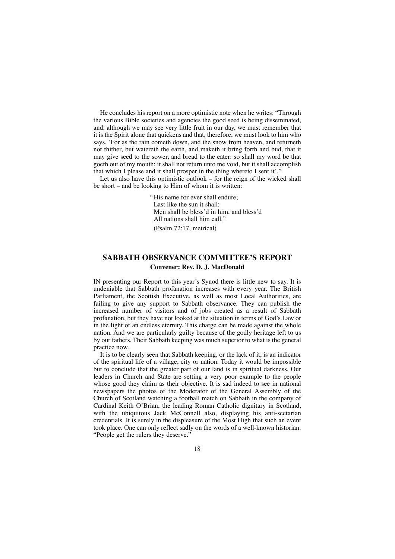He concludes his report on a more optimistic note when he writes: "Through the various Bible societies and agencies the good seed is being disseminated, and, although we may see very little fruit in our day, we must remember that it is the Spirit alone that quickens and that, therefore, we must look to him who says, 'For as the rain cometh down, and the snow from heaven, and returneth not thither, but watereth the earth, and maketh it bring forth and bud, that it may give seed to the sower, and bread to the eater: so shall my word be that goeth out of my mouth: it shall not return unto me void, but it shall accomplish that which I please and it shall prosper in the thing whereto I sent it'."

Let us also have this optimistic outlook – for the reign of the wicked shall be short – and be looking to Him of whom it is written:

> "His name for ever shall endure; Last like the sun it shall: Men shall be bless'd in him, and bless'd All nations shall him call." (Psalm 72:17, metrical)

## **SABBATH OBSERVANCE COMMITTEE'S REPORT Convener: Rev. D. J. MacDonald**

IN presenting our Report to this year's Synod there is little new to say. It is undeniable that Sabbath profanation increases with every year. The British Parliament, the Scottish Executive, as well as most Local Authorities, are failing to give any support to Sabbath observance. They can publish the increased number of visitors and of jobs created as a result of Sabbath profanation, but they have not looked at the situation in terms of God's Law or in the light of an endless eternity. This charge can be made against the whole nation. And we are particularly guilty because of the godly heritage left to us by our fathers. Their Sabbath keeping was much superior to what is the general practice now.

It is to be clearly seen that Sabbath keeping, or the lack of it, is an indicator of the spiritual life of a village, city or nation. Today it would be impossible but to conclude that the greater part of our land is in spiritual darkness. Our leaders in Church and State are setting a very poor example to the people whose good they claim as their objective. It is sad indeed to see in national newspapers the photos of the Moderator of the General Assembly of the Church of Scotland watching a football match on Sabbath in the company of Cardinal Keith O'Brian, the leading Roman Catholic dignitary in Scotland, with the ubiquitous Jack McConnell also, displaying his anti-sectarian credentials. It is surely in the displeasure of the Most High that such an event took place. One can only reflect sadly on the words of a well-known historian: "People get the rulers they deserve."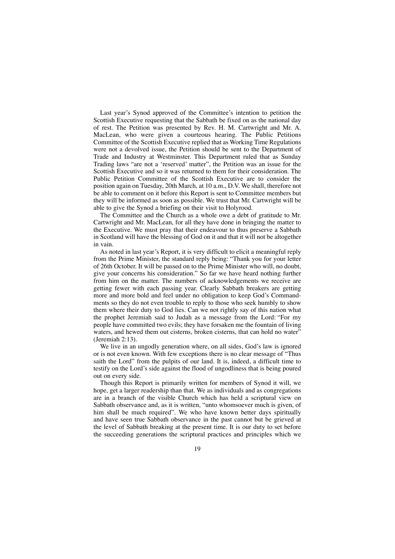Last year's Synod approved of the Committee's intention to petition the Scottish Executive requesting that the Sabbath be fixed on as the national day of rest. The Petition was presented by Rev. H. M. Cartwright and Mr. A. MacLean, who were given a courteous hearing. The Public Petitions Committee of the Scottish Executive replied that as Working Time Regulations were not a devolved issue, the Petition should be sent to the Department of Trade and Industry at Westminster. This Department ruled that as Sunday Trading laws "are not a 'reserved' matter", the Petition was an issue for the Scottish Executive and so it was returned to them for their consideration. The Public Petition Committee of the Scottish Executive are to consider the position again on Tuesday, 20th March, at 10 a.m., D.V. We shall, therefore not be able to comment on it before this Report is sent to Committee members but they will be informed as soon as possible. We trust that Mr. Cartwright will be able to give the Synod a briefing on their visit to Holyrood.

The Committee and the Church as a whole owe a debt of gratitude to Mr. Cartwright and Mr. MacLean, for all they have done in bringing the matter to the Executive. We must pray that their endeavour to thus preserve a Sabbath in Scotland will have the blessing of God on it and that it will not be altogether in vain.

As noted in last year's Report, it is very difficult to elicit a meaningful reply from the Prime Minister, the standard reply being: "Thank you for your letter of 26th October. It will be passed on to the Prime Minister who will, no doubt, give your concerns his consideration." So far we have heard nothing further from him on the matter. The numbers of acknowledgements we receive are getting fewer with each passing year. Clearly Sabbath breakers are getting more and more bold and feel under no obligation to keep God's Commandments so they do not even trouble to reply to those who seek humbly to show them where their duty to God lies. Can we not rightly say of this nation what the prophet Jeremiah said to Judah as a message from the Lord: "For my people have committed two evils; they have forsaken me the fountain of living waters, and hewed them out cisterns, broken cisterns, that can hold no water' (Jeremiah 2:13).

We live in an ungodly generation where, on all sides, God's law is ignored or is not even known. With few exceptions there is no clear message of "Thus saith the Lord" from the pulpits of our land. It is, indeed, a difficult time to testify on the Lord's side against the flood of ungodliness that is being poured out on every side.

Though this Report is primarily written for members of Synod it will, we hope, get a larger readership than that. We as individuals and as congregations are in a branch of the visible Church which has held a scriptural view on Sabbath observance and, as it is written, "unto whomsoever much is given, of him shall be much required". We who have known better days spiritually and have seen true Sabbath observance in the past cannot but be grieved at the level of Sabbath breaking at the present time. It is our duty to set before the succeeding generations the scriptural practices and principles which we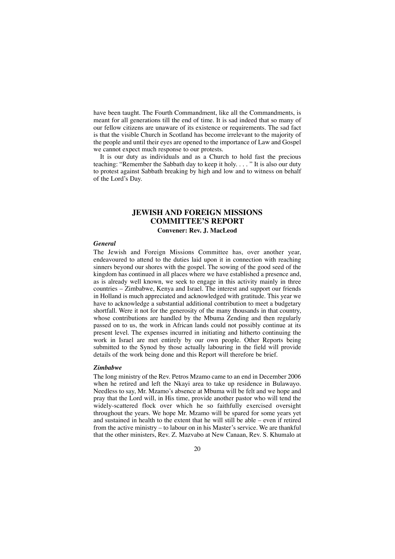have been taught. The Fourth Commandment, like all the Commandments, is meant for all generations till the end of time. It is sad indeed that so many of our fellow citizens are unaware of its existence or requirements. The sad fact is that the visible Church in Scotland has become irrelevant to the majority of the people and until their eyes are opened to the importance of Law and Gospel we cannot expect much response to our protests.

It is our duty as individuals and as a Church to hold fast the precious teaching: "Remember the Sabbath day to keep it holy. . . . " It is also our duty to protest against Sabbath breaking by high and low and to witness on behalf of the Lord's Day.

## **JEWISH AND FOREIGN MISSIONS COMMITTEE'S REPORT Convener: Rev. J. MacLeod**

#### *General*

The Jewish and Foreign Missions Committee has, over another year, endeavoured to attend to the duties laid upon it in connection with reaching sinners beyond our shores with the gospel. The sowing of the good seed of the kingdom has continued in all places where we have established a presence and, as is already well known, we seek to engage in this activity mainly in three countries – Zimbabwe, Kenya and Israel. The interest and support our friends in Holland is much appreciated and acknowledged with gratitude. This year we have to acknowledge a substantial additional contribution to meet a budgetary shortfall. Were it not for the generosity of the many thousands in that country, whose contributions are handled by the Mbuma Zending and then regularly passed on to us, the work in African lands could not possibly continue at its present level. The expenses incurred in initiating and hitherto continuing the work in Israel are met entirely by our own people. Other Reports being submitted to the Synod by those actually labouring in the field will provide details of the work being done and this Report will therefore be brief.

#### *Zimbabwe*

The long ministry of the Rev. Petros Mzamo came to an end in December 2006 when he retired and left the Nkayi area to take up residence in Bulawayo. Needless to say, Mr. Mzamo's absence at Mbuma will be felt and we hope and pray that the Lord will, in His time, provide another pastor who will tend the widely-scattered flock over which he so faithfully exercised oversight throughout the years. We hope Mr. Mzamo will be spared for some years yet and sustained in health to the extent that he will still be able – even if retired from the active ministry – to labour on in his Master's service. We are thankful that the other ministers, Rev. Z. Mazvabo at New Canaan, Rev. S. Khumalo at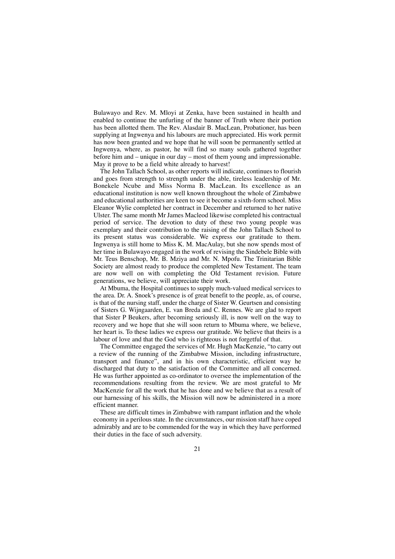Bulawayo and Rev. M. Mloyi at Zenka, have been sustained in health and enabled to continue the unfurling of the banner of Truth where their portion has been allotted them. The Rev. Alasdair B. MacLean, Probationer, has been supplying at Ingwenya and his labours are much appreciated. His work permit has now been granted and we hope that he will soon be permanently settled at Ingwenya, where, as pastor, he will find so many souls gathered together before him and – unique in our day – most of them young and impressionable. May it prove to be a field white already to harvest!

The John Tallach School, as other reports will indicate, continues to flourish and goes from strength to strength under the able, tireless leadership of Mr. Bonekele Ncube and Miss Norma B. MacLean. Its excellence as an educational institution is now well known throughout the whole of Zimbabwe and educational authorities are keen to see it become a sixth-form school. Miss Eleanor Wylie completed her contract in December and returned to her native Ulster. The same month Mr James Macleod likewise completed his contractual period of service. The devotion to duty of these two young people was exemplary and their contribution to the raising of the John Tallach School to its present status was considerable. We express our gratitude to them. Ingwenya is still home to Miss K. M. MacAulay, but she now spends most of her time in Bulawayo engaged in the work of revising the Sindebele Bible with Mr. Teus Benschop, Mr. B. Mziya and Mr. N. Mpofu. The Trinitarian Bible Society are almost ready to produce the completed New Testament. The team are now well on with completing the Old Testament revision. Future generations, we believe, will appreciate their work.

At Mbuma, the Hospital continues to supply much-valued medical services to the area. Dr. A. Snoek's presence is of great benefit to the people, as, of course, is that of the nursing staff, under the charge of Sister W. Geurtsen and consisting of Sisters G. Wijngaarden, E. van Breda and C. Rennes. We are glad to report that Sister P Beukers, after becoming seriously ill, is now well on the way to recovery and we hope that she will soon return to Mbuma where, we believe, her heart is. To these ladies we express our gratitude. We believe that theirs is a labour of love and that the God who is righteous is not forgetful of that.

The Committee engaged the services of Mr. Hugh MacKenzie, "to carry out a review of the running of the Zimbabwe Mission, including infrastructure, transport and finance", and in his own characteristic, efficient way he discharged that duty to the satisfaction of the Committee and all concerned. He was further appointed as co-ordinator to oversee the implementation of the recommendations resulting from the review. We are most grateful to Mr MacKenzie for all the work that he has done and we believe that as a result of our harnessing of his skills, the Mission will now be administered in a more efficient manner.

These are difficult times in Zimbabwe with rampant inflation and the whole economy in a perilous state. In the circumstances, our mission staff have coped admirably and are to be commended for the way in which they have performed their duties in the face of such adversity.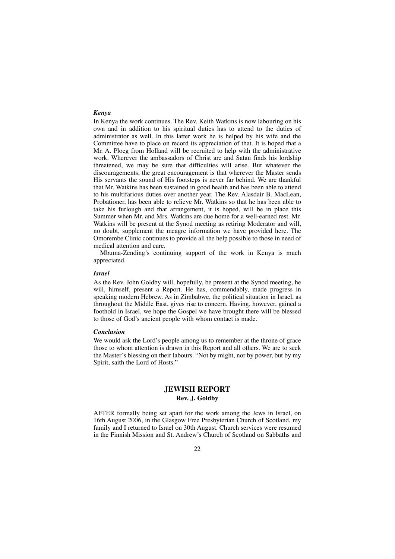#### *Kenya*

In Kenya the work continues. The Rev. Keith Watkins is now labouring on his own and in addition to his spiritual duties has to attend to the duties of administrator as well. In this latter work he is helped by his wife and the Committee have to place on record its appreciation of that. It is hoped that a Mr. A. Ploeg from Holland will be recruited to help with the administrative work. Wherever the ambassadors of Christ are and Satan finds his lordship threatened, we may be sure that difficulties will arise. But whatever the discouragements, the great encouragement is that wherever the Master sends His servants the sound of His footsteps is never far behind. We are thankful that Mr. Watkins has been sustained in good health and has been able to attend to his multifarious duties over another year. The Rev. Alasdair B. MacLean, Probationer, has been able to relieve Mr. Watkins so that he has been able to take his furlough and that arrangement, it is hoped, will be in place this Summer when Mr. and Mrs. Watkins are due home for a well-earned rest. Mr. Watkins will be present at the Synod meeting as retiring Moderator and will, no doubt, supplement the meagre information we have provided here. The Omorembe Clinic continues to provide all the help possible to those in need of medical attention and care.

Mbuma-Zending's continuing support of the work in Kenya is much appreciated.

#### *Israel*

As the Rev. John Goldby will, hopefully, be present at the Synod meeting, he will, himself, present a Report. He has, commendably, made progress in speaking modern Hebrew. As in Zimbabwe, the political situation in Israel, as throughout the Middle East, gives rise to concern. Having, however, gained a foothold in Israel, we hope the Gospel we have brought there will be blessed to those of God's ancient people with whom contact is made.

#### *Conclusion*

We would ask the Lord's people among us to remember at the throne of grace those to whom attention is drawn in this Report and all others. We are to seek the Master's blessing on their labours. "Not by might, nor by power, but by my Spirit, saith the Lord of Hosts."

## **JEWISH REPORT Rev. J. Goldby**

AFTER formally being set apart for the work among the Jews in Israel, on 16th August 2006, in the Glasgow Free Presbyterian Church of Scotland, my family and I returned to Israel on 30th August. Church services were resumed in the Finnish Mission and St. Andrew's Church of Scotland on Sabbaths and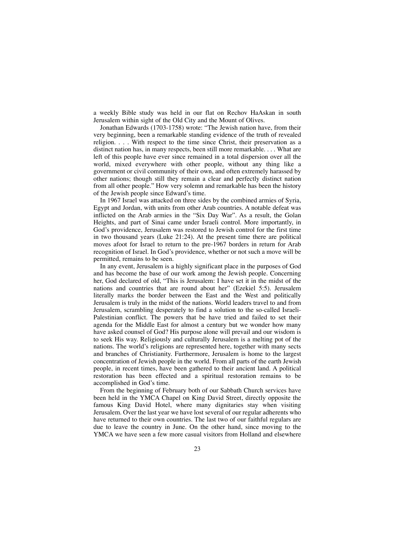a weekly Bible study was held in our flat on Rechov HaAskan in south Jerusalem within sight of the Old City and the Mount of Olives.

Jonathan Edwards (1703-1758) wrote: "The Jewish nation have, from their very beginning, been a remarkable standing evidence of the truth of revealed religion. . . . With respect to the time since Christ, their preservation as a distinct nation has, in many respects, been still more remarkable. . . . What are left of this people have ever since remained in a total dispersion over all the world, mixed everywhere with other people, without any thing like a government or civil community of their own, and often extremely harassed by other nations; though still they remain a clear and perfectly distinct nation from all other people." How very solemn and remarkable has been the history of the Jewish people since Edward's time.

In 1967 Israel was attacked on three sides by the combined armies of Syria, Egypt and Jordan, with units from other Arab countries. A notable defeat was inflicted on the Arab armies in the "Six Day War". As a result, the Golan Heights, and part of Sinai came under Israeli control. More importantly, in God's providence, Jerusalem was restored to Jewish control for the first time in two thousand years (Luke 21:24). At the present time there are political moves afoot for Israel to return to the pre-1967 borders in return for Arab recognition of Israel. In God's providence, whether or not such a move will be permitted, remains to be seen.

In any event, Jerusalem is a highly significant place in the purposes of God and has become the base of our work among the Jewish people. Concerning her, God declared of old, "This is Jerusalem: I have set it in the midst of the nations and countries that are round about her" (Ezekiel 5:5). Jerusalem literally marks the border between the East and the West and politically Jerusalem is truly in the midst of the nations. World leaders travel to and from Jerusalem, scrambling desperately to find a solution to the so-called Israeli-Palestinian conflict. The powers that be have tried and failed to set their agenda for the Middle East for almost a century but we wonder how many have asked counsel of God? His purpose alone will prevail and our wisdom is to seek His way. Religiously and culturally Jerusalem is a melting pot of the nations. The world's religions are represented here, together with many sects and branches of Christianity. Furthermore, Jerusalem is home to the largest concentration of Jewish people in the world. From all parts of the earth Jewish people, in recent times, have been gathered to their ancient land. A political restoration has been effected and a spiritual restoration remains to be accomplished in God's time.

From the beginning of February both of our Sabbath Church services have been held in the YMCA Chapel on King David Street, directly opposite the famous King David Hotel, where many dignitaries stay when visiting Jerusalem. Over the last year we have lost several of our regular adherents who have returned to their own countries. The last two of our faithful regulars are due to leave the country in June. On the other hand, since moving to the YMCA we have seen a few more casual visitors from Holland and elsewhere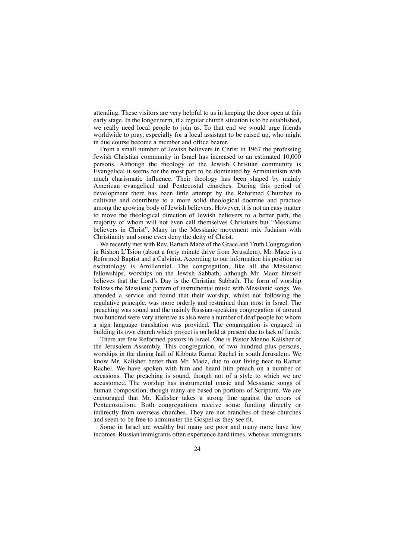attending. These visitors are very helpful to us in keeping the door open at this early stage. In the longer term, if a regular church situation is to be established, we really need local people to join us. To that end we would urge friends worldwide to pray, especially for a local assistant to be raised up, who might in due course become a member and office bearer.

From a small number of Jewish believers in Christ in 1967 the professing Jewish Christian community in Israel has increased to an estimated 10,000 persons. Although the theology of the Jewish Christian community is Evangelical it seems for the most part to be dominated by Arminianism with much charismatic influence. Their theology has been shaped by mainly American evangelical and Pentecostal churches. During this period of development there has been little attempt by the Reformed Churches to cultivate and contribute to a more solid theological doctrine and practice among the growing body of Jewish believers. However, it is not an easy matter to move the theological direction of Jewish believers to a better path, the majority of whom will not even call themselves Christians but "Messianic believers in Christ". Many in the Messianic movement mix Judaism with Christianity and some even deny the deity of Christ.

We recently met with Rev. Baruch Maoz of the Grace and Truth Congregation in Rishon L'Tsion (about a forty minute drive from Jerusalem). Mr. Maoz is a Reformed Baptist and a Calvinist. According to our information his position on eschatology is Amillennial. The congregation, like all the Messianic fellowships, worships on the Jewish Sabbath, although Mr. Maoz himself believes that the Lord's Day is the Christian Sabbath. The form of worship follows the Messianic pattern of instrumental music with Messianic songs. We attended a service and found that their worship, whilst not following the regulative principle, was more orderly and restrained than most in Israel. The preaching was sound and the mainly Russian-speaking congregation of around two hundred were very attentive as also were a number of deaf people for whom a sign language translation was provided. The congregation is engaged in building its own church which project is on hold at present due to lack of funds.

There are few Reformed pastors in Israel. One is Pastor Menno Kalisher of the Jerusalem Assembly. This congregation, of two hundred plus persons, worships in the dining hall of Kibbutz Ramat Rachel in south Jerusalem. We know Mr. Kalisher better than Mr. Maoz, due to our living near to Ramat Rachel. We have spoken with him and heard him preach on a number of occasions. The preaching is sound, though not of a style to which we are accustomed. The worship has instrumental music and Messianic songs of human composition, though many are based on portions of Scripture. We are encouraged that Mr. Kalisher takes a strong line against the errors of Pentecostalism. Both congregations receive some funding directly or indirectly from overseas churches. They are not branches of these churches and seem to be free to administer the Gospel as they see fit.

Some in Israel are wealthy but many are poor and many more have low incomes. Russian immigrants often experience hard times, whereas immigrants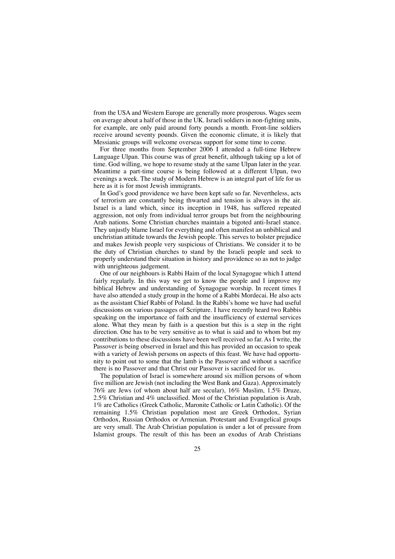from the USA and Western Europe are generally more prosperous. Wages seem on average about a half of those in the UK. Israeli soldiers in non-fighting units, for example, are only paid around forty pounds a month. Front-line soldiers receive around seventy pounds. Given the economic climate, it is likely that Messianic groups will welcome overseas support for some time to come.

For three months from September 2006 I attended a full-time Hebrew Language Ulpan. This course was of great benefit, although taking up a lot of time. God willing, we hope to resume study at the same Ulpan later in the year. Meantime a part-time course is being followed at a different Ulpan, two evenings a week. The study of Modern Hebrew is an integral part of life for us here as it is for most Jewish immigrants.

In God's good providence we have been kept safe so far. Nevertheless, acts of terrorism are constantly being thwarted and tension is always in the air. Israel is a land which, since its inception in 1948, has suffered repeated aggression, not only from individual terror groups but from the neighbouring Arab nations. Some Christian churches maintain a bigoted anti-Israel stance. They unjustly blame Israel for everything and often manifest an unbiblical and unchristian attitude towards the Jewish people. This serves to bolster prejudice and makes Jewish people very suspicious of Christians. We consider it to be the duty of Christian churches to stand by the Israeli people and seek to properly understand their situation in history and providence so as not to judge with unrighteous judgement.

One of our neighbours is Rabbi Haim of the local Synagogue which I attend fairly regularly. In this way we get to know the people and I improve my biblical Hebrew and understanding of Synagogue worship. In recent times I have also attended a study group in the home of a Rabbi Mordecai. He also acts as the assistant Chief Rabbi of Poland. In the Rabbi's home we have had useful discussions on various passages of Scripture. I have recently heard two Rabbis speaking on the importance of faith and the insufficiency of external services alone. What they mean by faith is a question but this is a step in the right direction. One has to be very sensitive as to what is said and to whom but my contributions to these discussions have been well received so far. As I write, the Passover is being observed in Israel and this has provided an occasion to speak with a variety of Jewish persons on aspects of this feast. We have had opportunity to point out to some that the lamb is the Passover and without a sacrifice there is no Passover and that Christ our Passover is sacrificed for us.

The population of Israel is somewhere around six million persons of whom five million are Jewish (not including the West Bank and Gaza). Approximately 76% are Jews (of whom about half are secular), 16% Muslim, 1.5% Druze, 2.5% Christian and 4% unclassified. Most of the Christian population is Arab, 1% are Catholics (Greek Catholic, Maronite Catholic or Latin Catholic). Of the remaining 1.5% Christian population most are Greek Orthodox, Syrian Orthodox, Russian Orthodox or Armenian. Protestant and Evangelical groups are very small. The Arab Christian population is under a lot of pressure from Islamist groups. The result of this has been an exodus of Arab Christians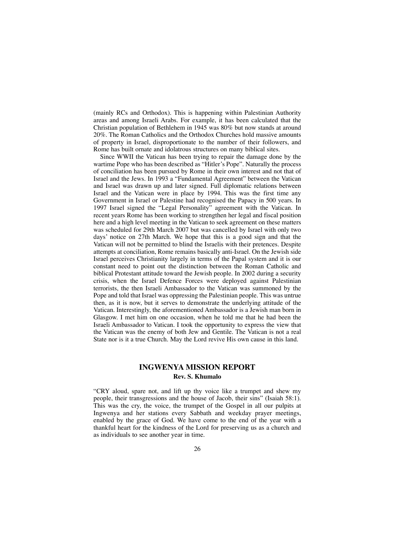(mainly RCs and Orthodox). This is happening within Palestinian Authority areas and among Israeli Arabs. For example, it has been calculated that the Christian population of Bethlehem in 1945 was 80% but now stands at around 20%. The Roman Catholics and the Orthodox Churches hold massive amounts of property in Israel, disproportionate to the number of their followers, and Rome has built ornate and idolatrous structures on many biblical sites.

Since WWII the Vatican has been trying to repair the damage done by the wartime Pope who has been described as "Hitler's Pope". Naturally the process of conciliation has been pursued by Rome in their own interest and not that of Israel and the Jews. In 1993 a "Fundamental Agreement" between the Vatican and Israel was drawn up and later signed. Full diplomatic relations between Israel and the Vatican were in place by 1994. This was the first time any Government in Israel or Palestine had recognised the Papacy in 500 years. In 1997 Israel signed the "Legal Personality" agreement with the Vatican. In recent years Rome has been working to strengthen her legal and fiscal position here and a high level meeting in the Vatican to seek agreement on these matters was scheduled for 29th March 2007 but was cancelled by Israel with only two days' notice on 27th March. We hope that this is a good sign and that the Vatican will not be permitted to blind the Israelis with their pretences. Despite attempts at conciliation, Rome remains basically anti-Israel. On the Jewish side Israel perceives Christianity largely in terms of the Papal system and it is our constant need to point out the distinction between the Roman Catholic and biblical Protestant attitude toward the Jewish people. In 2002 during a security crisis, when the Israel Defence Forces were deployed against Palestinian terrorists, the then Israeli Ambassador to the Vatican was summoned by the Pope and told that Israel was oppressing the Palestinian people. This was untrue then, as it is now, but it serves to demonstrate the underlying attitude of the Vatican. Interestingly, the aforementioned Ambassador is a Jewish man born in Glasgow. I met him on one occasion, when he told me that he had been the Israeli Ambassador to Vatican. I took the opportunity to express the view that the Vatican was the enemy of both Jew and Gentile. The Vatican is not a real State nor is it a true Church. May the Lord revive His own cause in this land.

## **INGWENYA MISSION REPORT Rev. S. Khumalo**

"CRY aloud, spare not, and lift up thy voice like a trumpet and shew my people, their transgressions and the house of Jacob, their sins" (Isaiah 58:1). This was the cry, the voice, the trumpet of the Gospel in all our pulpits at Ingwenya and her stations every Sabbath and weekday prayer meetings, enabled by the grace of God. We have come to the end of the year with a thankful heart for the kindness of the Lord for preserving us as a church and as individuals to see another year in time.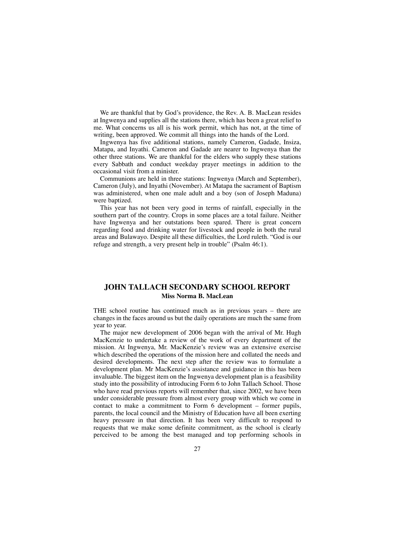We are thankful that by God's providence, the Rev. A. B. MacLean resides at Ingwenya and supplies all the stations there, which has been a great relief to me. What concerns us all is his work permit, which has not, at the time of writing, been approved. We commit all things into the hands of the Lord.

Ingwenya has five additional stations, namely Cameron, Gadade, Insiza, Matapa, and Inyathi. Cameron and Gadade are nearer to Ingwenya than the other three stations. We are thankful for the elders who supply these stations every Sabbath and conduct weekday prayer meetings in addition to the occasional visit from a minister.

Communions are held in three stations: Ingwenya (March and September), Cameron (July), and Inyathi (November). At Matapa the sacrament of Baptism was administered, when one male adult and a boy (son of Joseph Maduna) were baptized.

This year has not been very good in terms of rainfall, especially in the southern part of the country. Crops in some places are a total failure. Neither have Ingwenya and her outstations been spared. There is great concern regarding food and drinking water for livestock and people in both the rural areas and Bulawayo. Despite all these difficulties, the Lord ruleth. "God is our refuge and strength, a very present help in trouble" (Psalm 46:1).

## **JOHN TALLACH SECONDARY SCHOOL REPORT Miss Norma B. MacLean**

THE school routine has continued much as in previous years – there are changes in the faces around us but the daily operations are much the same from year to year.

The major new development of 2006 began with the arrival of Mr. Hugh MacKenzie to undertake a review of the work of every department of the mission. At Ingwenya, Mr. MacKenzie's review was an extensive exercise which described the operations of the mission here and collated the needs and desired developments. The next step after the review was to formulate a development plan. Mr MacKenzie's assistance and guidance in this has been invaluable. The biggest item on the Ingwenya development plan is a feasibility study into the possibility of introducing Form 6 to John Tallach School. Those who have read previous reports will remember that, since 2002, we have been under considerable pressure from almost every group with which we come in contact to make a commitment to Form 6 development – former pupils, parents, the local council and the Ministry of Education have all been exerting heavy pressure in that direction. It has been very difficult to respond to requests that we make some definite commitment, as the school is clearly perceived to be among the best managed and top performing schools in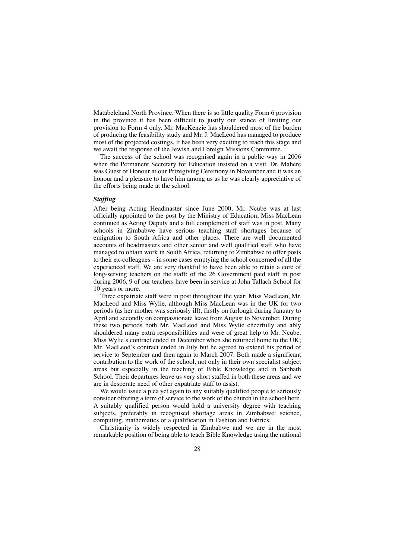Matabeleland North Province. When there is so little quality Form 6 provision in the province it has been difficult to justify our stance of limiting our provision to Form 4 only. Mr. MacKenzie has shouldered most of the burden of producing the feasibility study and Mr. J. MacLeod has managed to produce most of the projected costings. It has been very exciting to reach this stage and we await the response of the Jewish and Foreign Missions Committee.

The success of the school was recognised again in a public way in 2006 when the Permanent Secretary for Education insisted on a visit. Dr. Mahere was Guest of Honour at our Prizegiving Ceremony in November and it was an honour and a pleasure to have him among us as he was clearly appreciative of the efforts being made at the school.

#### *Staffing*

After being Acting Headmaster since June 2000, Mr. Ncube was at last officially appointed to the post by the Ministry of Education; Miss MacLean continued as Acting Deputy and a full complement of staff was in post. Many schools in Zimbabwe have serious teaching staff shortages because of emigration to South Africa and other places. There are well documented accounts of headmasters and other senior and well qualified staff who have managed to obtain work in South Africa, returning to Zimbabwe to offer posts to their ex-colleagues – in some cases emptying the school concerned of all the experienced staff. We are very thankful to have been able to retain a core of long-serving teachers on the staff: of the 26 Government paid staff in post during 2006, 9 of our teachers have been in service at John Tallach School for 10 years or more.

Three expatriate staff were in post throughout the year: Miss MacLean, Mr. MacLeod and Miss Wylie, although Miss MacLean was in the UK for two periods (as her mother was seriously ill), firstly on furlough during January to April and secondly on compassionate leave from August to November. During these two periods both Mr. MacLeod and Miss Wylie cheerfully and ably shouldered many extra responsibilities and were of great help to Mr. Ncube. Miss Wylie's contract ended in December when she returned home to the UK; Mr. MacLeod's contract ended in July but he agreed to extend his period of service to September and then again to March 2007. Both made a significant contribution to the work of the school, not only in their own specialist subject areas but especially in the teaching of Bible Knowledge and in Sabbath School. Their departures leave us very short staffed in both these areas and we are in desperate need of other expatriate staff to assist.

We would issue a plea yet again to any suitably qualified people to seriously consider offering a term of service to the work of the church in the school here. A suitably qualified person would hold a university degree with teaching subjects, preferably in recognised shortage areas in Zimbabwe: science, computing, mathematics or a qualification in Fashion and Fabrics.

Christianity is widely respected in Zimbabwe and we are in the most remarkable position of being able to teach Bible Knowledge using the national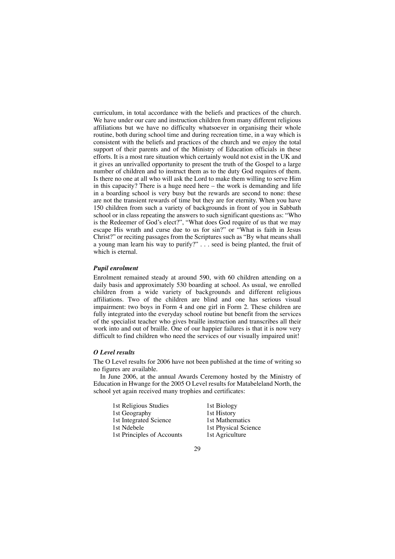curriculum, in total accordance with the beliefs and practices of the church. We have under our care and instruction children from many different religious affiliations but we have no difficulty whatsoever in organising their whole routine, both during school time and during recreation time, in a way which is consistent with the beliefs and practices of the church and we enjoy the total support of their parents and of the Ministry of Education officials in these efforts. It is a most rare situation which certainly would not exist in the UK and it gives an unrivalled opportunity to present the truth of the Gospel to a large number of children and to instruct them as to the duty God requires of them. Is there no one at all who will ask the Lord to make them willing to serve Him in this capacity? There is a huge need here – the work is demanding and life in a boarding school is very busy but the rewards are second to none: these are not the transient rewards of time but they are for eternity. When you have 150 children from such a variety of backgrounds in front of you in Sabbath school or in class repeating the answers to such significant questions as: "Who is the Redeemer of God's elect?", "What does God require of us that we may escape His wrath and curse due to us for sin?" or "What is faith in Jesus Christ?" or reciting passages from the Scriptures such as "By what means shall a young man learn his way to purify?" . . . seed is being planted, the fruit of which is eternal.

#### *Pupil enrolment*

Enrolment remained steady at around 590, with 60 children attending on a daily basis and approximately 530 boarding at school. As usual, we enrolled children from a wide variety of backgrounds and different religious affiliations. Two of the children are blind and one has serious visual impairment: two boys in Form 4 and one girl in Form 2. These children are fully integrated into the everyday school routine but benefit from the services of the specialist teacher who gives braille instruction and transcribes all their work into and out of braille. One of our happier failures is that it is now very difficult to find children who need the services of our visually impaired unit!

#### *O Level results*

The O Level results for 2006 have not been published at the time of writing so no figures are available.

In June 2006, at the annual Awards Ceremony hosted by the Ministry of Education in Hwange for the 2005 O Level results for Matabeleland North, the school yet again received many trophies and certificates:

| 1st Biology          |
|----------------------|
| 1st History          |
| 1st Mathematics      |
| 1st Physical Science |
| 1st Agriculture      |
|                      |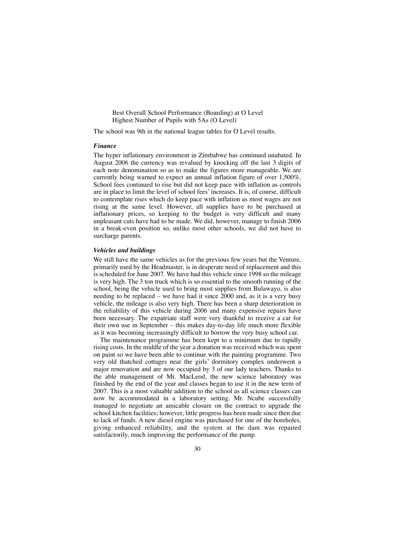Best Overall School Performance (Boarding) at O Level Highest Number of Pupils with 5As (O Level)

The school was 9th in the national league tables for O Level results.

#### *Finance*

The hyper inflationary environment in Zimbabwe has continued unabated. In August 2006 the currency was revalued by knocking off the last 3 digits of each note denomination so as to make the figures more manageable. We are currently being warned to expect an annual inflation figure of over 1,500%. School fees continued to rise but did not keep pace with inflation as controls are in place to limit the level of school fees' increases. It is, of course, difficult to contemplate rises which do keep pace with inflation as most wages are not rising at the same level. However, all supplies have to be purchased at inflationary prices, so keeping to the budget is very difficult and many unpleasant cuts have had to be made. We did, however, manage to finish 2006 in a break-even position so, unlike most other schools, we did not have to surcharge parents.

#### *Vehicles and buildings*

We still have the same vehicles as for the previous few years but the Venture, primarily used by the Headmaster, is in desperate need of replacement and this is scheduled for June 2007. We have had this vehicle since 1998 so the mileage is very high. The 3 ton truck which is so essential to the smooth running of the school, being the vehicle used to bring most supplies from Bulawayo, is also needing to be replaced – we have had it since 2000 and, as it is a very busy vehicle, the mileage is also very high. There has been a sharp deterioration in the reliability of this vehicle during 2006 and many expensive repairs have been necessary. The expatriate staff were very thankful to receive a car for their own use in September – this makes day-to-day life much more flexible as it was becoming increasingly difficult to borrow the very busy school car.

The maintenance programme has been kept to a minimum due to rapidly rising costs. In the middle of the year a donation was received which was spent on paint so we have been able to continue with the painting programme. Two very old thatched cottages near the girls' dormitory complex underwent a major renovation and are now occupied by 3 of our lady teachers. Thanks to the able management of Mr. MacLeod, the new science laboratory was finished by the end of the year and classes began to use it in the new term of 2007. This is a most valuable addition to the school as all science classes can now be accommodated in a laboratory setting. Mr. Ncube successfully managed to negotiate an amicable closure on the contract to upgrade the school kitchen facilities; however, little progress has been made since then due to lack of funds. A new diesel engine was purchased for one of the boreholes, giving enhanced reliability, and the system at the dam was repaired satisfactorily, much improving the performance of the pump.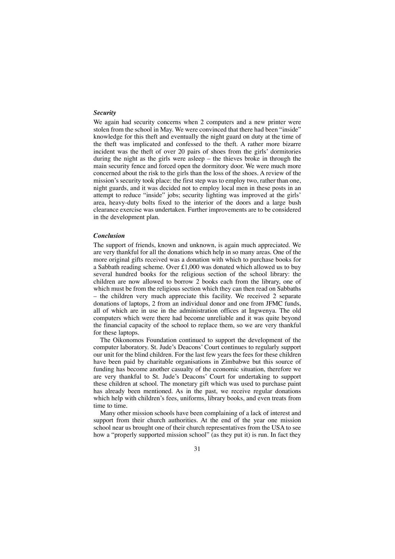#### *Security*

We again had security concerns when 2 computers and a new printer were stolen from the school in May. We were convinced that there had been "inside" knowledge for this theft and eventually the night guard on duty at the time of the theft was implicated and confessed to the theft. A rather more bizarre incident was the theft of over 20 pairs of shoes from the girls' dormitories during the night as the girls were asleep – the thieves broke in through the main security fence and forced open the dormitory door. We were much more concerned about the risk to the girls than the loss of the shoes. A review of the mission's security took place: the first step was to employ two, rather than one, night guards, and it was decided not to employ local men in these posts in an attempt to reduce "inside" jobs; security lighting was improved at the girls' area, heavy-duty bolts fixed to the interior of the doors and a large bush clearance exercise was undertaken. Further improvements are to be considered in the development plan.

#### *Conclusion*

The support of friends, known and unknown, is again much appreciated. We are very thankful for all the donations which help in so many areas. One of the more original gifts received was a donation with which to purchase books for a Sabbath reading scheme. Over £1,000 was donated which allowed us to buy several hundred books for the religious section of the school library: the children are now allowed to borrow 2 books each from the library, one of which must be from the religious section which they can then read on Sabbaths – the children very much appreciate this facility. We received 2 separate donations of laptops, 2 from an individual donor and one from JFMC funds, all of which are in use in the administration offices at Ingwenya. The old computers which were there had become unreliable and it was quite beyond the financial capacity of the school to replace them, so we are very thankful for these laptops.

The Oikonomos Foundation continued to support the development of the computer laboratory. St. Jude's Deacons' Court continues to regularly support our unit for the blind children. For the last few years the fees for these children have been paid by charitable organisations in Zimbabwe but this source of funding has become another casualty of the economic situation, therefore we are very thankful to St. Jude's Deacons' Court for undertaking to support these children at school. The monetary gift which was used to purchase paint has already been mentioned. As in the past, we receive regular donations which help with children's fees, uniforms, library books, and even treats from time to time.

Many other mission schools have been complaining of a lack of interest and support from their church authorities. At the end of the year one mission school near us brought one of their church representatives from the USA to see how a "properly supported mission school" (as they put it) is run. In fact they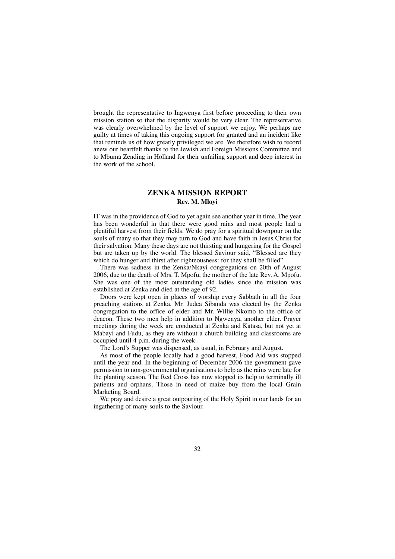brought the representative to Ingwenya first before proceeding to their own mission station so that the disparity would be very clear. The representative was clearly overwhelmed by the level of support we enjoy. We perhaps are guilty at times of taking this ongoing support for granted and an incident like that reminds us of how greatly privileged we are. We therefore wish to record anew our heartfelt thanks to the Jewish and Foreign Missions Committee and to Mbuma Zending in Holland for their unfailing support and deep interest in the work of the school.

## **ZENKA MISSION REPORT Rev. M. Mloyi**

IT was in the providence of God to yet again see another year in time. The year has been wonderful in that there were good rains and most people had a plentiful harvest from their fields. We do pray for a spiritual downpour on the souls of many so that they may turn to God and have faith in Jesus Christ for their salvation. Many these days are not thirsting and hungering for the Gospel but are taken up by the world. The blessed Saviour said, "Blessed are they which do hunger and thirst after righteousness: for they shall be filled".

There was sadness in the Zenka/Nkayi congregations on 20th of August 2006, due to the death of Mrs. T. Mpofu, the mother of the late Rev. A. Mpofu. She was one of the most outstanding old ladies since the mission was established at Zenka and died at the age of 92.

Doors were kept open in places of worship every Sabbath in all the four preaching stations at Zenka. Mr. Judea Sibanda was elected by the Zenka congregation to the office of elder and Mr. Willie Nkomo to the office of deacon. These two men help in addition to Ngwenya, another elder. Prayer meetings during the week are conducted at Zenka and Katasa, but not yet at Mabayi and Fudu, as they are without a church building and classrooms are occupied until 4 p.m. during the week.

The Lord's Supper was dispensed, as usual, in February and August.

As most of the people locally had a good harvest, Food Aid was stopped until the year end. In the beginning of December 2006 the government gave permission to non-governmental organisations to help as the rains were late for the planting season. The Red Cross has now stopped its help to terminally ill patients and orphans. Those in need of maize buy from the local Grain Marketing Board.

We pray and desire a great outpouring of the Holy Spirit in our lands for an ingathering of many souls to the Saviour.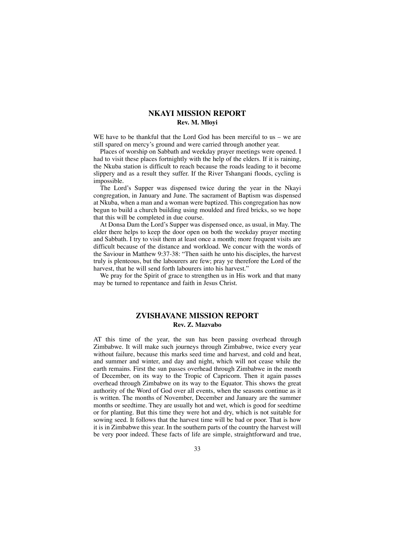## **NKAYI MISSION REPORT Rev. M. Mloyi**

WE have to be thankful that the Lord God has been merciful to us – we are still spared on mercy's ground and were carried through another year.

Places of worship on Sabbath and weekday prayer meetings were opened. I had to visit these places fortnightly with the help of the elders. If it is raining, the Nkuba station is difficult to reach because the roads leading to it become slippery and as a result they suffer. If the River Tshangani floods, cycling is impossible.

The Lord's Supper was dispensed twice during the year in the Nkayi congregation, in January and June. The sacrament of Baptism was dispensed at Nkuba, when a man and a woman were baptized. This congregation has now begun to build a church building using moulded and fired bricks, so we hope that this will be completed in due course.

At Donsa Dam the Lord's Supper was dispensed once, as usual, in May. The elder there helps to keep the door open on both the weekday prayer meeting and Sabbath. I try to visit them at least once a month; more frequent visits are difficult because of the distance and workload. We concur with the words of the Saviour in Matthew 9:37-38: "Then saith he unto his disciples, the harvest truly is plenteous, but the labourers are few; pray ye therefore the Lord of the harvest, that he will send forth labourers into his harvest."

We pray for the Spirit of grace to strengthen us in His work and that many may be turned to repentance and faith in Jesus Christ.

## **ZVISHAVANE MISSION REPORT Rev. Z. Mazvabo**

AT this time of the year, the sun has been passing overhead through Zimbabwe. It will make such journeys through Zimbabwe, twice every year without failure, because this marks seed time and harvest, and cold and heat, and summer and winter, and day and night, which will not cease while the earth remains. First the sun passes overhead through Zimbabwe in the month of December, on its way to the Tropic of Capricorn. Then it again passes overhead through Zimbabwe on its way to the Equator. This shows the great authority of the Word of God over all events, when the seasons continue as it is written. The months of November, December and January are the summer months or seedtime. They are usually hot and wet, which is good for seedtime or for planting. But this time they were hot and dry, which is not suitable for sowing seed. It follows that the harvest time will be bad or poor. That is how it is in Zimbabwe this year. In the southern parts of the country the harvest will be very poor indeed. These facts of life are simple, straightforward and true,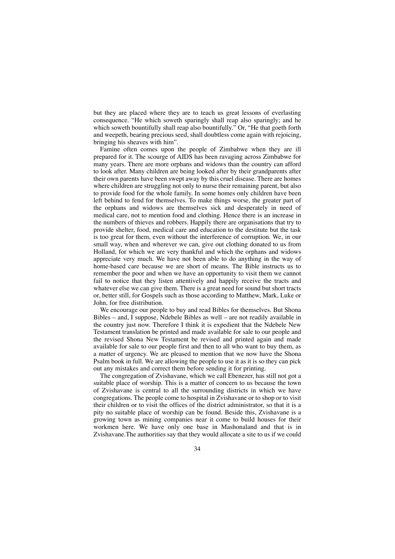but they are placed where they are to teach us great lessons of everlasting consequence. "He which soweth sparingly shall reap also sparingly; and he which soweth bountifully shall reap also bountifully." Or, "He that goeth forth and weepeth, bearing precious seed, shall doubtless come again with rejoicing, bringing his sheaves with him".

Famine often comes upon the people of Zimbabwe when they are ill prepared for it. The scourge of AIDS has been ravaging across Zimbabwe for many years. There are more orphans and widows than the country can afford to look after. Many children are being looked after by their grandparents after their own parents have been swept away by this cruel disease. There are homes where children are struggling not only to nurse their remaining parent, but also to provide food for the whole family. In some homes only children have been left behind to fend for themselves. To make things worse, the greater part of the orphans and widows are themselves sick and desperately in need of medical care, not to mention food and clothing. Hence there is an increase in the numbers of thieves and robbers. Happily there are organisations that try to provide shelter, food, medical care and education to the destitute but the task is too great for them, even without the interference of corruption. We, in our small way, when and wherever we can, give out clothing donated to us from Holland, for which we are very thankful and which the orphans and widows appreciate very much. We have not been able to do anything in the way of home-based care because we are short of means. The Bible instructs us to remember the poor and when we have an opportunity to visit them we cannot fail to notice that they listen attentively and happily receive the tracts and whatever else we can give them. There is a great need for sound but short tracts or, better still, for Gospels such as those according to Matthew, Mark, Luke or John, for free distribution.

We encourage our people to buy and read Bibles for themselves. But Shona Bibles – and, I suppose, Ndebele Bibles as well – are not readily available in the country just now. Therefore I think it is expedient that the Ndebele New Testament translation be printed and made available for sale to our people and the revised Shona New Testament be revised and printed again and made available for sale to our people first and then to all who want to buy them, as a matter of urgency. We are pleased to mention that we now have the Shona Psalm book in full. We are allowing the people to use it as it is so they can pick out any mistakes and correct them before sending it for printing.

The congregation of Zvishavane, which we call Ebenezer, has still not got a suitable place of worship. This is a matter of concern to us because the town of Zvishavane is central to all the surrounding districts in which we have congregations. The people come to hospital in Zvishavane or to shop or to visit their children or to visit the offices of the district administrator, so that it is a pity no suitable place of worship can be found. Beside this, Zvishavane is a growing town as mining companies near it come to build houses for their workmen here. We have only one base in Mashonaland and that is in Zvishavane.The authorities say that they would allocate a site to us if we could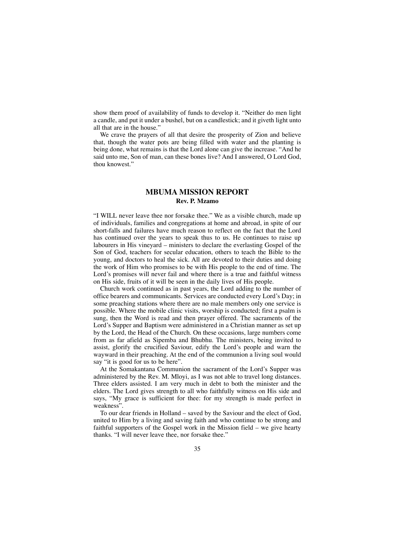show them proof of availability of funds to develop it. "Neither do men light a candle, and put it under a bushel, but on a candlestick; and it giveth light unto all that are in the house."

We crave the prayers of all that desire the prosperity of Zion and believe that, though the water pots are being filled with water and the planting is being done, what remains is that the Lord alone can give the increase. "And he said unto me, Son of man, can these bones live? And I answered, O Lord God, thou knowest."

## **MBUMA MISSION REPORT Rev. P. Mzamo**

"I WILL never leave thee nor forsake thee." We as a visible church, made up of individuals, families and congregations at home and abroad, in spite of our short-falls and failures have much reason to reflect on the fact that the Lord has continued over the years to speak thus to us. He continues to raise up labourers in His vineyard – ministers to declare the everlasting Gospel of the Son of God, teachers for secular education, others to teach the Bible to the young, and doctors to heal the sick. All are devoted to their duties and doing the work of Him who promises to be with His people to the end of time. The Lord's promises will never fail and where there is a true and faithful witness on His side, fruits of it will be seen in the daily lives of His people.

Church work continued as in past years, the Lord adding to the number of office bearers and communicants. Services are conducted every Lord's Day; in some preaching stations where there are no male members only one service is possible. Where the mobile clinic visits, worship is conducted; first a psalm is sung, then the Word is read and then prayer offered. The sacraments of the Lord's Supper and Baptism were administered in a Christian manner as set up by the Lord, the Head of the Church. On these occasions, large numbers come from as far afield as Sipemba and Bhubhu. The ministers, being invited to assist, glorify the crucified Saviour, edify the Lord's people and warn the wayward in their preaching. At the end of the communion a living soul would say "it is good for us to be here".

At the Somakantana Communion the sacrament of the Lord's Supper was administered by the Rev. M. Mloyi, as I was not able to travel long distances. Three elders assisted. I am very much in debt to both the minister and the elders. The Lord gives strength to all who faithfully witness on His side and says, "My grace is sufficient for thee: for my strength is made perfect in weakness".

To our dear friends in Holland – saved by the Saviour and the elect of God, united to Him by a living and saving faith and who continue to be strong and faithful supporters of the Gospel work in the Mission field – we give hearty thanks. "I will never leave thee, nor forsake thee."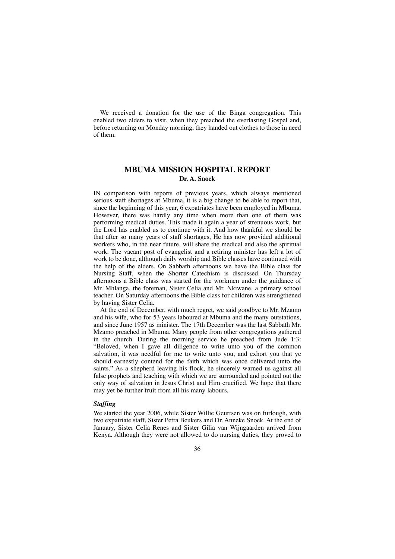We received a donation for the use of the Binga congregation. This enabled two elders to visit, when they preached the everlasting Gospel and, before returning on Monday morning, they handed out clothes to those in need of them.

## **MBUMA MISSION HOSPITAL REPORT Dr. A. Snoek**

IN comparison with reports of previous years, which always mentioned serious staff shortages at Mbuma, it is a big change to be able to report that, since the beginning of this year, 6 expatriates have been employed in Mbuma. However, there was hardly any time when more than one of them was performing medical duties. This made it again a year of strenuous work, but the Lord has enabled us to continue with it. And how thankful we should be that after so many years of staff shortages, He has now provided additional workers who, in the near future, will share the medical and also the spiritual work. The vacant post of evangelist and a retiring minister has left a lot of work to be done, although daily worship and Bible classes have continued with the help of the elders. On Sabbath afternoons we have the Bible class for Nursing Staff, when the Shorter Catechism is discussed. On Thursday afternoons a Bible class was started for the workmen under the guidance of Mr. Mhlanga, the foreman, Sister Celia and Mr. Nkiwane, a primary school teacher. On Saturday afternoons the Bible class for children was strengthened by having Sister Celia.

At the end of December, with much regret, we said goodbye to Mr. Mzamo and his wife, who for 53 years laboured at Mbuma and the many outstations, and since June 1957 as minister. The 17th December was the last Sabbath Mr. Mzamo preached in Mbuma. Many people from other congregations gathered in the church. During the morning service he preached from Jude 1:3: "Beloved, when I gave all diligence to write unto you of the common salvation, it was needful for me to write unto you, and exhort you that ye should earnestly contend for the faith which was once delivered unto the saints." As a shepherd leaving his flock, he sincerely warned us against all false prophets and teaching with which we are surrounded and pointed out the only way of salvation in Jesus Christ and Him crucified. We hope that there may yet be further fruit from all his many labours.

#### *Staffing*

We started the year 2006, while Sister Willie Geurtsen was on furlough, with two expatriate staff, Sister Petra Beukers and Dr. Anneke Snoek. At the end of January, Sister Celia Renes and Sister Gilia van Wijngaarden arrived from Kenya. Although they were not allowed to do nursing duties, they proved to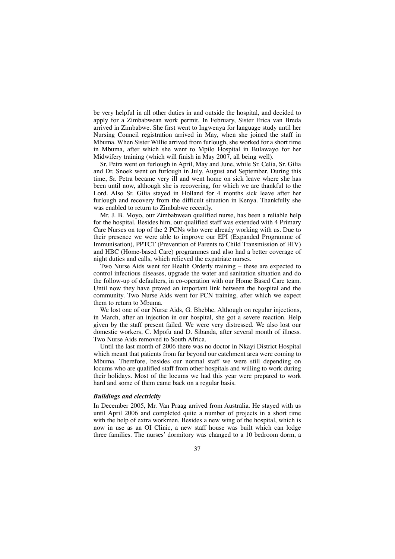be very helpful in all other duties in and outside the hospital, and decided to apply for a Zimbabwean work permit. In February, Sister Erica van Breda arrived in Zimbabwe. She first went to Ingwenya for language study until her Nursing Council registration arrived in May, when she joined the staff in Mbuma. When Sister Willie arrived from furlough, she worked for a short time in Mbuma, after which she went to Mpilo Hospital in Bulawayo for her Midwifery training (which will finish in May 2007, all being well).

Sr. Petra went on furlough in April, May and June, while Sr. Celia, Sr. Gilia and Dr. Snoek went on furlough in July, August and September. During this time, Sr. Petra became very ill and went home on sick leave where she has been until now, although she is recovering, for which we are thankful to the Lord. Also Sr. Gilia stayed in Holland for 4 months sick leave after her furlough and recovery from the difficult situation in Kenya. Thankfully she was enabled to return to Zimbabwe recently.

Mr. J. B. Moyo, our Zimbabwean qualified nurse, has been a reliable help for the hospital. Besides him, our qualified staff was extended with 4 Primary Care Nurses on top of the 2 PCNs who were already working with us. Due to their presence we were able to improve our EPI (Expanded Programme of Immunisation), PPTCT (Prevention of Parents to Child Transmission of HIV) and HBC (Home-based Care) programmes and also had a better coverage of night duties and calls, which relieved the expatriate nurses.

Two Nurse Aids went for Health Orderly training – these are expected to control infectious diseases, upgrade the water and sanitation situation and do the follow-up of defaulters, in co-operation with our Home Based Care team. Until now they have proved an important link between the hospital and the community. Two Nurse Aids went for PCN training, after which we expect them to return to Mbuma.

We lost one of our Nurse Aids, G. Bhebhe. Although on regular injections, in March, after an injection in our hospital, she got a severe reaction. Help given by the staff present failed. We were very distressed. We also lost our domestic workers, C. Mpofu and D. Sibanda, after several month of illness. Two Nurse Aids removed to South Africa.

Until the last month of 2006 there was no doctor in Nkayi District Hospital which meant that patients from far beyond our catchment area were coming to Mbuma. Therefore, besides our normal staff we were still depending on locums who are qualified staff from other hospitals and willing to work during their holidays. Most of the locums we had this year were prepared to work hard and some of them came back on a regular basis.

### *Buildings and electricity*

In December 2005, Mr. Van Praag arrived from Australia. He stayed with us until April 2006 and completed quite a number of projects in a short time with the help of extra workmen. Besides a new wing of the hospital, which is now in use as an OI Clinic, a new staff house was built which can lodge three families. The nurses' dormitory was changed to a 10 bedroom dorm, a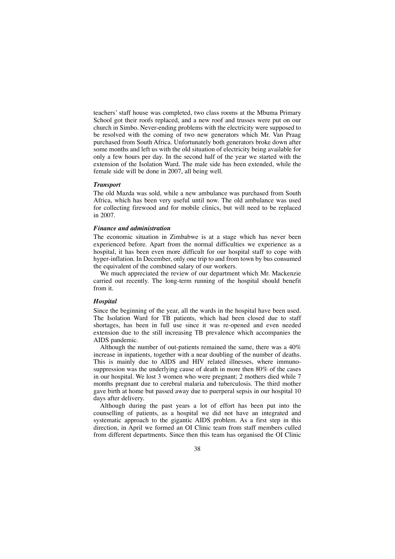teachers' staff house was completed, two class rooms at the Mbuma Primary School got their roofs replaced, and a new roof and trusses were put on our church in Simbo. Never-ending problems with the electricity were supposed to be resolved with the coming of two new generators which Mr. Van Praag purchased from South Africa. Unfortunately both generators broke down after some months and left us with the old situation of electricity being available for only a few hours per day. In the second half of the year we started with the extension of the Isolation Ward. The male side has been extended, while the female side will be done in 2007, all being well.

#### *Transport*

The old Mazda was sold, while a new ambulance was purchased from South Africa, which has been very useful until now. The old ambulance was used for collecting firewood and for mobile clinics, but will need to be replaced in 2007.

#### *Finance and administration*

The economic situation in Zimbabwe is at a stage which has never been experienced before. Apart from the normal difficulties we experience as a hospital, it has been even more difficult for our hospital staff to cope with hyper-inflation. In December, only one trip to and from town by bus consumed the equivalent of the combined salary of our workers.

We much appreciated the review of our department which Mr. Mackenzie carried out recently. The long-term running of the hospital should benefit from it.

#### *Hospital*

Since the beginning of the year, all the wards in the hospital have been used. The Isolation Ward for TB patients, which had been closed due to staff shortages, has been in full use since it was re-opened and even needed extension due to the still increasing TB prevalence which accompanies the AIDS pandemic.

Although the number of out-patients remained the same, there was a 40% increase in inpatients, together with a near doubling of the number of deaths. This is mainly due to AIDS and HIV related illnesses, where immunosuppression was the underlying cause of death in more then 80% of the cases in our hospital. We lost 3 women who were pregnant; 2 mothers died while 7 months pregnant due to cerebral malaria and tuberculosis. The third mother gave birth at home but passed away due to puerperal sepsis in our hospital 10 days after delivery.

Although during the past years a lot of effort has been put into the counselling of patients, as a hospital we did not have an integrated and systematic approach to the gigantic AIDS problem. As a first step in this direction, in April we formed an OI Clinic team from staff members culled from different departments. Since then this team has organised the OI Clinic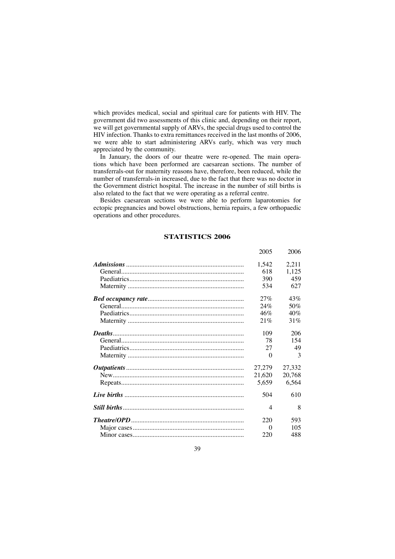which provides medical, social and spiritual care for patients with HIV. The government did two assessments of this clinic and, depending on their report, we will get governmental supply of ARVs, the special drugs used to control the HIV infection. Thanks to extra remittances received in the last months of 2006, we were able to start administering ARVs early, which was very much appreciated by the community.

In January, the doors of our theatre were re-opened. The main operations which have been performed are caesarean sections. The number of transferrals-out for maternity reasons have, therefore, been reduced, while the number of transferrals-in increased, due to the fact that there was no doctor in the Government district hospital. The increase in the number of still births is also related to the fact that we were operating as a referral centre.

Besides caesarean sections we were able to perform laparotomies for ectopic pregnancies and bowel obstructions, hernia repairs, a few orthopaedic operations and other procedures.

## **STATISTICS 2006**

|         | 2005           | 2006   |
|---------|----------------|--------|
|         | 1,542          | 2,211  |
|         | 618            | 1,125  |
|         | 390            | 459    |
|         | 534            | 627    |
|         | 27%            | 43%    |
|         | 24%            | 50%    |
|         | 46%            | 40%    |
|         | 21%            | 31%    |
| Deaths. | 109            | 206    |
|         | 78             | 154    |
|         | 27             | 49     |
|         | $\Omega$       | 3      |
|         | 27,279         | 27,332 |
|         | 21,620         | 20,768 |
|         | 5,659          | 6,564  |
|         | 504            | 610    |
|         | $\overline{4}$ | 8      |
|         | 220            | 593    |
|         | $\Omega$       | 105    |
|         | 220            | 488    |
|         |                |        |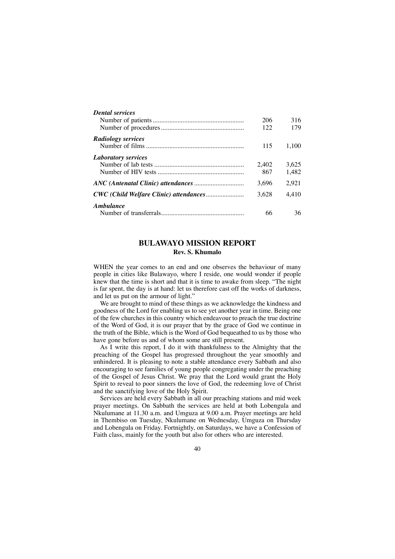| <b>Dental services</b>     |       |       |
|----------------------------|-------|-------|
|                            | 206   | 316   |
|                            | 122   | 179   |
| <b>Radiology services</b>  |       |       |
|                            | 115   | 1.100 |
| <b>Laboratory services</b> |       |       |
|                            | 2.402 | 3.625 |
|                            | 867   | 1.482 |
|                            | 3.696 | 2.921 |
|                            | 3.628 | 4.410 |
| Ambulance                  |       |       |
|                            | 66    | 36    |

# **BULAWAYO MISSION REPORT Rev. S. Khumalo**

WHEN the year comes to an end and one observes the behaviour of many people in cities like Bulawayo, where I reside, one would wonder if people knew that the time is short and that it is time to awake from sleep. "The night is far spent, the day is at hand: let us therefore cast off the works of darkness, and let us put on the armour of light."

We are brought to mind of these things as we acknowledge the kindness and goodness of the Lord for enabling us to see yet another year in time. Being one of the few churches in this country which endeavour to preach the true doctrine of the Word of God, it is our prayer that by the grace of God we continue in the truth of the Bible, which is the Word of God bequeathed to us by those who have gone before us and of whom some are still present.

As I write this report, I do it with thankfulness to the Almighty that the preaching of the Gospel has progressed throughout the year smoothly and unhindered. It is pleasing to note a stable attendance every Sabbath and also encouraging to see families of young people congregating under the preaching of the Gospel of Jesus Christ. We pray that the Lord would grant the Holy Spirit to reveal to poor sinners the love of God, the redeeming love of Christ and the sanctifying love of the Holy Spirit.

Services are held every Sabbath in all our preaching stations and mid week prayer meetings. On Sabbath the services are held at both Lobengula and Nkulumane at 11.30 a.m. and Umguza at 9.00 a.m. Prayer meetings are held in Thembiso on Tuesday, Nkulumane on Wednesday, Umguza on Thursday and Lobengula on Friday. Fortnightly, on Saturdays, we have a Confession of Faith class, mainly for the youth but also for others who are interested.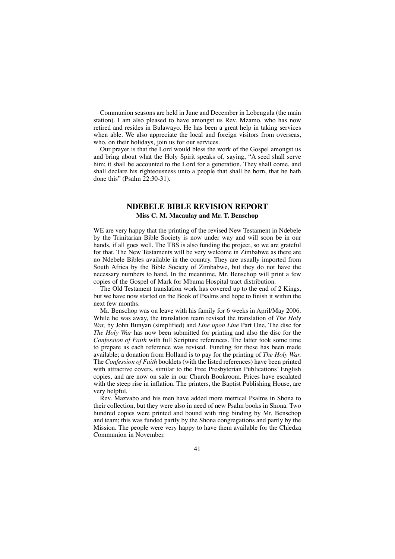Communion seasons are held in June and December in Lobengula (the main station). I am also pleased to have amongst us Rev. Mzamo, who has now retired and resides in Bulawayo. He has been a great help in taking services when able. We also appreciate the local and foreign visitors from overseas, who, on their holidays, join us for our services.

Our prayer is that the Lord would bless the work of the Gospel amongst us and bring about what the Holy Spirit speaks of, saying, "A seed shall serve him; it shall be accounted to the Lord for a generation. They shall come, and shall declare his righteousness unto a people that shall be born, that he hath done this" (Psalm 22:30-31).

# **NDEBELE BIBLE REVISION REPORT Miss C. M. Macaulay and Mr. T. Benschop**

WE are very happy that the printing of the revised New Testament in Ndebele by the Trinitarian Bible Society is now under way and will soon be in our hands, if all goes well. The TBS is also funding the project, so we are grateful for that. The New Testaments will be very welcome in Zimbabwe as there are no Ndebele Bibles available in the country. They are usually imported from South Africa by the Bible Society of Zimbabwe, but they do not have the necessary numbers to hand. In the meantime, Mr. Benschop will print a few copies of the Gospel of Mark for Mbuma Hospital tract distribution.

The Old Testament translation work has covered up to the end of 2 Kings, but we have now started on the Book of Psalms and hope to finish it within the next few months.

Mr. Benschop was on leave with his family for 6 weeks in April/May 2006. While he was away, the translation team revised the translation of *The Holy War,* by John Bunyan (simplified) and *Line upon Line* Part One. The disc for *The Holy War* has now been submitted for printing and also the disc for the *Confession of Faith* with full Scripture references. The latter took some time to prepare as each reference was revised. Funding for these has been made available; a donation from Holland is to pay for the printing of *The Holy War.* The *Confession of Faith* booklets (with the listed references) have been printed with attractive covers, similar to the Free Presbyterian Publications' English copies, and are now on sale in our Church Bookroom. Prices have escalated with the steep rise in inflation. The printers, the Baptist Publishing House, are very helpful.

Rev. Mazvabo and his men have added more metrical Psalms in Shona to their collection, but they were also in need of new Psalm books in Shona. Two hundred copies were printed and bound with ring binding by Mr. Benschop and team; this was funded partly by the Shona congregations and partly by the Mission. The people were very happy to have them available for the Chiedza Communion in November.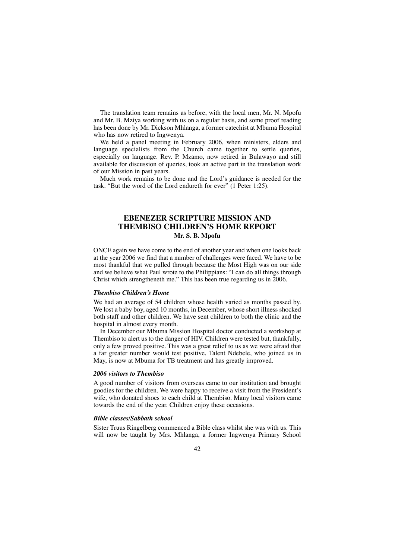The translation team remains as before, with the local men, Mr. N. Mpofu and Mr. B. Mziya working with us on a regular basis, and some proof reading has been done by Mr. Dickson Mhlanga, a former catechist at Mbuma Hospital who has now retired to Ingwenya.

We held a panel meeting in February 2006, when ministers, elders and language specialists from the Church came together to settle queries, especially on language. Rev. P. Mzamo, now retired in Bulawayo and still available for discussion of queries, took an active part in the translation work of our Mission in past years.

Much work remains to be done and the Lord's guidance is needed for the task. "But the word of the Lord endureth for ever" (1 Peter 1:25).

# **EBENEZER SCRIPTURE MISSION AND THEMBISO CHILDREN'S HOME REPORT Mr. S. B. Mpofu**

ONCE again we have come to the end of another year and when one looks back at the year 2006 we find that a number of challenges were faced. We have to be most thankful that we pulled through because the Most High was on our side and we believe what Paul wrote to the Philippians: "I can do all things through Christ which strengtheneth me." This has been true regarding us in 2006.

#### *Thembiso Children's Home*

We had an average of 54 children whose health varied as months passed by. We lost a baby boy, aged 10 months, in December, whose short illness shocked both staff and other children. We have sent children to both the clinic and the hospital in almost every month.

In December our Mbuma Mission Hospital doctor conducted a workshop at Thembiso to alert us to the danger of HIV. Children were tested but, thankfully, only a few proved positive. This was a great relief to us as we were afraid that a far greater number would test positive. Talent Ndebele, who joined us in May, is now at Mbuma for TB treatment and has greatly improved.

### *2006 visitors to Thembiso*

A good number of visitors from overseas came to our institution and brought goodies for the children. We were happy to receive a visit from the President's wife, who donated shoes to each child at Thembiso. Many local visitors came towards the end of the year. Children enjoy these occasions.

#### *Bible classes/Sabbath school*

Sister Truus Ringelberg commenced a Bible class whilst she was with us. This will now be taught by Mrs. Mhlanga, a former Ingwenya Primary School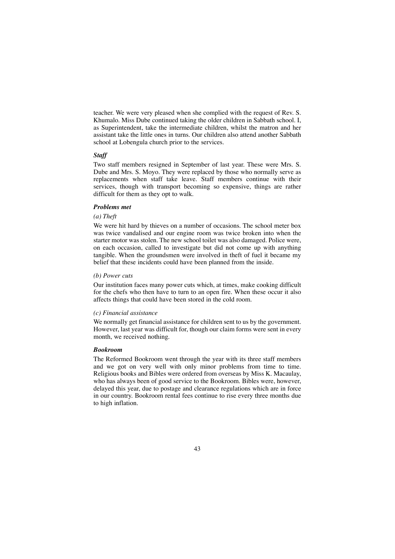teacher. We were very pleased when she complied with the request of Rev. S. Khumalo. Miss Dube continued taking the older children in Sabbath school. I, as Superintendent, take the intermediate children, whilst the matron and her assistant take the little ones in turns. Our children also attend another Sabbath school at Lobengula church prior to the services.

### *Staff*

Two staff members resigned in September of last year. These were Mrs. S. Dube and Mrs. S. Moyo. They were replaced by those who normally serve as replacements when staff take leave. Staff members continue with their services, though with transport becoming so expensive, things are rather difficult for them as they opt to walk.

## *Problems met*

### *(a) Theft*

We were hit hard by thieves on a number of occasions. The school meter box was twice vandalised and our engine room was twice broken into when the starter motor was stolen. The new school toilet was also damaged. Police were, on each occasion, called to investigate but did not come up with anything tangible. When the groundsmen were involved in theft of fuel it became my belief that these incidents could have been planned from the inside.

### *(b) Power cuts*

Our institution faces many power cuts which, at times, make cooking difficult for the chefs who then have to turn to an open fire. When these occur it also affects things that could have been stored in the cold room.

### *(c) Financial assistance*

We normally get financial assistance for children sent to us by the government. However, last year was difficult for, though our claim forms were sent in every month, we received nothing.

### *Bookroom*

The Reformed Bookroom went through the year with its three staff members and we got on very well with only minor problems from time to time. Religious books and Bibles were ordered from overseas by Miss K. Macaulay, who has always been of good service to the Bookroom. Bibles were, however, delayed this year, due to postage and clearance regulations which are in force in our country. Bookroom rental fees continue to rise every three months due to high inflation.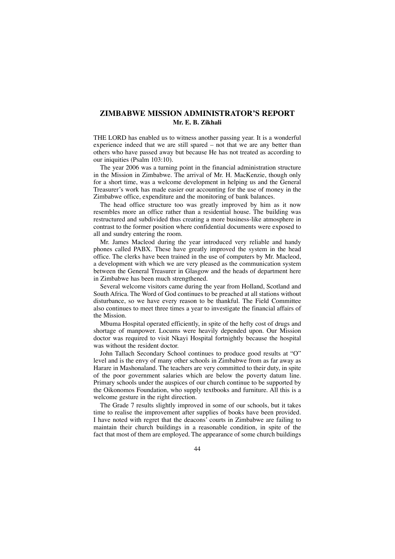# **ZIMBABWE MISSION ADMINISTRATOR'S REPORT Mr. E. B. Zikhali**

THE LORD has enabled us to witness another passing year. It is a wonderful experience indeed that we are still spared – not that we are any better than others who have passed away but because He has not treated as according to our iniquities (Psalm 103:10).

The year 2006 was a turning point in the financial administration structure in the Mission in Zimbabwe. The arrival of Mr. H. MacKenzie, though only for a short time, was a welcome development in helping us and the General Treasurer's work has made easier our accounting for the use of money in the Zimbabwe office, expenditure and the monitoring of bank balances.

The head office structure too was greatly improved by him as it now resembles more an office rather than a residential house. The building was restructured and subdivided thus creating a more business-like atmosphere in contrast to the former position where confidential documents were exposed to all and sundry entering the room.

Mr. James Macleod during the year introduced very reliable and handy phones called PABX. These have greatly improved the system in the head office. The clerks have been trained in the use of computers by Mr. Macleod, a development with which we are very pleased as the communication system between the General Treasurer in Glasgow and the heads of department here in Zimbabwe has been much strengthened.

Several welcome visitors came during the year from Holland, Scotland and South Africa. The Word of God continues to be preached at all stations without disturbance, so we have every reason to be thankful. The Field Committee also continues to meet three times a year to investigate the financial affairs of the Mission.

Mbuma Hospital operated efficiently, in spite of the hefty cost of drugs and shortage of manpower. Locums were heavily depended upon. Our Mission doctor was required to visit Nkayi Hospital fortnightly because the hospital was without the resident doctor.

John Tallach Secondary School continues to produce good results at "O" level and is the envy of many other schools in Zimbabwe from as far away as Harare in Mashonaland. The teachers are very committed to their duty, in spite of the poor government salaries which are below the poverty datum line. Primary schools under the auspices of our church continue to be supported by the Oikonomos Foundation, who supply textbooks and furniture. All this is a welcome gesture in the right direction.

The Grade 7 results slightly improved in some of our schools, but it takes time to realise the improvement after supplies of books have been provided. I have noted with regret that the deacons' courts in Zimbabwe are failing to maintain their church buildings in a reasonable condition, in spite of the fact that most of them are employed. The appearance of some church buildings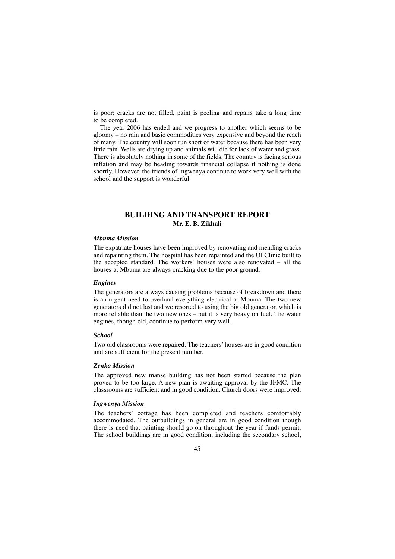is poor; cracks are not filled, paint is peeling and repairs take a long time to be completed.

The year 2006 has ended and we progress to another which seems to be gloomy – no rain and basic commodities very expensive and beyond the reach of many. The country will soon run short of water because there has been very little rain. Wells are drying up and animals will die for lack of water and grass. There is absolutely nothing in some of the fields. The country is facing serious inflation and may be heading towards financial collapse if nothing is done shortly. However, the friends of Ingwenya continue to work very well with the school and the support is wonderful.

# **BUILDING AND TRANSPORT REPORT Mr. E. B. Zikhali**

#### *Mbuma Mission*

The expatriate houses have been improved by renovating and mending cracks and repainting them. The hospital has been repainted and the OI Clinic built to the accepted standard. The workers' houses were also renovated – all the houses at Mbuma are always cracking due to the poor ground.

#### *Engines*

The generators are always causing problems because of breakdown and there is an urgent need to overhaul everything electrical at Mbuma. The two new generators did not last and we resorted to using the big old generator, which is more reliable than the two new ones – but it is very heavy on fuel. The water engines, though old, continue to perform very well.

#### *School*

Two old classrooms were repaired. The teachers' houses are in good condition and are sufficient for the present number.

#### *Zenka Mission*

The approved new manse building has not been started because the plan proved to be too large. A new plan is awaiting approval by the JFMC. The classrooms are sufficient and in good condition. Church doors were improved.

#### *Ingwenya Mission*

The teachers' cottage has been completed and teachers comfortably accommodated. The outbuildings in general are in good condition though there is need that painting should go on throughout the year if funds permit. The school buildings are in good condition, including the secondary school,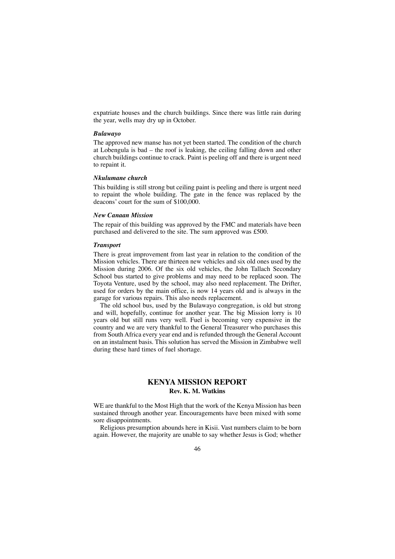expatriate houses and the church buildings. Since there was little rain during the year, wells may dry up in October.

### *Bulawayo*

The approved new manse has not yet been started. The condition of the church at Lobengula is bad – the roof is leaking, the ceiling falling down and other church buildings continue to crack. Paint is peeling off and there is urgent need to repaint it.

#### *Nkulumane church*

This building is still strong but ceiling paint is peeling and there is urgent need to repaint the whole building. The gate in the fence was replaced by the deacons' court for the sum of \$100,000.

#### *New Canaan Mission*

The repair of this building was approved by the FMC and materials have been purchased and delivered to the site. The sum approved was £500.

#### *Transport*

There is great improvement from last year in relation to the condition of the Mission vehicles. There are thirteen new vehicles and six old ones used by the Mission during 2006. Of the six old vehicles, the John Tallach Secondary School bus started to give problems and may need to be replaced soon. The Toyota Venture, used by the school, may also need replacement. The Drifter, used for orders by the main office, is now 14 years old and is always in the garage for various repairs. This also needs replacement.

The old school bus, used by the Bulawayo congregation, is old but strong and will, hopefully, continue for another year. The big Mission lorry is 10 years old but still runs very well. Fuel is becoming very expensive in the country and we are very thankful to the General Treasurer who purchases this from South Africa every year end and is refunded through the General Account on an instalment basis. This solution has served the Mission in Zimbabwe well during these hard times of fuel shortage.

# **KENYA MISSION REPORT Rev. K. M. Watkins**

WE are thankful to the Most High that the work of the Kenya Mission has been sustained through another year. Encouragements have been mixed with some sore disappointments.

Religious presumption abounds here in Kisii. Vast numbers claim to be born again. However, the majority are unable to say whether Jesus is God; whether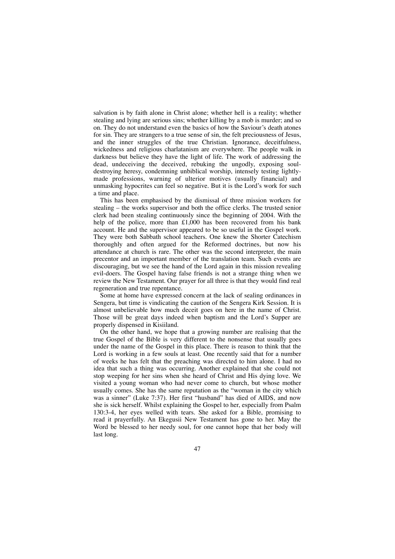salvation is by faith alone in Christ alone; whether hell is a reality; whether stealing and lying are serious sins; whether killing by a mob is murder; and so on. They do not understand even the basics of how the Saviour's death atones for sin. They are strangers to a true sense of sin, the felt preciousness of Jesus, and the inner struggles of the true Christian. Ignorance, deceitfulness, wickedness and religious charlatanism are everywhere. The people walk in darkness but believe they have the light of life. The work of addressing the dead, undeceiving the deceived, rebuking the ungodly, exposing souldestroying heresy, condemning unbiblical worship, intensely testing lightlymade professions, warning of ulterior motives (usually financial) and unmasking hypocrites can feel so negative. But it is the Lord's work for such a time and place.

This has been emphasised by the dismissal of three mission workers for stealing – the works supervisor and both the office clerks. The trusted senior clerk had been stealing continuously since the beginning of 2004. With the help of the police, more than £1,000 has been recovered from his bank account. He and the supervisor appeared to be so useful in the Gospel work. They were both Sabbath school teachers. One knew the Shorter Catechism thoroughly and often argued for the Reformed doctrines, but now his attendance at church is rare. The other was the second interpreter, the main precentor and an important member of the translation team. Such events are discouraging, but we see the hand of the Lord again in this mission revealing evil-doers. The Gospel having false friends is not a strange thing when we review the New Testament. Our prayer for all three is that they would find real regeneration and true repentance.

Some at home have expressed concern at the lack of sealing ordinances in Sengera, but time is vindicating the caution of the Sengera Kirk Session. It is almost unbelievable how much deceit goes on here in the name of Christ. Those will be great days indeed when baptism and the Lord's Supper are properly dispensed in Kisiiland.

On the other hand, we hope that a growing number are realising that the true Gospel of the Bible is very different to the nonsense that usually goes under the name of the Gospel in this place. There is reason to think that the Lord is working in a few souls at least. One recently said that for a number of weeks he has felt that the preaching was directed to him alone. I had no idea that such a thing was occurring. Another explained that she could not stop weeping for her sins when she heard of Christ and His dying love. We visited a young woman who had never come to church, but whose mother usually comes. She has the same reputation as the "woman in the city which was a sinner" (Luke 7:37). Her first "husband" has died of AIDS, and now she is sick herself. Whilst explaining the Gospel to her, especially from Psalm 130:3-4, her eyes welled with tears. She asked for a Bible, promising to read it prayerfully. An Ekegusii New Testament has gone to her. May the Word be blessed to her needy soul, for one cannot hope that her body will last long.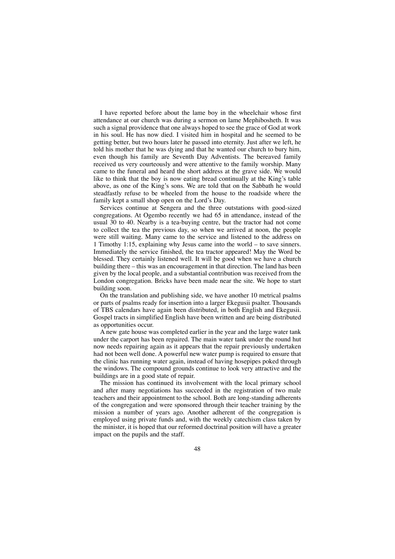I have reported before about the lame boy in the wheelchair whose first attendance at our church was during a sermon on lame Mephibosheth. It was such a signal providence that one always hoped to see the grace of God at work in his soul. He has now died. I visited him in hospital and he seemed to be getting better, but two hours later he passed into eternity. Just after we left, he told his mother that he was dying and that he wanted our church to bury him, even though his family are Seventh Day Adventists. The bereaved family received us very courteously and were attentive to the family worship. Many came to the funeral and heard the short address at the grave side. We would like to think that the boy is now eating bread continually at the King's table above, as one of the King's sons. We are told that on the Sabbath he would steadfastly refuse to be wheeled from the house to the roadside where the family kept a small shop open on the Lord's Day.

Services continue at Sengera and the three outstations with good-sized congregations. At Ogembo recently we had 65 in attendance, instead of the usual 30 to 40. Nearby is a tea-buying centre, but the tractor had not come to collect the tea the previous day, so when we arrived at noon, the people were still waiting. Many came to the service and listened to the address on 1 Timothy 1:15, explaining why Jesus came into the world – to save sinners. Immediately the service finished, the tea tractor appeared! May the Word be blessed. They certainly listened well. It will be good when we have a church building there – this was an encouragement in that direction. The land has been given by the local people, and a substantial contribution was received from the London congregation. Bricks have been made near the site. We hope to start building soon.

On the translation and publishing side, we have another 10 metrical psalms or parts of psalms ready for insertion into a larger Ekegusii psalter. Thousands of TBS calendars have again been distributed, in both English and Ekegusii. Gospel tracts in simplified English have been written and are being distributed as opportunities occur.

A new gate house was completed earlier in the year and the large water tank under the carport has been repaired. The main water tank under the round hut now needs repairing again as it appears that the repair previously undertaken had not been well done. A powerful new water pump is required to ensure that the clinic has running water again, instead of having hosepipes poked through the windows. The compound grounds continue to look very attractive and the buildings are in a good state of repair.

The mission has continued its involvement with the local primary school and after many negotiations has succeeded in the registration of two male teachers and their appointment to the school. Both are long-standing adherents of the congregation and were sponsored through their teacher training by the mission a number of years ago. Another adherent of the congregation is employed using private funds and, with the weekly catechism class taken by the minister, it is hoped that our reformed doctrinal position will have a greater impact on the pupils and the staff.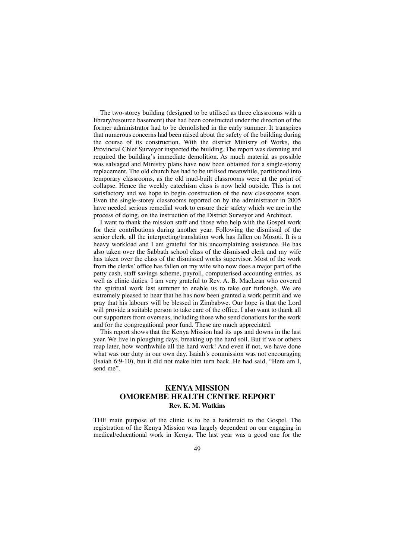The two-storey building (designed to be utilised as three classrooms with a library/resource basement) that had been constructed under the direction of the former administrator had to be demolished in the early summer. It transpires that numerous concerns had been raised about the safety of the building during the course of its construction. With the district Ministry of Works, the Provincial Chief Surveyor inspected the building. The report was damning and required the building's immediate demolition. As much material as possible was salvaged and Ministry plans have now been obtained for a single-storey replacement. The old church has had to be utilised meanwhile, partitioned into temporary classrooms, as the old mud-built classrooms were at the point of collapse. Hence the weekly catechism class is now held outside. This is not satisfactory and we hope to begin construction of the new classrooms soon. Even the single-storey classrooms reported on by the administrator in 2005 have needed serious remedial work to ensure their safety which we are in the process of doing, on the instruction of the District Surveyor and Architect.

I want to thank the mission staff and those who help with the Gospel work for their contributions during another year. Following the dismissal of the senior clerk, all the interpreting/translation work has fallen on Mosoti. It is a heavy workload and I am grateful for his uncomplaining assistance. He has also taken over the Sabbath school class of the dismissed clerk and my wife has taken over the class of the dismissed works supervisor. Most of the work from the clerks' office has fallen on my wife who now does a major part of the petty cash, staff savings scheme, payroll, computerised accounting entries, as well as clinic duties. I am very grateful to Rev. A. B. MacLean who covered the spiritual work last summer to enable us to take our furlough. We are extremely pleased to hear that he has now been granted a work permit and we pray that his labours will be blessed in Zimbabwe. Our hope is that the Lord will provide a suitable person to take care of the office. I also want to thank all our supporters from overseas, including those who send donations for the work and for the congregational poor fund. These are much appreciated.

This report shows that the Kenya Mission had its ups and downs in the last year. We live in ploughing days, breaking up the hard soil. But if we or others reap later, how worthwhile all the hard work! And even if not, we have done what was our duty in our own day. Isaiah's commission was not encouraging (Isaiah 6:9-10), but it did not make him turn back. He had said, "Here am I, send me".

## **KENYA MISSION OMOREMBE HEALTH CENTRE REPORT Rev. K. M. Watkins**

THE main purpose of the clinic is to be a handmaid to the Gospel. The registration of the Kenya Mission was largely dependent on our engaging in medical/educational work in Kenya. The last year was a good one for the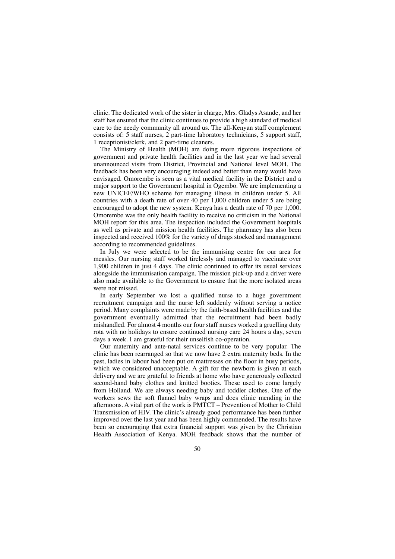clinic. The dedicated work of the sister in charge, Mrs. Gladys Asande, and her staff has ensured that the clinic continues to provide a high standard of medical care to the needy community all around us. The all-Kenyan staff complement consists of: 5 staff nurses, 2 part-time laboratory technicians, 5 support staff, 1 receptionist/clerk, and 2 part-time cleaners.

The Ministry of Health (MOH) are doing more rigorous inspections of government and private health facilities and in the last year we had several unannounced visits from District, Provincial and National level MOH. The feedback has been very encouraging indeed and better than many would have envisaged. Omorembe is seen as a vital medical facility in the District and a major support to the Government hospital in Ogembo. We are implementing a new UNICEF/WHO scheme for managing illness in children under 5. All countries with a death rate of over 40 per 1,000 children under 5 are being encouraged to adopt the new system. Kenya has a death rate of 70 per 1,000. Omorembe was the only health facility to receive no criticism in the National MOH report for this area. The inspection included the Government hospitals as well as private and mission health facilities. The pharmacy has also been inspected and received 100% for the variety of drugs stocked and management according to recommended guidelines.

In July we were selected to be the immunising centre for our area for measles. Our nursing staff worked tirelessly and managed to vaccinate over 1,900 children in just 4 days. The clinic continued to offer its usual services alongside the immunisation campaign. The mission pick-up and a driver were also made available to the Government to ensure that the more isolated areas were not missed.

In early September we lost a qualified nurse to a huge government recruitment campaign and the nurse left suddenly without serving a notice period. Many complaints were made by the faith-based health facilities and the government eventually admitted that the recruitment had been badly mishandled. For almost 4 months our four staff nurses worked a gruelling duty rota with no holidays to ensure continued nursing care 24 hours a day, seven days a week. I am grateful for their unselfish co-operation.

Our maternity and ante-natal services continue to be very popular. The clinic has been rearranged so that we now have 2 extra maternity beds. In the past, ladies in labour had been put on mattresses on the floor in busy periods, which we considered unacceptable. A gift for the newborn is given at each delivery and we are grateful to friends at home who have generously collected second-hand baby clothes and knitted booties. These used to come largely from Holland. We are always needing baby and toddler clothes. One of the workers sews the soft flannel baby wraps and does clinic mending in the afternoons. A vital part of the work is PMTCT – Prevention of Mother to Child Transmission of HIV. The clinic's already good performance has been further improved over the last year and has been highly commended. The results have been so encouraging that extra financial support was given by the Christian Health Association of Kenya. MOH feedback shows that the number of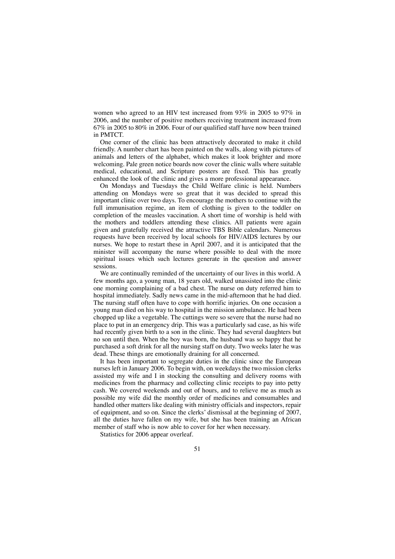women who agreed to an HIV test increased from 93% in 2005 to 97% in 2006, and the number of positive mothers receiving treatment increased from 67% in 2005 to 80% in 2006. Four of our qualified staff have now been trained in PMTCT.

One corner of the clinic has been attractively decorated to make it child friendly. A number chart has been painted on the walls, along with pictures of animals and letters of the alphabet, which makes it look brighter and more welcoming. Pale green notice boards now cover the clinic walls where suitable medical, educational, and Scripture posters are fixed. This has greatly enhanced the look of the clinic and gives a more professional appearance.

On Mondays and Tuesdays the Child Welfare clinic is held. Numbers attending on Mondays were so great that it was decided to spread this important clinic over two days. To encourage the mothers to continue with the full immunisation regime, an item of clothing is given to the toddler on completion of the measles vaccination. A short time of worship is held with the mothers and toddlers attending these clinics. All patients were again given and gratefully received the attractive TBS Bible calendars. Numerous requests have been received by local schools for HIV/AIDS lectures by our nurses. We hope to restart these in April 2007, and it is anticipated that the minister will accompany the nurse where possible to deal with the more spiritual issues which such lectures generate in the question and answer sessions.

We are continually reminded of the uncertainty of our lives in this world. A few months ago, a young man, 18 years old, walked unassisted into the clinic one morning complaining of a bad chest. The nurse on duty referred him to hospital immediately. Sadly news came in the mid-afternoon that he had died. The nursing staff often have to cope with horrific injuries. On one occasion a young man died on his way to hospital in the mission ambulance. He had been chopped up like a vegetable. The cuttings were so severe that the nurse had no place to put in an emergency drip. This was a particularly sad case, as his wife had recently given birth to a son in the clinic. They had several daughters but no son until then. When the boy was born, the husband was so happy that he purchased a soft drink for all the nursing staff on duty. Two weeks later he was dead. These things are emotionally draining for all concerned.

It has been important to segregate duties in the clinic since the European nurses left in January 2006. To begin with, on weekdays the two mission clerks assisted my wife and I in stocking the consulting and delivery rooms with medicines from the pharmacy and collecting clinic receipts to pay into petty cash. We covered weekends and out of hours, and to relieve me as much as possible my wife did the monthly order of medicines and consumables and handled other matters like dealing with ministry officials and inspectors, repair of equipment, and so on. Since the clerks' dismissal at the beginning of 2007, all the duties have fallen on my wife, but she has been training an African member of staff who is now able to cover for her when necessary.

Statistics for 2006 appear overleaf.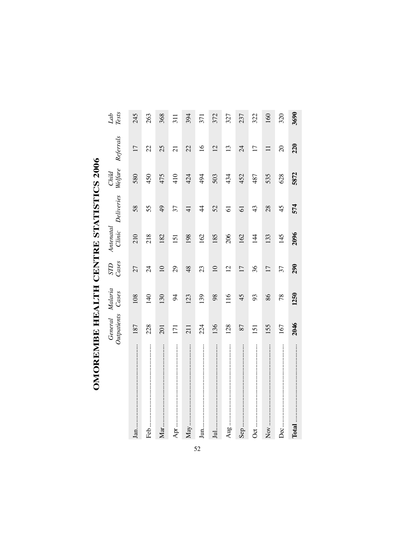| י<br>ו                 |
|------------------------|
|                        |
| <br> <br>              |
|                        |
| l                      |
|                        |
| -  <br> <br>           |
|                        |
|                        |
| י<br>ו<br>$\mathbf{I}$ |
|                        |
|                        |
| j<br>I                 |
|                        |
|                        |
| $\frac{1}{2}$          |
|                        |
|                        |
| りんしゅうしょう               |
|                        |
|                        |
|                        |
|                        |

|     | Outpatients<br>General | Malaria<br>Cases | $_{CaseS}$      | Antenatal<br>Clinic | Deliveries     | Welfare<br>Child | Referrals       | $\it{Lab}$<br>Tests |
|-----|------------------------|------------------|-----------------|---------------------|----------------|------------------|-----------------|---------------------|
| Jan | 187                    | 108              | 27              | 210                 | 58             | 580              | 17              | 245                 |
|     | 228                    | $\frac{40}{5}$   | $\overline{24}$ | 218                 | 55             | 450              | 22              | 263                 |
| Max | 201                    | 30               | $\supseteq$     | 182                 | $\overline{6}$ | 475              | 25              | 368                 |
|     | 171                    | 54               | 29              | 151                 | 37             | 410              | $\overline{c}$  | 311                 |
|     | 211                    | 123              | 48              | 198                 | $\overline{4}$ | 424              | 22              | 394                 |
|     | 224                    | 139              | 23              | 162                 | $\overline{4}$ | 494              | $\overline{16}$ | 371                 |
|     | 136                    | 98               | $\overline{10}$ | 185                 | 52             | 503              | $\overline{2}$  | 372                 |
|     | 128                    | 116              | $\overline{2}$  | 206                 | $\overline{6}$ | 434              | $\overline{13}$ | 327                 |
| Sep | 87                     | 45               | $\overline{17}$ | 162                 | 61             | 452              | $\overline{24}$ | 237                 |
|     | 151                    | 93               | 36              | 144                 | 43             | 487              | $\overline{17}$ | 322                 |
|     | 155                    | 86               | $\overline{17}$ | 133                 | 28             | 535              | コ               | 160                 |
|     | 167                    | 78               | 37              | 145                 | 45             | 628              | $\Omega$        | 320                 |
|     | 2046                   | 1250             | 290             | 2096                | 574            | 5872             | 220             | 3690                |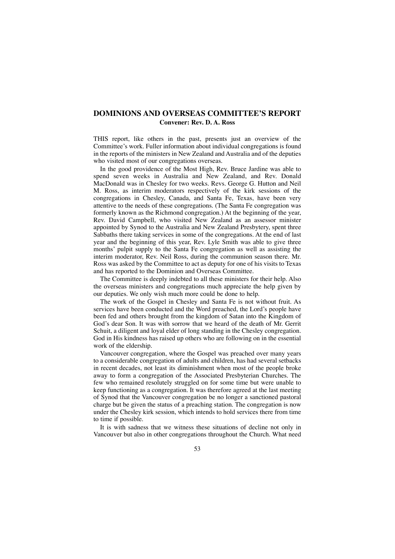# **DOMINIONS AND OVERSEAS COMMITTEE'S REPORT Convener: Rev. D. A. Ross**

THIS report, like others in the past, presents just an overview of the Committee's work. Fuller information about individual congregations is found in the reports of the ministers in New Zealand and Australia and of the deputies who visited most of our congregations overseas.

In the good providence of the Most High, Rev. Bruce Jardine was able to spend seven weeks in Australia and New Zealand, and Rev. Donald MacDonald was in Chesley for two weeks. Revs. George G. Hutton and Neil M. Ross, as interim moderators respectively of the kirk sessions of the congregations in Chesley, Canada, and Santa Fe, Texas, have been very attentive to the needs of these congregations. (The Santa Fe congregation was formerly known as the Richmond congregation.) At the beginning of the year, Rev. David Campbell, who visited New Zealand as an assessor minister appointed by Synod to the Australia and New Zealand Presbytery, spent three Sabbaths there taking services in some of the congregations. At the end of last year and the beginning of this year, Rev. Lyle Smith was able to give three months' pulpit supply to the Santa Fe congregation as well as assisting the interim moderator, Rev. Neil Ross, during the communion season there. Mr. Ross was asked by the Committee to act as deputy for one of his visits to Texas and has reported to the Dominion and Overseas Committee.

The Committee is deeply indebted to all these ministers for their help. Also the overseas ministers and congregations much appreciate the help given by our deputies. We only wish much more could be done to help.

The work of the Gospel in Chesley and Santa Fe is not without fruit. As services have been conducted and the Word preached, the Lord's people have been fed and others brought from the kingdom of Satan into the Kingdom of God's dear Son. It was with sorrow that we heard of the death of Mr. Gerrit Schuit, a diligent and loyal elder of long standing in the Chesley congregation. God in His kindness has raised up others who are following on in the essential work of the eldership.

Vancouver congregation, where the Gospel was preached over many years to a considerable congregation of adults and children, has had several setbacks in recent decades, not least its diminishment when most of the people broke away to form a congregation of the Associated Presbyterian Churches. The few who remained resolutely struggled on for some time but were unable to keep functioning as a congregation. It was therefore agreed at the last meeting of Synod that the Vancouver congregation be no longer a sanctioned pastoral charge but be given the status of a preaching station. The congregation is now under the Chesley kirk session, which intends to hold services there from time to time if possible.

It is with sadness that we witness these situations of decline not only in Vancouver but also in other congregations throughout the Church. What need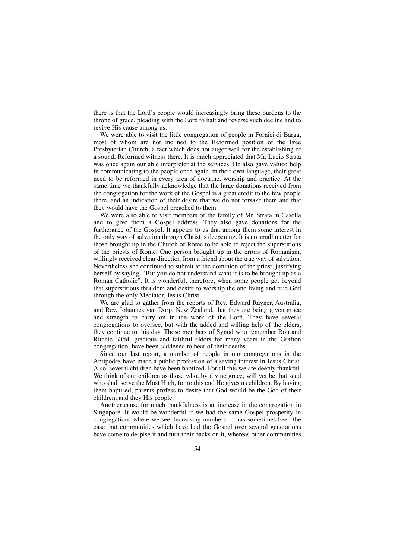there is that the Lord's people would increasingly bring these burdens to the throne of grace, pleading with the Lord to halt and reverse such decline and to revive His cause among us.

We were able to visit the little congregation of people in Fornici di Barga, most of whom are not inclined to the Reformed position of the Free Presbyterian Church, a fact which does not auger well for the establishing of a sound, Reformed witness there. It is much appreciated that Mr. Lucio Strata was once again our able interpreter at the services. He also gave valued help in communicating to the people once again, in their own language, their great need to be reformed in every area of doctrine, worship and practice. At the same time we thankfully acknowledge that the large donations received from the congregation for the work of the Gospel is a great credit to the few people there, and an indication of their desire that we do not forsake them and that they would have the Gospel preached to them.

We were also able to visit members of the family of Mr. Strata in Casella and to give them a Gospel address. They also gave donations for the furtherance of the Gospel. It appears to us that among them some interest in the only way of salvation through Christ is deepening. It is no small matter for those brought up in the Church of Rome to be able to reject the superstitions of the priests of Rome. One person brought up in the errors of Romanism, willingly received clear direction from a friend about the true way of salvation. Nevertheless she continued to submit to the dominion of the priest, justifying herself by saying, "But you do not understand what it is to be brought up as a Roman Catholic". It is wonderful, therefore, when some people get beyond that superstitious thraldom and desire to worship the one living and true God through the only Mediator, Jesus Christ.

We are glad to gather from the reports of Rev. Edward Rayner, Australia, and Rev. Johannes van Dorp, New Zealand, that they are being given grace and strength to carry on in the work of the Lord. They have several congregations to oversee, but with the added and willing help of the elders, they continue to this day. Those members of Synod who remember Ron and Ritchie Kidd, gracious and faithful elders for many years in the Grafton congregation, have been saddened to hear of their deaths.

Since our last report, a number of people in our congregations in the Antipodes have made a public profession of a saving interest in Jesus Christ. Also, several children have been baptized. For all this we are deeply thankful. We think of our children as those who, by divine grace, will yet be that seed who shall serve the Most High, for to this end He gives us children. By having them baptised, parents profess to desire that God would be the God of their children, and they His people.

Another cause for much thankfulness is an increase in the congregation in Singapore. It would be wonderful if we had the same Gospel prosperity in congregations where we see decreasing numbers. It has sometimes been the case that communities which have had the Gospel over several generations have come to despise it and turn their backs on it, whereas other communities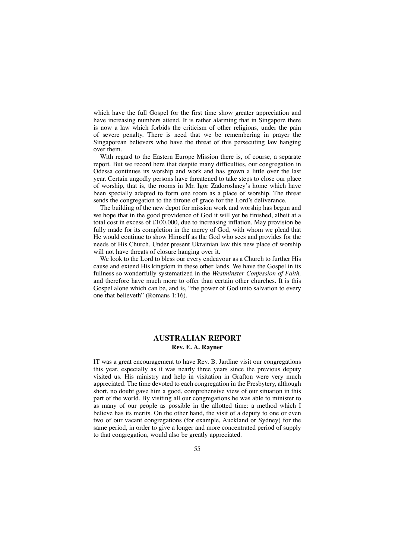which have the full Gospel for the first time show greater appreciation and have increasing numbers attend. It is rather alarming that in Singapore there is now a law which forbids the criticism of other religions, under the pain of severe penalty. There is need that we be remembering in prayer the Singaporean believers who have the threat of this persecuting law hanging over them.

With regard to the Eastern Europe Mission there is, of course, a separate report. But we record here that despite many difficulties, our congregation in Odessa continues its worship and work and has grown a little over the last year. Certain ungodly persons have threatened to take steps to close our place of worship, that is, the rooms in Mr. Igor Zadoroshney's home which have been specially adapted to form one room as a place of worship. The threat sends the congregation to the throne of grace for the Lord's deliverance.

The building of the new depot for mission work and worship has begun and we hope that in the good providence of God it will yet be finished, albeit at a total cost in excess of £100,000, due to increasing inflation. May provision be fully made for its completion in the mercy of God, with whom we plead that He would continue to show Himself as the God who sees and provides for the needs of His Church. Under present Ukrainian law this new place of worship will not have threats of closure hanging over it.

We look to the Lord to bless our every endeavour as a Church to further His cause and extend His kingdom in these other lands. We have the Gospel in its fullness so wonderfully systematized in the *Westminster Confession of Faith,* and therefore have much more to offer than certain other churches. It is this Gospel alone which can be, and is, "the power of God unto salvation to every one that believeth" (Romans 1:16).

## **AUSTRALIAN REPORT Rev. E. A. Rayner**

IT was a great encouragement to have Rev. B. Jardine visit our congregations this year, especially as it was nearly three years since the previous deputy visited us. His ministry and help in visitation in Grafton were very much appreciated. The time devoted to each congregation in the Presbytery, although short, no doubt gave him a good, comprehensive view of our situation in this part of the world. By visiting all our congregations he was able to minister to as many of our people as possible in the allotted time: a method which I believe has its merits. On the other hand, the visit of a deputy to one or even two of our vacant congregations (for example, Auckland or Sydney) for the same period, in order to give a longer and more concentrated period of supply to that congregation, would also be greatly appreciated.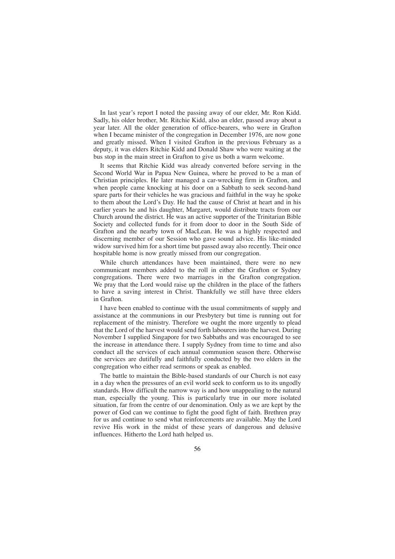In last year's report I noted the passing away of our elder, Mr. Ron Kidd. Sadly, his older brother, Mr. Ritchie Kidd, also an elder, passed away about a year later. All the older generation of office-bearers, who were in Grafton when I became minister of the congregation in December 1976, are now gone and greatly missed. When I visited Grafton in the previous February as a deputy, it was elders Ritchie Kidd and Donald Shaw who were waiting at the bus stop in the main street in Grafton to give us both a warm welcome.

It seems that Ritchie Kidd was already converted before serving in the Second World War in Papua New Guinea, where he proved to be a man of Christian principles. He later managed a car-wrecking firm in Grafton, and when people came knocking at his door on a Sabbath to seek second-hand spare parts for their vehicles he was gracious and faithful in the way he spoke to them about the Lord's Day. He had the cause of Christ at heart and in his earlier years he and his daughter, Margaret, would distribute tracts from our Church around the district. He was an active supporter of the Trinitarian Bible Society and collected funds for it from door to door in the South Side of Grafton and the nearby town of MacLean. He was a highly respected and discerning member of our Session who gave sound advice. His like-minded widow survived him for a short time but passed away also recently. Their once hospitable home is now greatly missed from our congregation.

While church attendances have been maintained, there were no new communicant members added to the roll in either the Grafton or Sydney congregations. There were two marriages in the Grafton congregation. We pray that the Lord would raise up the children in the place of the fathers to have a saving interest in Christ. Thankfully we still have three elders in Grafton.

I have been enabled to continue with the usual commitments of supply and assistance at the communions in our Presbytery but time is running out for replacement of the ministry. Therefore we ought the more urgently to plead that the Lord of the harvest would send forth labourers into the harvest. During November I supplied Singapore for two Sabbaths and was encouraged to see the increase in attendance there. I supply Sydney from time to time and also conduct all the services of each annual communion season there. Otherwise the services are dutifully and faithfully conducted by the two elders in the congregation who either read sermons or speak as enabled.

The battle to maintain the Bible-based standards of our Church is not easy in a day when the pressures of an evil world seek to conform us to its ungodly standards. How difficult the narrow way is and how unappealing to the natural man, especially the young. This is particularly true in our more isolated situation, far from the centre of our denomination. Only as we are kept by the power of God can we continue to fight the good fight of faith. Brethren pray for us and continue to send what reinforcements are available. May the Lord revive His work in the midst of these years of dangerous and delusive influences. Hitherto the Lord hath helped us.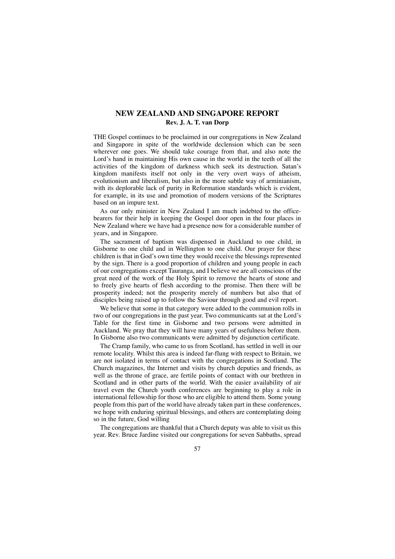# **NEW ZEALAND AND SINGAPORE REPORT Rev. J. A. T. van Dorp**

THE Gospel continues to be proclaimed in our congregations in New Zealand and Singapore in spite of the worldwide declension which can be seen wherever one goes. We should take courage from that, and also note the Lord's hand in maintaining His own cause in the world in the teeth of all the activities of the kingdom of darkness which seek its destruction. Satan's kingdom manifests itself not only in the very overt ways of atheism, evolutionism and liberalism, but also in the more subtle way of arminianism, with its deplorable lack of purity in Reformation standards which is evident, for example, in its use and promotion of modern versions of the Scriptures based on an impure text.

As our only minister in New Zealand I am much indebted to the officebearers for their help in keeping the Gospel door open in the four places in New Zealand where we have had a presence now for a considerable number of years, and in Singapore.

The sacrament of baptism was dispensed in Auckland to one child, in Gisborne to one child and in Wellington to one child. Our prayer for these children is that in God's own time they would receive the blessings represented by the sign. There is a good proportion of children and young people in each of our congregations except Tauranga, and I believe we are all conscious of the great need of the work of the Holy Spirit to remove the hearts of stone and to freely give hearts of flesh according to the promise. Then there will be prosperity indeed; not the prosperity merely of numbers but also that of disciples being raised up to follow the Saviour through good and evil report.

We believe that some in that category were added to the communion rolls in two of our congregations in the past year. Two communicants sat at the Lord's Table for the first time in Gisborne and two persons were admitted in Auckland. We pray that they will have many years of usefulness before them. In Gisborne also two communicants were admitted by disjunction certificate.

The Cramp family, who came to us from Scotland, has settled in well in our remote locality. Whilst this area is indeed far-flung with respect to Britain, we are not isolated in terms of contact with the congregations in Scotland. The Church magazines, the Internet and visits by church deputies and friends, as well as the throne of grace, are fertile points of contact with our brethren in Scotland and in other parts of the world. With the easier availability of air travel even the Church youth conferences are beginning to play a role in international fellowship for those who are eligible to attend them. Some young people from this part of the world have already taken part in these conferences, we hope with enduring spiritual blessings, and others are contemplating doing so in the future, God willing

The congregations are thankful that a Church deputy was able to visit us this year. Rev. Bruce Jardine visited our congregations for seven Sabbaths, spread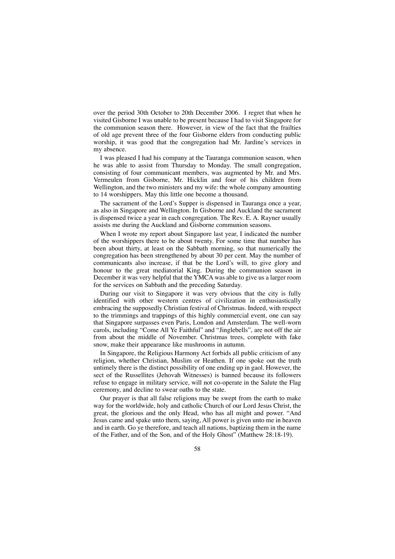over the period 30th October to 20th December 2006. I regret that when he visited Gisborne I was unable to be present because I had to visit Singapore for the communion season there. However, in view of the fact that the frailties of old age prevent three of the four Gisborne elders from conducting public worship, it was good that the congregation had Mr. Jardine's services in my absence.

I was pleased I had his company at the Tauranga communion season, when he was able to assist from Thursday to Monday. The small congregation, consisting of four communicant members, was augmented by Mr. and Mrs. Vermeulen from Gisborne, Mr. Hicklin and four of his children from Wellington, and the two ministers and my wife: the whole company amounting to 14 worshippers. May this little one become a thousand.

The sacrament of the Lord's Supper is dispensed in Tauranga once a year, as also in Singapore and Wellington. In Gisborne and Auckland the sacrament is dispensed twice a year in each congregation. The Rev. E. A. Rayner usually assists me during the Auckland and Gisborne communion seasons.

When I wrote my report about Singapore last year, I indicated the number of the worshippers there to be about twenty. For some time that number has been about thirty, at least on the Sabbath morning, so that numerically the congregation has been strengthened by about 30 per cent. May the number of communicants also increase, if that be the Lord's will, to give glory and honour to the great mediatorial King. During the communion season in December it was very helpful that the YMCA was able to give us a larger room for the services on Sabbath and the preceding Saturday.

During our visit to Singapore it was very obvious that the city is fully identified with other western centres of civilization in enthusiastically embracing the supposedly Christian festival of Christmas. Indeed, with respect to the trimmings and trappings of this highly commercial event, one can say that Singapore surpasses even Paris, London and Amsterdam. The well-worn carols, including "Come All Ye Faithful" and "Jinglebells", are not off the air from about the middle of November. Christmas trees, complete with fake snow, make their appearance like mushrooms in autumn.

In Singapore, the Religious Harmony Act forbids all public criticism of any religion, whether Christian, Muslim or Heathen. If one spoke out the truth untimely there is the distinct possibility of one ending up in gaol. However, the sect of the Russellites (Jehovah Witnesses) is banned because its followers refuse to engage in military service, will not co-operate in the Salute the Flag ceremony, and decline to swear oaths to the state.

Our prayer is that all false religions may be swept from the earth to make way for the worldwide, holy and catholic Church of our Lord Jesus Christ, the great, the glorious and the only Head, who has all might and power. "And Jesus came and spake unto them, saying, All power is given unto me in heaven and in earth. Go ye therefore, and teach all nations, baptizing them in the name of the Father, and of the Son, and of the Holy Ghost" (Matthew 28:18-19).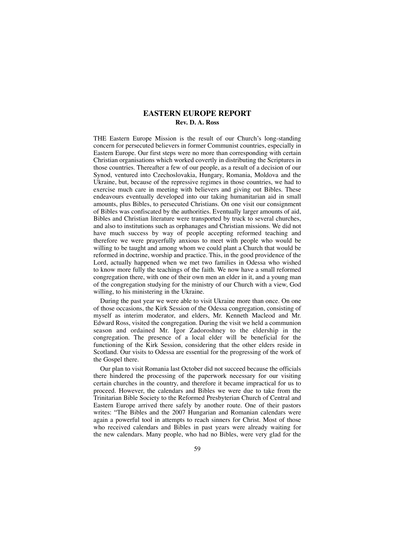## **EASTERN EUROPE REPORT Rev. D. A. Ross**

THE Eastern Europe Mission is the result of our Church's long-standing concern for persecuted believers in former Communist countries, especially in Eastern Europe. Our first steps were no more than corresponding with certain Christian organisations which worked covertly in distributing the Scriptures in those countries. Thereafter a few of our people, as a result of a decision of our Synod, ventured into Czechoslovakia, Hungary, Romania, Moldova and the Ukraine, but, because of the repressive regimes in those countries, we had to exercise much care in meeting with believers and giving out Bibles. These endeavours eventually developed into our taking humanitarian aid in small amounts, plus Bibles, to persecuted Christians. On one visit our consignment of Bibles was confiscated by the authorities. Eventually larger amounts of aid, Bibles and Christian literature were transported by truck to several churches, and also to institutions such as orphanages and Christian missions. We did not have much success by way of people accepting reformed teaching and therefore we were prayerfully anxious to meet with people who would be willing to be taught and among whom we could plant a Church that would be reformed in doctrine, worship and practice. This, in the good providence of the Lord, actually happened when we met two families in Odessa who wished to know more fully the teachings of the faith. We now have a small reformed congregation there, with one of their own men an elder in it, and a young man of the congregation studying for the ministry of our Church with a view, God willing, to his ministering in the Ukraine.

During the past year we were able to visit Ukraine more than once. On one of those occasions, the Kirk Session of the Odessa congregation, consisting of myself as interim moderator, and elders, Mr. Kenneth Macleod and Mr. Edward Ross, visited the congregation. During the visit we held a communion season and ordained Mr. Igor Zadoroshney to the eldership in the congregation. The presence of a local elder will be beneficial for the functioning of the Kirk Session, considering that the other elders reside in Scotland. Our visits to Odessa are essential for the progressing of the work of the Gospel there.

Our plan to visit Romania last October did not succeed because the officials there hindered the processing of the paperwork necessary for our visiting certain churches in the country, and therefore it became impractical for us to proceed. However, the calendars and Bibles we were due to take from the Trinitarian Bible Society to the Reformed Presbyterian Church of Central and Eastern Europe arrived there safely by another route. One of their pastors writes: "The Bibles and the 2007 Hungarian and Romanian calendars were again a powerful tool in attempts to reach sinners for Christ. Most of those who received calendars and Bibles in past years were already waiting for the new calendars. Many people, who had no Bibles, were very glad for the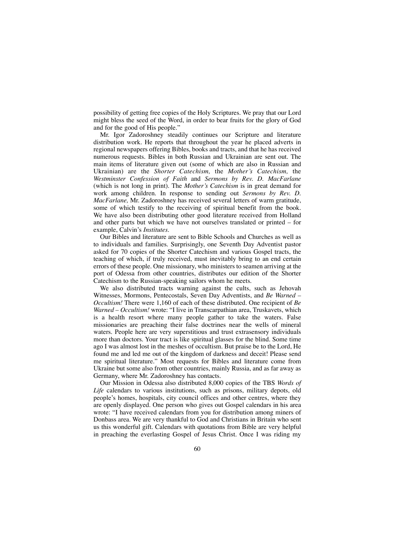possibility of getting free copies of the Holy Scriptures. We pray that our Lord might bless the seed of the Word, in order to bear fruits for the glory of God and for the good of His people."

Mr. Igor Zadoroshney steadily continues our Scripture and literature distribution work. He reports that throughout the year he placed adverts in regional newspapers offering Bibles, books and tracts, and that he has received numerous requests. Bibles in both Russian and Ukrainian are sent out. The main items of literature given out (some of which are also in Russian and Ukrainian) are the *Shorter Catechism,* the *Mother's Catechism,* the *Westminster Confession of Faith* and *Sermons by Rev. D. MacFarlane* (which is not long in print). The *Mother's Catechism* is in great demand for work among children. In response to sending out *Sermons by Rev. D. MacFarlane,* Mr. Zadoroshney has received several letters of warm gratitude, some of which testify to the receiving of spiritual benefit from the book. We have also been distributing other good literature received from Holland and other parts but which we have not ourselves translated or printed – for example, Calvin's *Institutes.*

Our Bibles and literature are sent to Bible Schools and Churches as well as to individuals and families. Surprisingly, one Seventh Day Adventist pastor asked for 70 copies of the Shorter Catechism and various Gospel tracts, the teaching of which, if truly received, must inevitably bring to an end certain errors of these people. One missionary, who ministers to seamen arriving at the port of Odessa from other countries, distributes our edition of the Shorter Catechism to the Russian-speaking sailors whom he meets.

We also distributed tracts warning against the cults, such as Jehovah Witnesses, Mormons, Pentecostals, Seven Day Adventists, and *Be Warned – Occultism!* There were 1,160 of each of these distributed. One recipient of *Be Warned – Occultism!* wrote: "I live in Transcarpathian area, Truskavets, which is a health resort where many people gather to take the waters. False missionaries are preaching their false doctrines near the wells of mineral waters. People here are very superstitious and trust extrasensory individuals more than doctors. Your tract is like spiritual glasses for the blind. Some time ago I was almost lost in the meshes of occultism. But praise be to the Lord, He found me and led me out of the kingdom of darkness and deceit! Please send me spiritual literature." Most requests for Bibles and literature come from Ukraine but some also from other countries, mainly Russia, and as far away as Germany, where Mr. Zadoroshney has contacts.

Our Mission in Odessa also distributed 8,000 copies of the TBS *Words of Life* calendars to various institutions, such as prisons, military depots, old people's homes, hospitals, city council offices and other centres, where they are openly displayed. One person who gives out Gospel calendars in his area wrote: "I have received calendars from you for distribution among miners of Donbass area. We are very thankful to God and Christians in Britain who sent us this wonderful gift. Calendars with quotations from Bible are very helpful in preaching the everlasting Gospel of Jesus Christ. Once I was riding my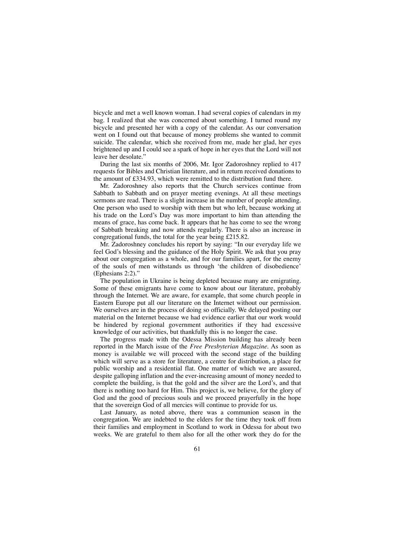bicycle and met a well known woman. I had several copies of calendars in my bag. I realized that she was concerned about something. I turned round my bicycle and presented her with a copy of the calendar. As our conversation went on I found out that because of money problems she wanted to commit suicide. The calendar, which she received from me, made her glad, her eyes brightened up and I could see a spark of hope in her eyes that the Lord will not leave her desolate."

During the last six months of 2006, Mr. Igor Zadoroshney replied to 417 requests for Bibles and Christian literature, and in return received donations to the amount of £334.93, which were remitted to the distribution fund there.

Mr. Zadoroshney also reports that the Church services continue from Sabbath to Sabbath and on prayer meeting evenings. At all these meetings sermons are read. There is a slight increase in the number of people attending. One person who used to worship with them but who left, because working at his trade on the Lord's Day was more important to him than attending the means of grace, has come back. It appears that he has come to see the wrong of Sabbath breaking and now attends regularly. There is also an increase in congregational funds, the total for the year being £215.82.

Mr. Zadoroshney concludes his report by saying: "In our everyday life we feel God's blessing and the guidance of the Holy Spirit. We ask that you pray about our congregation as a whole, and for our families apart, for the enemy of the souls of men withstands us through 'the children of disobedience' (Ephesians 2:2)."

The population in Ukraine is being depleted because many are emigrating. Some of these emigrants have come to know about our literature, probably through the Internet. We are aware, for example, that some church people in Eastern Europe put all our literature on the Internet without our permission. We ourselves are in the process of doing so officially. We delayed posting our material on the Internet because we had evidence earlier that our work would be hindered by regional government authorities if they had excessive knowledge of our activities, but thankfully this is no longer the case.

The progress made with the Odessa Mission building has already been reported in the March issue of the *Free Presbyterian Magazine.* As soon as money is available we will proceed with the second stage of the building which will serve as a store for literature, a centre for distribution, a place for public worship and a residential flat. One matter of which we are assured, despite galloping inflation and the ever-increasing amount of money needed to complete the building, is that the gold and the silver are the Lord's, and that there is nothing too hard for Him. This project is, we believe, for the glory of God and the good of precious souls and we proceed prayerfully in the hope that the sovereign God of all mercies will continue to provide for us.

Last January, as noted above, there was a communion season in the congregation. We are indebted to the elders for the time they took off from their families and employment in Scotland to work in Odessa for about two weeks. We are grateful to them also for all the other work they do for the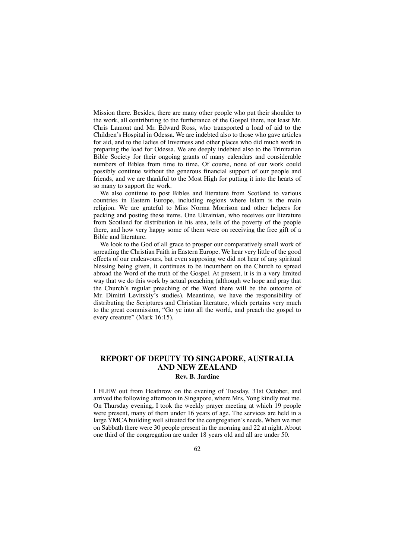Mission there. Besides, there are many other people who put their shoulder to the work, all contributing to the furtherance of the Gospel there, not least Mr. Chris Lamont and Mr. Edward Ross, who transported a load of aid to the Children's Hospital in Odessa. We are indebted also to those who gave articles for aid, and to the ladies of Inverness and other places who did much work in preparing the load for Odessa. We are deeply indebted also to the Trinitarian Bible Society for their ongoing grants of many calendars and considerable numbers of Bibles from time to time. Of course, none of our work could possibly continue without the generous financial support of our people and friends, and we are thankful to the Most High for putting it into the hearts of so many to support the work.

We also continue to post Bibles and literature from Scotland to various countries in Eastern Europe, including regions where Islam is the main religion. We are grateful to Miss Norma Morrison and other helpers for packing and posting these items. One Ukrainian, who receives our literature from Scotland for distribution in his area, tells of the poverty of the people there, and how very happy some of them were on receiving the free gift of a Bible and literature.

We look to the God of all grace to prosper our comparatively small work of spreading the Christian Faith in Eastern Europe. We hear very little of the good effects of our endeavours, but even supposing we did not hear of any spiritual blessing being given, it continues to be incumbent on the Church to spread abroad the Word of the truth of the Gospel. At present, it is in a very limited way that we do this work by actual preaching (although we hope and pray that the Church's regular preaching of the Word there will be the outcome of Mr. Dimitri Levitskiy's studies). Meantime, we have the responsibility of distributing the Scriptures and Christian literature, which pertains very much to the great commission, "Go ye into all the world, and preach the gospel to every creature" (Mark 16:15).

# **REPORT OF DEPUTY TO SINGAPORE, AUSTRALIA AND NEW ZEALAND**

## **Rev. B. Jardine**

I FLEW out from Heathrow on the evening of Tuesday, 31st October, and arrived the following afternoon in Singapore, where Mrs. Yong kindly met me. On Thursday evening, I took the weekly prayer meeting at which 19 people were present, many of them under 16 years of age. The services are held in a large YMCA building well situated for the congregation's needs. When we met on Sabbath there were 30 people present in the morning and 22 at night. About one third of the congregation are under 18 years old and all are under 50.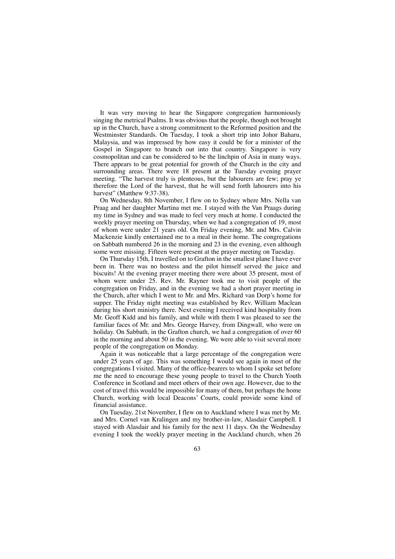It was very moving to hear the Singapore congregation harmoniously singing the metrical Psalms. It was obvious that the people, though not brought up in the Church, have a strong commitment to the Reformed position and the Westminster Standards. On Tuesday, I took a short trip into Johor Baharu, Malaysia, and was impressed by how easy it could be for a minister of the Gospel in Singapore to branch out into that country. Singapore is very cosmopolitan and can be considered to be the linchpin of Asia in many ways. There appears to be great potential for growth of the Church in the city and surrounding areas. There were 18 present at the Tuesday evening prayer meeting. "The harvest truly is plenteous, but the labourers are few; pray ye therefore the Lord of the harvest, that he will send forth labourers into his harvest" (Matthew 9:37-38).

On Wednesday, 8th November, I flew on to Sydney where Mrs. Nella van Praag and her daughter Martina met me. I stayed with the Van Praags during my time in Sydney and was made to feel very much at home. I conducted the weekly prayer meeting on Thursday, when we had a congregation of 19, most of whom were under 21 years old. On Friday evening, Mr. and Mrs. Calvin Mackenzie kindly entertained me to a meal in their home. The congregations on Sabbath numbered 26 in the morning and 23 in the evening, even although some were missing. Fifteen were present at the prayer meeting on Tuesday.

On Thursday 15th, I travelled on to Grafton in the smallest plane I have ever been in. There was no hostess and the pilot himself served the juice and biscuits! At the evening prayer meeting there were about 35 present, most of whom were under 25. Rev. Mr. Rayner took me to visit people of the congregation on Friday, and in the evening we had a short prayer meeting in the Church, after which I went to Mr. and Mrs. Richard van Dorp's home for supper. The Friday night meeting was established by Rev. William Maclean during his short ministry there. Next evening I received kind hospitality from Mr. Geoff Kidd and his family, and while with them I was pleased to see the familiar faces of Mr. and Mrs. George Harvey, from Dingwall, who were on holiday. On Sabbath, in the Grafton church, we had a congregation of over 60 in the morning and about 50 in the evening. We were able to visit several more people of the congregation on Monday.

Again it was noticeable that a large percentage of the congregation were under 25 years of age. This was something I would see again in most of the congregations I visited. Many of the office-bearers to whom I spoke set before me the need to encourage these young people to travel to the Church Youth Conference in Scotland and meet others of their own age. However, due to the cost of travel this would be impossible for many of them, but perhaps the home Church, working with local Deacons' Courts, could provide some kind of financial assistance.

On Tuesday, 21st November, I flew on to Auckland where I was met by Mr. and Mrs. Cornel van Kralingen and my brother-in-law, Alasdair Campbell. I stayed with Alasdair and his family for the next 11 days. On the Wednesday evening I took the weekly prayer meeting in the Auckland church, when 26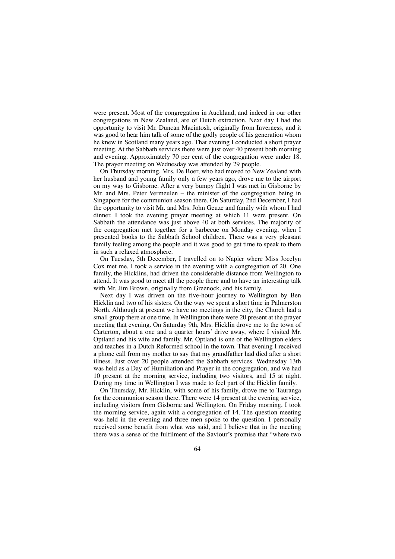were present. Most of the congregation in Auckland, and indeed in our other congregations in New Zealand, are of Dutch extraction. Next day I had the opportunity to visit Mr. Duncan Macintosh, originally from Inverness, and it was good to hear him talk of some of the godly people of his generation whom he knew in Scotland many years ago. That evening I conducted a short prayer meeting. At the Sabbath services there were just over 40 present both morning and evening. Approximately 70 per cent of the congregation were under 18. The prayer meeting on Wednesday was attended by 29 people.

On Thursday morning, Mrs. De Boer, who had moved to New Zealand with her husband and young family only a few years ago, drove me to the airport on my way to Gisborne. After a very bumpy flight I was met in Gisborne by Mr. and Mrs. Peter Vermeulen – the minister of the congregation being in Singapore for the communion season there. On Saturday, 2nd December, I had the opportunity to visit Mr. and Mrs. John Geuze and family with whom I had dinner. I took the evening prayer meeting at which 11 were present. On Sabbath the attendance was just above 40 at both services. The majority of the congregation met together for a barbecue on Monday evening, when I presented books to the Sabbath School children. There was a very pleasant family feeling among the people and it was good to get time to speak to them in such a relaxed atmosphere.

On Tuesday, 5th December, I travelled on to Napier where Miss Jocelyn Cox met me. I took a service in the evening with a congregation of 20. One family, the Hicklins, had driven the considerable distance from Wellington to attend. It was good to meet all the people there and to have an interesting talk with Mr. Jim Brown, originally from Greenock, and his family.

Next day I was driven on the five-hour journey to Wellington by Ben Hicklin and two of his sisters. On the way we spent a short time in Palmerston North. Although at present we have no meetings in the city, the Church had a small group there at one time. In Wellington there were 20 present at the prayer meeting that evening. On Saturday 9th, Mrs. Hicklin drove me to the town of Carterton, about a one and a quarter hours' drive away, where I visited Mr. Optland and his wife and family. Mr. Optland is one of the Wellington elders and teaches in a Dutch Reformed school in the town. That evening I received a phone call from my mother to say that my grandfather had died after a short illness. Just over 20 people attended the Sabbath services. Wednesday 13th was held as a Day of Humiliation and Prayer in the congregation, and we had 10 present at the morning service, including two visitors, and 15 at night. During my time in Wellington I was made to feel part of the Hicklin family.

On Thursday, Mr. Hicklin, with some of his family, drove me to Tauranga for the communion season there. There were 14 present at the evening service, including visitors from Gisborne and Wellington. On Friday morning, I took the morning service, again with a congregation of 14. The question meeting was held in the evening and three men spoke to the question. I personally received some benefit from what was said, and I believe that in the meeting there was a sense of the fulfilment of the Saviour's promise that "where two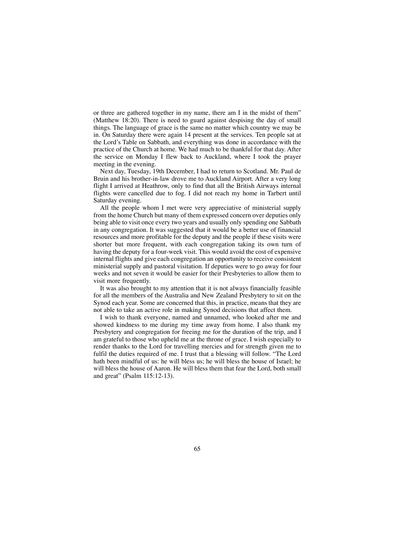or three are gathered together in my name, there am I in the midst of them" (Matthew 18:20). There is need to guard against despising the day of small things. The language of grace is the same no matter which country we may be in. On Saturday there were again 14 present at the services. Ten people sat at the Lord's Table on Sabbath, and everything was done in accordance with the practice of the Church at home. We had much to be thankful for that day. After the service on Monday I flew back to Auckland, where I took the prayer meeting in the evening.

Next day, Tuesday, 19th December, I had to return to Scotland. Mr. Paul de Bruin and his brother-in-law drove me to Auckland Airport. After a very long flight I arrived at Heathrow, only to find that all the British Airways internal flights were cancelled due to fog. I did not reach my home in Tarbert until Saturday evening.

All the people whom I met were very appreciative of ministerial supply from the home Church but many of them expressed concern over deputies only being able to visit once every two years and usually only spending one Sabbath in any congregation. It was suggested that it would be a better use of financial resources and more profitable for the deputy and the people if these visits were shorter but more frequent, with each congregation taking its own turn of having the deputy for a four-week visit. This would avoid the cost of expensive internal flights and give each congregation an opportunity to receive consistent ministerial supply and pastoral visitation. If deputies were to go away for four weeks and not seven it would be easier for their Presbyteries to allow them to visit more frequently.

It was also brought to my attention that it is not always financially feasible for all the members of the Australia and New Zealand Presbytery to sit on the Synod each year. Some are concerned that this, in practice, means that they are not able to take an active role in making Synod decisions that affect them.

I wish to thank everyone, named and unnamed, who looked after me and showed kindness to me during my time away from home. I also thank my Presbytery and congregation for freeing me for the duration of the trip, and I am grateful to those who upheld me at the throne of grace. I wish especially to render thanks to the Lord for travelling mercies and for strength given me to fulfil the duties required of me. I trust that a blessing will follow. "The Lord hath been mindful of us: he will bless us; he will bless the house of Israel; he will bless the house of Aaron. He will bless them that fear the Lord, both small and great" (Psalm 115:12-13).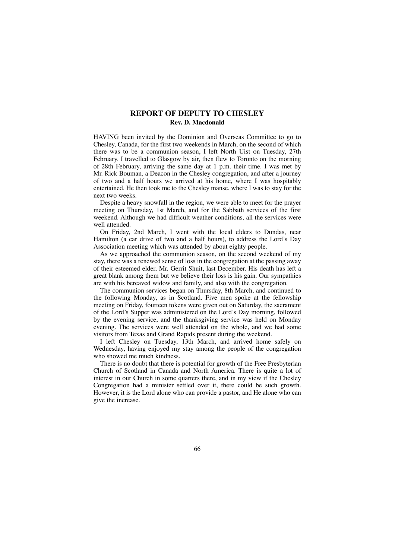## **REPORT OF DEPUTY TO CHESLEY Rev. D. Macdonald**

HAVING been invited by the Dominion and Overseas Committee to go to Chesley, Canada, for the first two weekends in March, on the second of which there was to be a communion season, I left North Uist on Tuesday, 27th February. I travelled to Glasgow by air, then flew to Toronto on the morning of 28th February, arriving the same day at 1 p.m. their time. I was met by Mr. Rick Bouman, a Deacon in the Chesley congregation, and after a journey of two and a half hours we arrived at his home, where I was hospitably entertained. He then took me to the Chesley manse, where I was to stay for the next two weeks.

Despite a heavy snowfall in the region, we were able to meet for the prayer meeting on Thursday, 1st March, and for the Sabbath services of the first weekend. Although we had difficult weather conditions, all the services were well attended.

On Friday, 2nd March, I went with the local elders to Dundas, near Hamilton (a car drive of two and a half hours), to address the Lord's Day Association meeting which was attended by about eighty people.

As we approached the communion season, on the second weekend of my stay, there was a renewed sense of loss in the congregation at the passing away of their esteemed elder, Mr. Gerrit Shuit, last December. His death has left a great blank among them but we believe their loss is his gain. Our sympathies are with his bereaved widow and family, and also with the congregation.

The communion services began on Thursday, 8th March, and continued to the following Monday, as in Scotland. Five men spoke at the fellowship meeting on Friday, fourteen tokens were given out on Saturday, the sacrament of the Lord's Supper was administered on the Lord's Day morning, followed by the evening service, and the thanksgiving service was held on Monday evening. The services were well attended on the whole, and we had some visitors from Texas and Grand Rapids present during the weekend.

I left Chesley on Tuesday, 13th March, and arrived home safely on Wednesday, having enjoyed my stay among the people of the congregation who showed me much kindness.

There is no doubt that there is potential for growth of the Free Presbyterian Church of Scotland in Canada and North America. There is quite a lot of interest in our Church in some quarters there, and in my view if the Chesley Congregation had a minister settled over it, there could be such growth. However, it is the Lord alone who can provide a pastor, and He alone who can give the increase.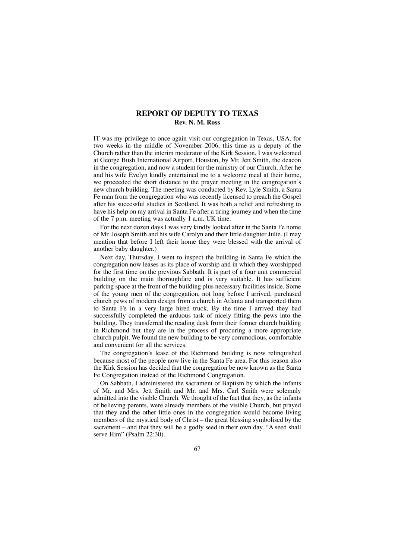## **REPORT OF DEPUTY TO TEXAS Rev. N. M. Ross**

IT was my privilege to once again visit our congregation in Texas, USA, for two weeks in the middle of November 2006, this time as a deputy of the Church rather than the interim moderator of the Kirk Session. I was welcomed at George Bush International Airport, Houston, by Mr. Jett Smith, the deacon in the congregation, and now a student for the ministry of our Church. After he and his wife Evelyn kindly entertained me to a welcome meal at their home, we proceeded the short distance to the prayer meeting in the congregation's new church building. The meeting was conducted by Rev. Lyle Smith, a Santa Fe man from the congregation who was recently licensed to preach the Gospel after his successful studies in Scotland. It was both a relief and refreshing to have his help on my arrival in Santa Fe after a tiring journey and when the time of the 7 p.m. meeting was actually 1 a.m. UK time.

For the next dozen days I was very kindly looked after in the Santa Fe home of Mr. Joseph Smith and his wife Carolyn and their little daughter Julie. (I may mention that before I left their home they were blessed with the arrival of another baby daughter.)

Next day, Thursday, I went to inspect the building in Santa Fe which the congregation now leases as its place of worship and in which they worshipped for the first time on the previous Sabbath. It is part of a four unit commercial building on the main thoroughfare and is very suitable. It has sufficient parking space at the front of the building plus necessary facilities inside. Some of the young men of the congregation, not long before I arrived, purchased church pews of modern design from a church in Atlanta and transported them to Santa Fe in a very large hired truck. By the time I arrived they had successfully completed the arduous task of nicely fitting the pews into the building. They transferred the reading desk from their former church building in Richmond but they are in the process of procuring a more appropriate church pulpit. We found the new building to be very commodious, comfortable and convenient for all the services.

The congregation's lease of the Richmond building is now relinquished because most of the people now live in the Santa Fe area. For this reason also the Kirk Session has decided that the congregation be now known as the Santa Fe Congregation instead of the Richmond Congregation.

On Sabbath, I administered the sacrament of Baptism by which the infants of Mr. and Mrs. Jett Smith and Mr. and Mrs. Carl Smith were solemnly admitted into the visible Church. We thought of the fact that they, as the infants of believing parents, were already members of the visible Church, but prayed that they and the other little ones in the congregation would become living members of the mystical body of Christ – the great blessing symbolised by the sacrament – and that they will be a godly seed in their own day. "A seed shall serve Him" (Psalm 22:30).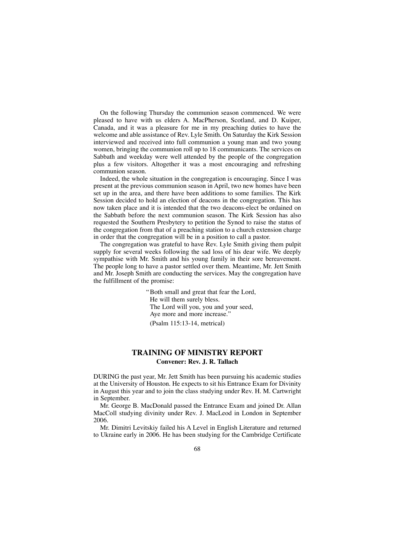On the following Thursday the communion season commenced. We were pleased to have with us elders A. MacPherson, Scotland, and D. Kuiper, Canada, and it was a pleasure for me in my preaching duties to have the welcome and able assistance of Rev. Lyle Smith. On Saturday the Kirk Session interviewed and received into full communion a young man and two young women, bringing the communion roll up to 18 communicants. The services on Sabbath and weekday were well attended by the people of the congregation plus a few visitors. Altogether it was a most encouraging and refreshing communion season.

Indeed, the whole situation in the congregation is encouraging. Since I was present at the previous communion season in April, two new homes have been set up in the area, and there have been additions to some families. The Kirk Session decided to hold an election of deacons in the congregation. This has now taken place and it is intended that the two deacons-elect be ordained on the Sabbath before the next communion season. The Kirk Session has also requested the Southern Presbytery to petition the Synod to raise the status of the congregation from that of a preaching station to a church extension charge in order that the congregation will be in a position to call a pastor.

The congregation was grateful to have Rev. Lyle Smith giving them pulpit supply for several weeks following the sad loss of his dear wife. We deeply sympathise with Mr. Smith and his young family in their sore bereavement. The people long to have a pastor settled over them. Meantime, Mr. Jett Smith and Mr. Joseph Smith are conducting the services. May the congregation have the fulfillment of the promise:

> "Both small and great that fear the Lord, He will them surely bless. The Lord will you, you and your seed, Aye more and more increase." (Psalm 115:13-14, metrical)

## **TRAINING OF MINISTRY REPORT Convener: Rev. J. R. Tallach**

DURING the past year, Mr. Jett Smith has been pursuing his academic studies at the University of Houston. He expects to sit his Entrance Exam for Divinity in August this year and to join the class studying under Rev. H. M. Cartwright in September.

Mr. George B. MacDonald passed the Entrance Exam and joined Dr. Allan MacColl studying divinity under Rev. J. MacLeod in London in September 2006.

Mr. Dimitri Levitskiy failed his A Level in English Literature and returned to Ukraine early in 2006. He has been studying for the Cambridge Certificate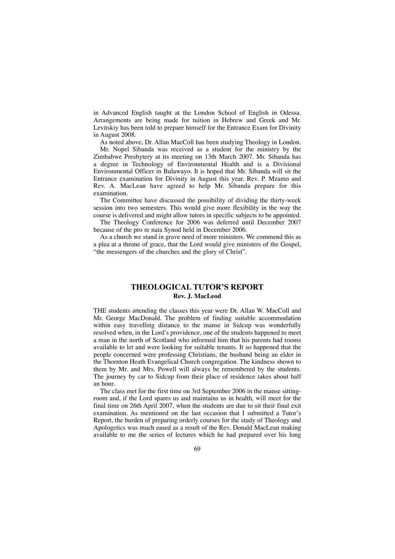in Advanced English taught at the London School of English in Odessa. Arrangements are being made for tuition in Hebrew and Greek and Mr. Levitskiy has been told to prepare himself for the Entrance Exam for Divinity in August 2008.

As noted above, Dr. Allan MacColl has been studying Theology in London. Mr. Nopel Sibanda was received as a student for the ministry by the Zimbabwe Presbytery at its meeting on 13th March 2007. Mr. Sibanda has a degree in Technology of Environmental Health and is a Divisional Environmental Officer in Bulawayo. It is hoped that Mr. Sibanda will sit the Entrance examination for Divinity in August this year. Rev. P. Mzamo and Rev. A. MacLean have agreed to help Mr. Sibanda prepare for this examination.

The Committee have discussed the possibility of dividing the thirty-week session into two semesters. This would give more flexibility in the way the course is delivered and might allow tutors in specific subjects to be appointed.

The Theology Conference for 2006 was deferred until December 2007 because of the pro re nata Synod held in December 2006.

As a church we stand in grave need of more ministers. We commend this as a plea at a throne of grace, that the Lord would give ministers of the Gospel, "the messengers of the churches and the glory of Christ".

# **THEOLOGICAL TUTOR'S REPORT Rev. J. MacLeod**

THE students attending the classes this year were Dr. Allan W. MacColl and Mr. George MacDonald. The problem of finding suitable accommodation within easy travelling distance to the manse in Sidcup was wonderfully resolved when, in the Lord's providence, one of the students happened to meet a man in the north of Scotland who informed him that his parents had rooms available to let and were looking for suitable tenants. It so happened that the people concerned were professing Christians, the husband being an elder in the Thornton Heath Evangelical Church congregation. The kindness shown to them by Mr. and Mrs. Powell will always be remembered by the students. The journey by car to Sidcup from their place of residence takes about half an hour.

The class met for the first time on 3rd September 2006 in the manse sittingroom and, if the Lord spares us and maintains us in health, will meet for the final time on 26th April 2007, when the students are due to sit their final exit examination. As mentioned on the last occasion that I submitted a Tutor's Report, the burden of preparing orderly courses for the study of Theology and Apologetics was much eased as a result of the Rev. Donald MacLean making available to me the series of lectures which he had prepared over his long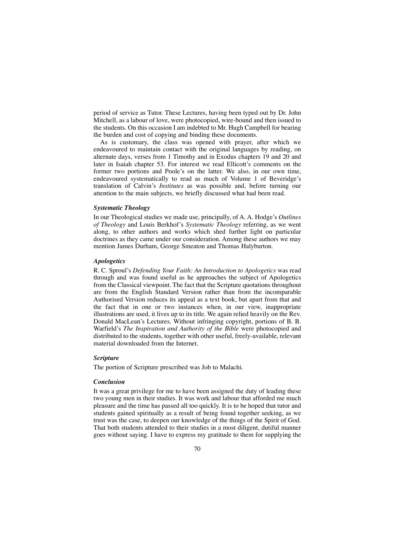period of service as Tutor. These Lectures, having been typed out by Dr. John Mitchell, as a labour of love, were photocopied, wire-bound and then issued to the students. On this occasion I am indebted to Mr. Hugh Campbell for bearing the burden and cost of copying and binding these documents.

As is customary, the class was opened with prayer, after which we endeavoured to maintain contact with the original languages by reading, on alternate days, verses from 1 Timothy and in Exodus chapters 19 and 20 and later in Isaiah chapter 53. For interest we read Ellicott's comments on the former two portions and Poole's on the latter. We also, in our own time, endeavoured systematically to read as much of Volume 1 of Beveridge's translation of Calvin's *Institutes* as was possible and, before turning our attention to the main subjects, we briefly discussed what had been read.

### *Systematic Theology*

In our Theological studies we made use, principally, of A. A. Hodge's *Outlines of Theology* and Louis Berkhof's *Systematic Theology* referring, as we went along, to other authors and works which shed further light on particular doctrines as they came under our consideration. Among these authors we may mention James Durham, George Smeaton and Thomas Halyburton.

### *Apologetics*

R. C. Sproul's *Defending Your Faith: An Introduction to Apologetics* was read through and was found useful as he approaches the subject of Apologetics from the Classical viewpoint. The fact that the Scripture quotations throughout are from the English Standard Version rather than from the incomparable Authorised Version reduces its appeal as a text book, but apart from that and the fact that in one or two instances when, in our view, inappropriate illustrations are used, it lives up to its title. We again relied heavily on the Rev. Donald MacLean's Lectures. Without infringing copyright, portions of B. B. Warfield's *The Inspiration and Authority of the Bible* were photocopied and distributed to the students, together with other useful, freely-available, relevant material downloaded from the Internet.

#### *Scripture*

The portion of Scripture prescribed was Job to Malachi.

### *Conclusion*

It was a great privilege for me to have been assigned the duty of leading these two young men in their studies. It was work and labour that afforded me much pleasure and the time has passed all too quickly. It is to be hoped that tutor and students gained spiritually as a result of being found together seeking, as we trust was the case, to deepen our knowledge of the things of the Spirit of God. That both students attended to their studies in a most diligent, dutiful manner goes without saying. I have to express my gratitude to them for supplying the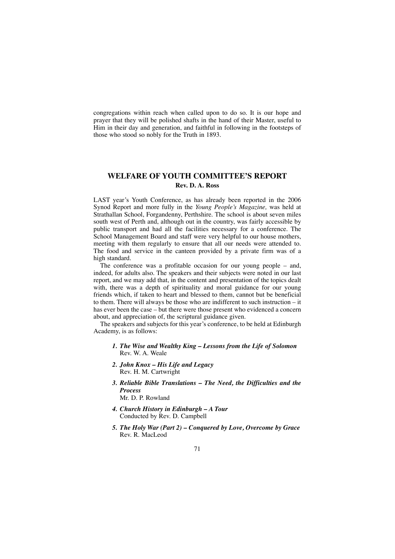congregations within reach when called upon to do so. It is our hope and prayer that they will be polished shafts in the hand of their Master, useful to Him in their day and generation, and faithful in following in the footsteps of those who stood so nobly for the Truth in 1893.

# **WELFARE OF YOUTH COMMITTEE'S REPORT Rev. D. A. Ross**

LAST year's Youth Conference, as has already been reported in the 2006 Synod Report and more fully in the *Young People's Magazine,* was held at Strathallan School, Forgandenny, Perthshire. The school is about seven miles south west of Perth and, although out in the country, was fairly accessible by public transport and had all the facilities necessary for a conference. The School Management Board and staff were very helpful to our house mothers, meeting with them regularly to ensure that all our needs were attended to. The food and service in the canteen provided by a private firm was of a high standard.

The conference was a profitable occasion for our young people – and, indeed, for adults also. The speakers and their subjects were noted in our last report, and we may add that, in the content and presentation of the topics dealt with, there was a depth of spirituality and moral guidance for our young friends which, if taken to heart and blessed to them, cannot but be beneficial to them. There will always be those who are indifferent to such instruction – it has ever been the case – but there were those present who evidenced a concern about, and appreciation of, the scriptural guidance given.

The speakers and subjects for this year's conference, to be held at Edinburgh Academy, is as follows:

- *1. The Wise and Wealthy King Lessons from the Life of Solomon* Rev. W. A. Weale
- *2. John Knox His Life and Legacy* Rev. H. M. Cartwright
- *3. Reliable Bible Translations The Need, the Difficulties and the Process* Mr. D. P. Rowland
- *4. Church History in Edinburgh A Tour* Conducted by Rev. D. Campbell
- *5. The Holy War (Part 2) Conquered by Love, Overcome by Grace* Rev. R. MacLeod
	- 71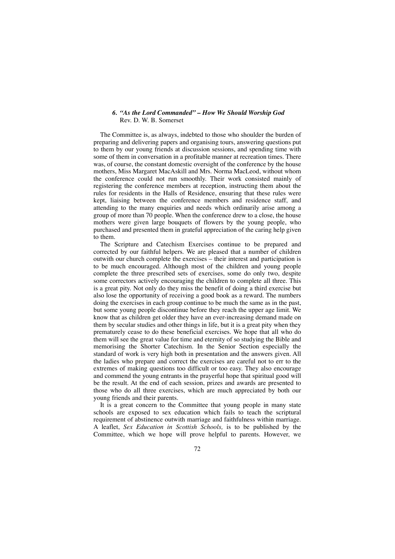## *6. "As the Lord Commanded" – How We Should Worship God* Rev. D. W. B. Somerset

The Committee is, as always, indebted to those who shoulder the burden of preparing and delivering papers and organising tours, answering questions put to them by our young friends at discussion sessions, and spending time with some of them in conversation in a profitable manner at recreation times. There was, of course, the constant domestic oversight of the conference by the house mothers, Miss Margaret MacAskill and Mrs. Norma MacLeod, without whom the conference could not run smoothly. Their work consisted mainly of registering the conference members at reception, instructing them about the rules for residents in the Halls of Residence, ensuring that these rules were kept, liaising between the conference members and residence staff, and attending to the many enquiries and needs which ordinarily arise among a group of more than 70 people. When the conference drew to a close, the house mothers were given large bouquets of flowers by the young people, who purchased and presented them in grateful appreciation of the caring help given to them.

The Scripture and Catechism Exercises continue to be prepared and corrected by our faithful helpers. We are pleased that a number of children outwith our church complete the exercises – their interest and participation is to be much encouraged. Although most of the children and young people complete the three prescribed sets of exercises, some do only two, despite some correctors actively encouraging the children to complete all three. This is a great pity. Not only do they miss the benefit of doing a third exercise but also lose the opportunity of receiving a good book as a reward. The numbers doing the exercises in each group continue to be much the same as in the past, but some young people discontinue before they reach the upper age limit. We know that as children get older they have an ever-increasing demand made on them by secular studies and other things in life, but it is a great pity when they prematurely cease to do these beneficial exercises. We hope that all who do them will see the great value for time and eternity of so studying the Bible and memorising the Shorter Catechism. In the Senior Section especially the standard of work is very high both in presentation and the answers given. All the ladies who prepare and correct the exercises are careful not to err to the extremes of making questions too difficult or too easy. They also encourage and commend the young entrants in the prayerful hope that spiritual good will be the result. At the end of each session, prizes and awards are presented to those who do all three exercises, which are much appreciated by both our young friends and their parents.

It is a great concern to the Committee that young people in many state schools are exposed to sex education which fails to teach the scriptural requirement of abstinence outwith marriage and faithfulness within marriage. A leaflet, *Sex Education in Scottish Schools,* is to be published by the Committee, which we hope will prove helpful to parents. However, we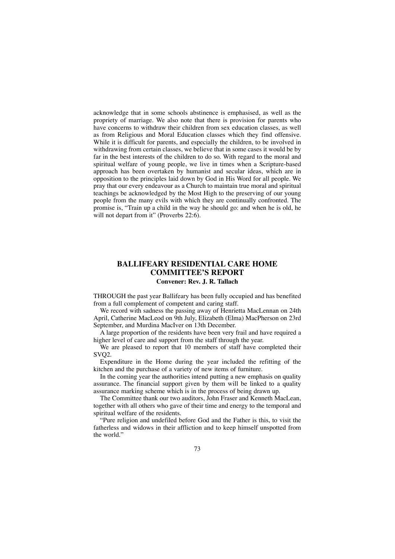acknowledge that in some schools abstinence is emphasised, as well as the propriety of marriage. We also note that there is provision for parents who have concerns to withdraw their children from sex education classes, as well as from Religious and Moral Education classes which they find offensive. While it is difficult for parents, and especially the children, to be involved in withdrawing from certain classes, we believe that in some cases it would be by far in the best interests of the children to do so. With regard to the moral and spiritual welfare of young people, we live in times when a Scripture-based approach has been overtaken by humanist and secular ideas, which are in opposition to the principles laid down by God in His Word for all people. We pray that our every endeavour as a Church to maintain true moral and spiritual teachings be acknowledged by the Most High to the preserving of our young people from the many evils with which they are continually confronted. The promise is, "Train up a child in the way he should go: and when he is old, he will not depart from it" (Proverbs 22:6).

## **BALLIFEARY RESIDENTIAL CARE HOME COMMITTEE'S REPORT Convener: Rev. J. R. Tallach**

THROUGH the past year Ballifeary has been fully occupied and has benefited from a full complement of competent and caring staff.

We record with sadness the passing away of Henrietta MacLennan on 24th April, Catherine MacLeod on 9th July, Elizabeth (Elma) MacPherson on 23rd September, and Murdina MacIver on 13th December.

A large proportion of the residents have been very frail and have required a higher level of care and support from the staff through the year.

We are pleased to report that 10 members of staff have completed their SVQ2.

Expenditure in the Home during the year included the refitting of the kitchen and the purchase of a variety of new items of furniture.

In the coming year the authorities intend putting a new emphasis on quality assurance. The financial support given by them will be linked to a quality assurance marking scheme which is in the process of being drawn up.

The Committee thank our two auditors, John Fraser and Kenneth MacLean, together with all others who gave of their time and energy to the temporal and spiritual welfare of the residents.

"Pure religion and undefiled before God and the Father is this, to visit the fatherless and widows in their affliction and to keep himself unspotted from the world."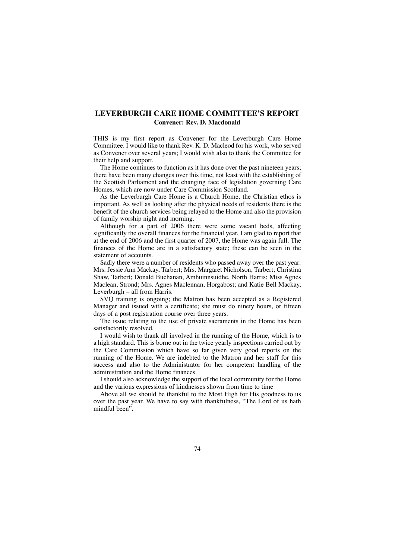# **LEVERBURGH CARE HOME COMMITTEE'S REPORT Convener: Rev. D. Macdonald**

THIS is my first report as Convener for the Leverburgh Care Home Committee. I would like to thank Rev. K. D. Macleod for his work, who served as Convener over several years; I would wish also to thank the Committee for their help and support.

The Home continues to function as it has done over the past nineteen years; there have been many changes over this time, not least with the establishing of the Scottish Parliament and the changing face of legislation governing Care Homes, which are now under Care Commission Scotland.

As the Leverburgh Care Home is a Church Home, the Christian ethos is important. As well as looking after the physical needs of residents there is the benefit of the church services being relayed to the Home and also the provision of family worship night and morning.

Although for a part of 2006 there were some vacant beds, affecting significantly the overall finances for the financial year, I am glad to report that at the end of 2006 and the first quarter of 2007, the Home was again full. The finances of the Home are in a satisfactory state; these can be seen in the statement of accounts.

Sadly there were a number of residents who passed away over the past year: Mrs. Jessie Ann Mackay, Tarbert; Mrs. Margaret Nicholson, Tarbert; Christina Shaw, Tarbert; Donald Buchanan, Amhuinnsuidhe, North Harris; Miss Agnes Maclean, Strond; Mrs. Agnes Maclennan, Horgabost; and Katie Bell Mackay, Leverburgh – all from Harris.

SVQ training is ongoing; the Matron has been accepted as a Registered Manager and issued with a certificate; she must do ninety hours, or fifteen days of a post registration course over three years.

The issue relating to the use of private sacraments in the Home has been satisfactorily resolved.

I would wish to thank all involved in the running of the Home, which is to a high standard. This is borne out in the twice yearly inspections carried out by the Care Commission which have so far given very good reports on the running of the Home. We are indebted to the Matron and her staff for this success and also to the Administrator for her competent handling of the administration and the Home finances.

I should also acknowledge the support of the local community for the Home and the various expressions of kindnesses shown from time to time

Above all we should be thankful to the Most High for His goodness to us over the past year. We have to say with thankfulness, "The Lord of us hath mindful been".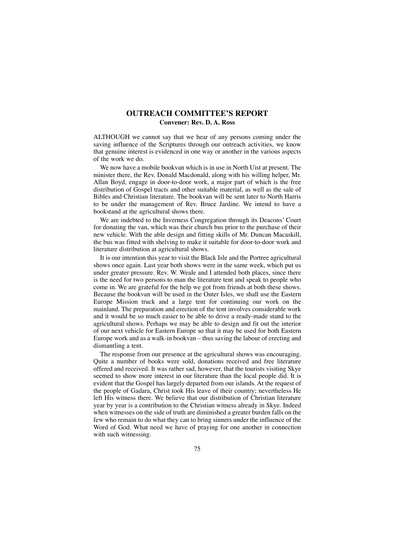# **OUTREACH COMMITTEE'S REPORT Convener: Rev. D. A. Ross**

ALTHOUGH we cannot say that we hear of any persons coming under the saving influence of the Scriptures through our outreach activities, we know that genuine interest is evidenced in one way or another in the various aspects of the work we do.

We now have a mobile bookvan which is in use in North Uist at present. The minister there, the Rev. Donald Macdonald, along with his willing helper, Mr. Allan Boyd, engage in door-to-door work, a major part of which is the free distribution of Gospel tracts and other suitable material, as well as the sale of Bibles and Christian literature. The bookvan will be sent later to North Harris to be under the management of Rev. Bruce Jardine. We intend to have a bookstand at the agricultural shows there.

We are indebted to the Inverness Congregation through its Deacons' Court for donating the van, which was their church bus prior to the purchase of their new vehicle. With the able design and fitting skills of Mr. Duncan Macaskill, the bus was fitted with shelving to make it suitable for door-to-door work and literature distribution at agricultural shows.

It is our intention this year to visit the Black Isle and the Portree agricultural shows once again. Last year both shows were in the same week, which put us under greater pressure. Rev. W. Weale and I attended both places, since there is the need for two persons to man the literature tent and speak to people who come in. We are grateful for the help we got from friends at both these shows. Because the bookvan will be used in the Outer Isles, we shall use the Eastern Europe Mission truck and a large tent for continuing our work on the mainland. The preparation and erection of the tent involves considerable work and it would be so much easier to be able to drive a ready-made stand to the agricultural shows. Perhaps we may be able to design and fit out the interior of our next vehicle for Eastern Europe so that it may be used for both Eastern Europe work and as a walk-in bookvan – thus saving the labour of erecting and dismantling a tent.

The response from our presence at the agricultural shows was encouraging. Quite a number of books were sold, donations received and free literature offered and received. It was rather sad, however, that the tourists visiting Skye seemed to show more interest in our literature than the local people did. It is evident that the Gospel has largely departed from our islands. At the request of the people of Gadara, Christ took His leave of their country; nevertheless He left His witness there. We believe that our distribution of Christian literature year by year is a contribution to the Christian witness already in Skye. Indeed when witnesses on the side of truth are diminished a greater burden falls on the few who remain to do what they can to bring sinners under the influence of the Word of God. What need we have of praying for one another in connection with such witnessing.

75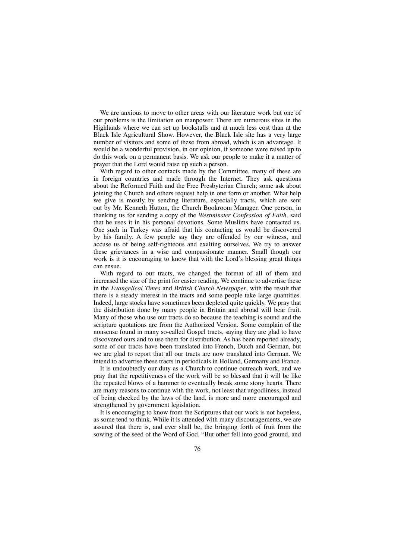We are anxious to move to other areas with our literature work but one of our problems is the limitation on manpower. There are numerous sites in the Highlands where we can set up bookstalls and at much less cost than at the Black Isle Agricultural Show. However, the Black Isle site has a very large number of visitors and some of these from abroad, which is an advantage. It would be a wonderful provision, in our opinion, if someone were raised up to do this work on a permanent basis. We ask our people to make it a matter of prayer that the Lord would raise up such a person.

With regard to other contacts made by the Committee, many of these are in foreign countries and made through the Internet. They ask questions about the Reformed Faith and the Free Presbyterian Church; some ask about joining the Church and others request help in one form or another. What help we give is mostly by sending literature, especially tracts, which are sent out by Mr. Kenneth Hutton, the Church Bookroom Manager. One person, in thanking us for sending a copy of the *Westminster Confession of Faith,* said that he uses it in his personal devotions. Some Muslims have contacted us. One such in Turkey was afraid that his contacting us would be discovered by his family. A few people say they are offended by our witness, and accuse us of being self-righteous and exalting ourselves. We try to answer these grievances in a wise and compassionate manner. Small though our work is it is encouraging to know that with the Lord's blessing great things can ensue.

With regard to our tracts, we changed the format of all of them and increased the size of the print for easier reading. We continue to advertise these in the *Evangelical Times* and *British Church Newspaper*, with the result that there is a steady interest in the tracts and some people take large quantities. Indeed, large stocks have sometimes been depleted quite quickly. We pray that the distribution done by many people in Britain and abroad will bear fruit. Many of those who use our tracts do so because the teaching is sound and the scripture quotations are from the Authorized Version. Some complain of the nonsense found in many so-called Gospel tracts, saying they are glad to have discovered ours and to use them for distribution. As has been reported already, some of our tracts have been translated into French, Dutch and German, but we are glad to report that all our tracts are now translated into German. We intend to advertise these tracts in periodicals in Holland, Germany and France.

It is undoubtedly our duty as a Church to continue outreach work, and we pray that the repetitiveness of the work will be so blessed that it will be like the repeated blows of a hammer to eventually break some stony hearts. There are many reasons to continue with the work, not least that ungodliness, instead of being checked by the laws of the land, is more and more encouraged and strengthened by government legislation.

It is encouraging to know from the Scriptures that our work is not hopeless, as some tend to think. While it is attended with many discouragements, we are assured that there is, and ever shall be, the bringing forth of fruit from the sowing of the seed of the Word of God. "But other fell into good ground, and

76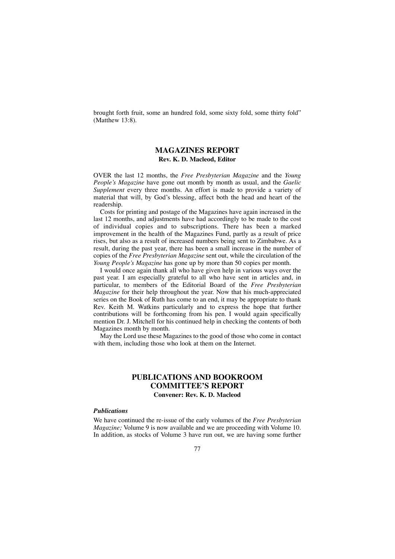brought forth fruit, some an hundred fold, some sixty fold, some thirty fold" (Matthew 13:8).

## **MAGAZINES REPORT Rev. K. D. Macleod, Editor**

OVER the last 12 months, the *Free Presbyterian Magazine* and the *Young People's Magazine* have gone out month by month as usual, and the *Gaelic Supplement* every three months. An effort is made to provide a variety of material that will, by God's blessing, affect both the head and heart of the readership.

Costs for printing and postage of the Magazines have again increased in the last 12 months, and adjustments have had accordingly to be made to the cost of individual copies and to subscriptions. There has been a marked improvement in the health of the Magazines Fund, partly as a result of price rises, but also as a result of increased numbers being sent to Zimbabwe. As a result, during the past year, there has been a small increase in the number of copies of the *Free Presbyterian Magazine* sent out, while the circulation of the *Young People's Magazine* has gone up by more than 50 copies per month.

I would once again thank all who have given help in various ways over the past year. I am especially grateful to all who have sent in articles and, in particular, to members of the Editorial Board of the *Free Presbyterian Magazine* for their help throughout the year. Now that his much-appreciated series on the Book of Ruth has come to an end, it may be appropriate to thank Rev. Keith M. Watkins particularly and to express the hope that further contributions will be forthcoming from his pen. I would again specifically mention Dr. J. Mitchell for his continued help in checking the contents of both Magazines month by month.

May the Lord use these Magazines to the good of those who come in contact with them, including those who look at them on the Internet.

## **PUBLICATIONS AND BOOKROOM COMMITTEE'S REPORT Convener: Rev. K. D. Macleod**

#### *Publications*

We have continued the re-issue of the early volumes of the *Free Presbyterian Magazine*; Volume 9 is now available and we are proceeding with Volume 10. In addition, as stocks of Volume 3 have run out, we are having some further